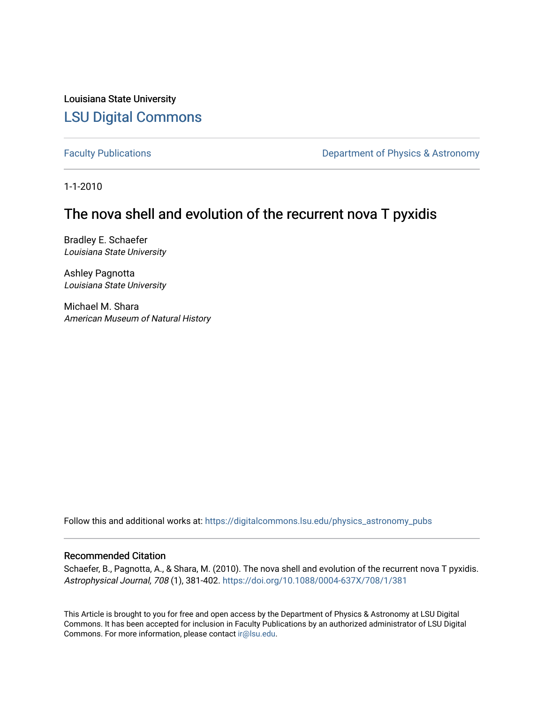Louisiana State University [LSU Digital Commons](https://digitalcommons.lsu.edu/)

[Faculty Publications](https://digitalcommons.lsu.edu/physics_astronomy_pubs) **Exercise 2 and Table 2 and Table 2 and Table 2 and Table 2 and Table 2 and Table 2 and Table 2 and Table 2 and Table 2 and Table 2 and Table 2 and Table 2 and Table 2 and Table 2 and Table 2 and Table** 

1-1-2010

# The nova shell and evolution of the recurrent nova T pyxidis

Bradley E. Schaefer Louisiana State University

Ashley Pagnotta Louisiana State University

Michael M. Shara American Museum of Natural History

Follow this and additional works at: [https://digitalcommons.lsu.edu/physics\\_astronomy\\_pubs](https://digitalcommons.lsu.edu/physics_astronomy_pubs?utm_source=digitalcommons.lsu.edu%2Fphysics_astronomy_pubs%2F4685&utm_medium=PDF&utm_campaign=PDFCoverPages) 

# Recommended Citation

Schaefer, B., Pagnotta, A., & Shara, M. (2010). The nova shell and evolution of the recurrent nova T pyxidis. Astrophysical Journal, 708 (1), 381-402. <https://doi.org/10.1088/0004-637X/708/1/381>

This Article is brought to you for free and open access by the Department of Physics & Astronomy at LSU Digital Commons. It has been accepted for inclusion in Faculty Publications by an authorized administrator of LSU Digital Commons. For more information, please contact [ir@lsu.edu](mailto:ir@lsu.edu).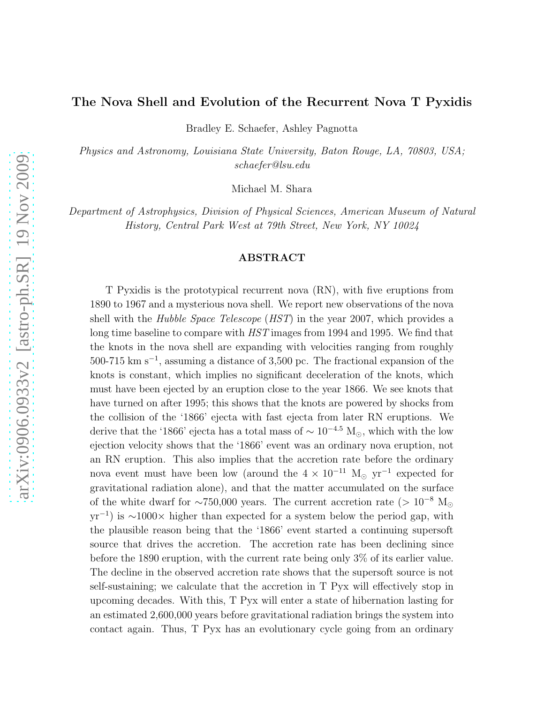# The Nova Shell and Evolution of the Recurrent Nova T Pyxidis

Bradley E. Schaefer, Ashley Pagnotta

*Physics and Astronomy, Louisiana State University, Baton Rouge, LA, 70803, USA; schaefer@lsu.edu*

Michael M. Shara

*Department of Astrophysics, Division of Physical Sciences, American Museum of Natural History, Central Park West at 79th Street, New York, NY 10024*

#### ABSTRACT

T Pyxidis is the prototypical recurrent nova (RN), with five eruptions from 1890 to 1967 and a mysterious nova shell. We report new observations of the nova shell with the *Hubble Space Telescope* (*HST*) in the year 2007, which provides a long time baseline to compare with *HST* images from 1994 and 1995. We find that the knots in the nova shell are expanding with velocities ranging from roughly 500-715 km s<sup>−</sup><sup>1</sup> , assuming a distance of 3,500 pc. The fractional expansion of the knots is constant, which implies no significant deceleration of the knots, which must have been ejected by an eruption close to the year 1866. We see knots that have turned on after 1995; this shows that the knots are powered by shocks from the collision of the '1866' ejecta with fast ejecta from later RN eruptions. We derive that the '1866' ejecta has a total mass of  $\sim 10^{-4.5}$  M<sub>☉</sub>, which with the low ejection velocity shows that the '1866' event was an ordinary nova eruption, not an RN eruption. This also implies that the accretion rate before the ordinary nova event must have been low (around the  $4 \times 10^{-11}$  M<sub>☉</sub> yr<sup>-1</sup> expected for gravitational radiation alone), and that the matter accumulated on the surface of the white dwarf for ∼750,000 years. The current accretion rate (> 10<sup>-8</sup> M<sub>☉</sub>  $yr^{-1}$ ) is ~1000× higher than expected for a system below the period gap, with the plausible reason being that the '1866' event started a continuing supersoft source that drives the accretion. The accretion rate has been declining since before the 1890 eruption, with the current rate being only 3% of its earlier value. The decline in the observed accretion rate shows that the supersoft source is not self-sustaining; we calculate that the accretion in T Pyx will effectively stop in upcoming decades. With this, T Pyx will enter a state of hibernation lasting for an estimated 2,600,000 years before gravitational radiation brings the system into contact again. Thus, T Pyx has an evolutionary cycle going from an ordinary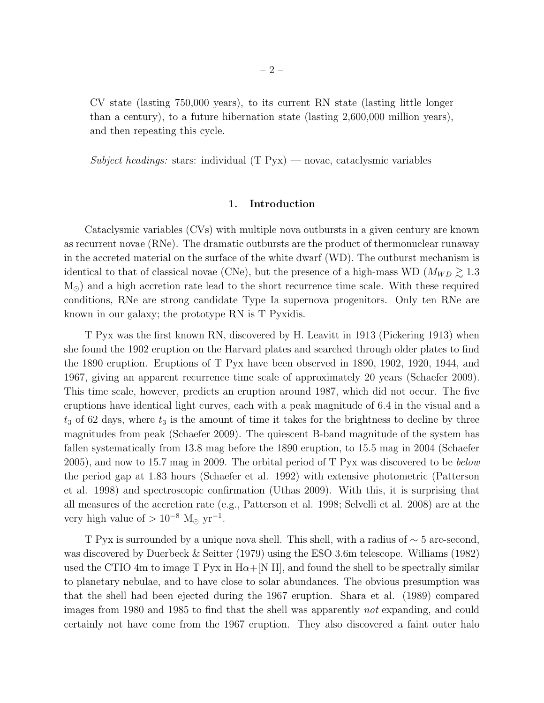CV state (lasting 750,000 years), to its current RN state (lasting little longer than a century), to a future hibernation state (lasting 2,600,000 million years), and then repeating this cycle.

*Subject headings:* stars: individual (T Pyx) — novae, cataclysmic variables

# 1. Introduction

Cataclysmic variables (CVs) with multiple nova outbursts in a given century are known as recurrent novae (RNe). The dramatic outbursts are the product of thermonuclear runaway in the accreted material on the surface of the white dwarf (WD). The outburst mechanism is identical to that of classical novae (CNe), but the presence of a high-mass WD ( $M_{WD} \gtrsim 1.3$ M<sub>☉</sub>) and a high accretion rate lead to the short recurrence time scale. With these required conditions, RNe are strong candidate Type Ia supernova progenitors. Only ten RNe are known in our galaxy; the prototype RN is T Pyxidis.

T Pyx was the first known RN, discovered by H. Leavitt in 1913 (Pickering 1913) when she found the 1902 eruption on the Harvard plates and searched through older plates to find the 1890 eruption. Eruptions of T Pyx have been observed in 1890, 1902, 1920, 1944, and 1967, giving an apparent recurrence time scale of approximately 20 years (Schaefer 2009). This time scale, however, predicts an eruption around 1987, which did not occur. The five eruptions have identical light curves, each with a peak magnitude of 6.4 in the visual and a  $t_3$  of 62 days, where  $t_3$  is the amount of time it takes for the brightness to decline by three magnitudes from peak (Schaefer 2009). The quiescent B-band magnitude of the system has fallen systematically from 13.8 mag before the 1890 eruption, to 15.5 mag in 2004 (Schaefer 2005), and now to 15.7 mag in 2009. The orbital period of T Pyx was discovered to be *below* the period gap at 1.83 hours (Schaefer et al. 1992) with extensive photometric (Patterson et al. 1998) and spectroscopic confirmation (Uthas 2009). With this, it is surprising that all measures of the accretion rate (e.g., Patterson et al. 1998; Selvelli et al. 2008) are at the very high value of  $> 10^{-8}$  M<sub>☉</sub> yr<sup>-1</sup>.

T Pyx is surrounded by a unique nova shell. This shell, with a radius of ∼ 5 arc-second, was discovered by Duerbeck & Seitter (1979) using the ESO 3.6m telescope. Williams (1982) used the CTIO 4m to image T Pyx in  $H\alpha + [N II]$ , and found the shell to be spectrally similar to planetary nebulae, and to have close to solar abundances. The obvious presumption was that the shell had been ejected during the 1967 eruption. Shara et al. (1989) compared images from 1980 and 1985 to find that the shell was apparently *not* expanding, and could certainly not have come from the 1967 eruption. They also discovered a faint outer halo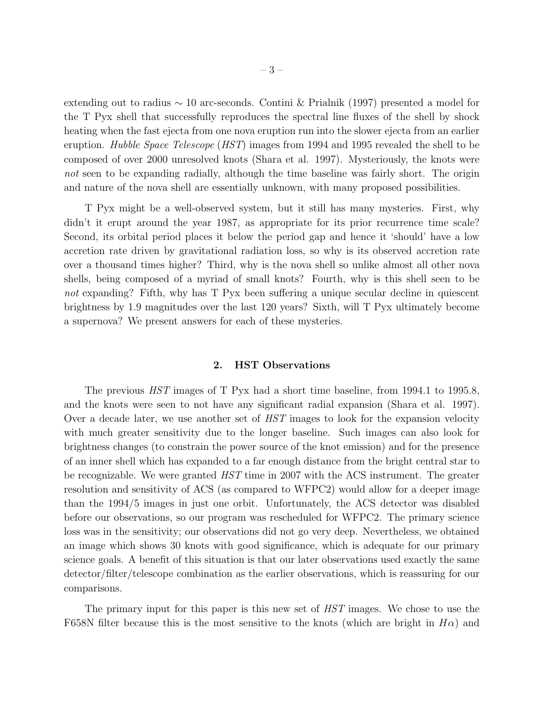extending out to radius ∼ 10 arc-seconds. Contini & Prialnik (1997) presented a model for the T Pyx shell that successfully reproduces the spectral line fluxes of the shell by shock heating when the fast ejecta from one nova eruption run into the slower ejecta from an earlier eruption. *Hubble Space Telescope* (*HST*) images from 1994 and 1995 revealed the shell to be composed of over 2000 unresolved knots (Shara et al. 1997). Mysteriously, the knots were *not* seen to be expanding radially, although the time baseline was fairly short. The origin and nature of the nova shell are essentially unknown, with many proposed possibilities.

T Pyx might be a well-observed system, but it still has many mysteries. First, why didn't it erupt around the year 1987, as appropriate for its prior recurrence time scale? Second, its orbital period places it below the period gap and hence it 'should' have a low accretion rate driven by gravitational radiation loss, so why is its observed accretion rate over a thousand times higher? Third, why is the nova shell so unlike almost all other nova shells, being composed of a myriad of small knots? Fourth, why is this shell seen to be *not* expanding? Fifth, why has T Pyx been suffering a unique secular decline in quiescent brightness by 1.9 magnitudes over the last 120 years? Sixth, will T Pyx ultimately become a supernova? We present answers for each of these mysteries.

## 2. HST Observations

The previous *HST* images of T Pyx had a short time baseline, from 1994.1 to 1995.8, and the knots were seen to not have any significant radial expansion (Shara et al. 1997). Over a decade later, we use another set of *HST* images to look for the expansion velocity with much greater sensitivity due to the longer baseline. Such images can also look for brightness changes (to constrain the power source of the knot emission) and for the presence of an inner shell which has expanded to a far enough distance from the bright central star to be recognizable. We were granted *HST* time in 2007 with the ACS instrument. The greater resolution and sensitivity of ACS (as compared to WFPC2) would allow for a deeper image than the 1994/5 images in just one orbit. Unfortunately, the ACS detector was disabled before our observations, so our program was rescheduled for WFPC2. The primary science loss was in the sensitivity; our observations did not go very deep. Nevertheless, we obtained an image which shows 30 knots with good significance, which is adequate for our primary science goals. A benefit of this situation is that our later observations used exactly the same detector/filter/telescope combination as the earlier observations, which is reassuring for our comparisons.

The primary input for this paper is this new set of *HST* images. We chose to use the F658N filter because this is the most sensitive to the knots (which are bright in  $H\alpha$ ) and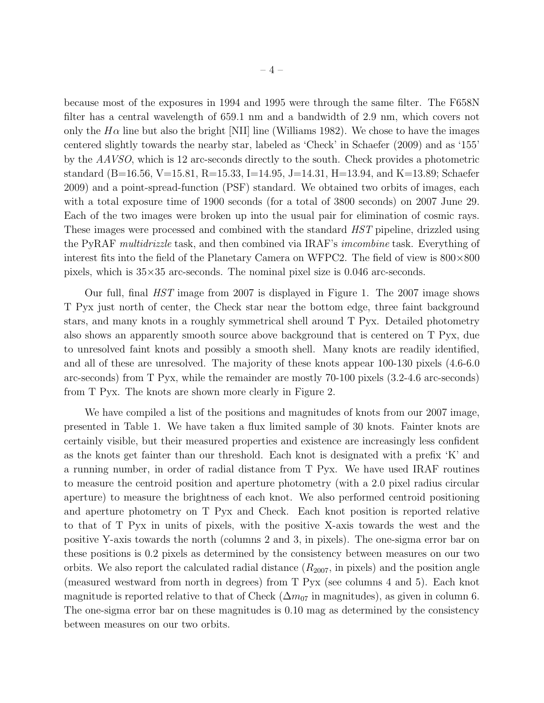because most of the exposures in 1994 and 1995 were through the same filter. The F658N filter has a central wavelength of 659.1 nm and a bandwidth of 2.9 nm, which covers not only the  $H\alpha$  line but also the bright [NII] line (Williams 1982). We chose to have the images centered slightly towards the nearby star, labeled as 'Check' in Schaefer (2009) and as '155' by the *AAVSO*, which is 12 arc-seconds directly to the south. Check provides a photometric standard (B=16.56, V=15.81, R=15.33, I=14.95, J=14.31, H=13.94, and K=13.89; Schaefer 2009) and a point-spread-function (PSF) standard. We obtained two orbits of images, each with a total exposure time of 1900 seconds (for a total of 3800 seconds) on 2007 June 29. Each of the two images were broken up into the usual pair for elimination of cosmic rays. These images were processed and combined with the standard *HST* pipeline, drizzled using the PyRAF *multidrizzle* task, and then combined via IRAF's *imcombine* task. Everything of interest fits into the field of the Planetary Camera on WFPC2. The field of view is 800×800 pixels, which is  $35\times35$  arc-seconds. The nominal pixel size is 0.046 arc-seconds.

Our full, final *HST* image from 2007 is displayed in Figure 1. The 2007 image shows T Pyx just north of center, the Check star near the bottom edge, three faint background stars, and many knots in a roughly symmetrical shell around T Pyx. Detailed photometry also shows an apparently smooth source above background that is centered on T Pyx, due to unresolved faint knots and possibly a smooth shell. Many knots are readily identified, and all of these are unresolved. The majority of these knots appear 100-130 pixels (4.6-6.0 arc-seconds) from T Pyx, while the remainder are mostly 70-100 pixels (3.2-4.6 arc-seconds) from T Pyx. The knots are shown more clearly in Figure 2.

We have compiled a list of the positions and magnitudes of knots from our 2007 image, presented in Table 1. We have taken a flux limited sample of 30 knots. Fainter knots are certainly visible, but their measured properties and existence are increasingly less confident as the knots get fainter than our threshold. Each knot is designated with a prefix 'K' and a running number, in order of radial distance from T Pyx. We have used IRAF routines to measure the centroid position and aperture photometry (with a 2.0 pixel radius circular aperture) to measure the brightness of each knot. We also performed centroid positioning and aperture photometry on T Pyx and Check. Each knot position is reported relative to that of T Pyx in units of pixels, with the positive X-axis towards the west and the positive Y-axis towards the north (columns 2 and 3, in pixels). The one-sigma error bar on these positions is 0.2 pixels as determined by the consistency between measures on our two orbits. We also report the calculated radial distance  $(R_{2007}, \text{in pixels})$  and the position angle (measured westward from north in degrees) from T Pyx (see columns 4 and 5). Each knot magnitude is reported relative to that of Check ( $\Delta m_{07}$  in magnitudes), as given in column 6. The one-sigma error bar on these magnitudes is 0.10 mag as determined by the consistency between measures on our two orbits.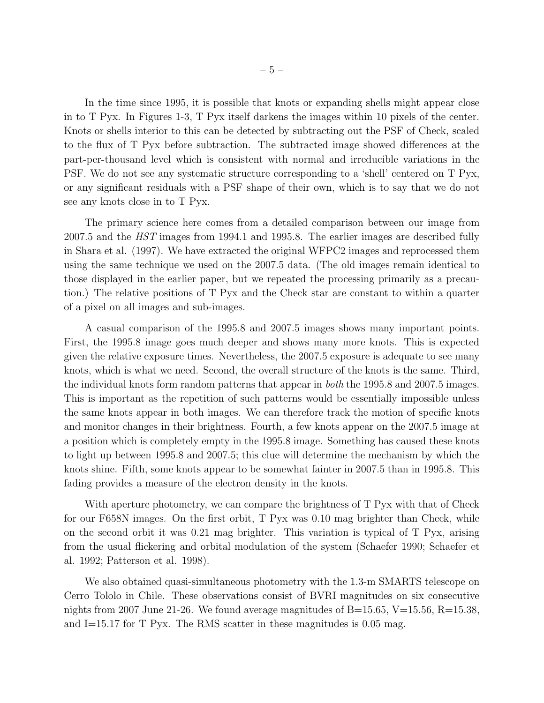In the time since 1995, it is possible that knots or expanding shells might appear close in to T Pyx. In Figures 1-3, T Pyx itself darkens the images within 10 pixels of the center. Knots or shells interior to this can be detected by subtracting out the PSF of Check, scaled to the flux of T Pyx before subtraction. The subtracted image showed differences at the part-per-thousand level which is consistent with normal and irreducible variations in the PSF. We do not see any systematic structure corresponding to a 'shell' centered on T Pyx, or any significant residuals with a PSF shape of their own, which is to say that we do not see any knots close in to T Pyx.

The primary science here comes from a detailed comparison between our image from 2007.5 and the *HST* images from 1994.1 and 1995.8. The earlier images are described fully in Shara et al. (1997). We have extracted the original WFPC2 images and reprocessed them using the same technique we used on the 2007.5 data. (The old images remain identical to those displayed in the earlier paper, but we repeated the processing primarily as a precaution.) The relative positions of T Pyx and the Check star are constant to within a quarter of a pixel on all images and sub-images.

A casual comparison of the 1995.8 and 2007.5 images shows many important points. First, the 1995.8 image goes much deeper and shows many more knots. This is expected given the relative exposure times. Nevertheless, the 2007.5 exposure is adequate to see many knots, which is what we need. Second, the overall structure of the knots is the same. Third, the individual knots form random patterns that appear in *both* the 1995.8 and 2007.5 images. This is important as the repetition of such patterns would be essentially impossible unless the same knots appear in both images. We can therefore track the motion of specific knots and monitor changes in their brightness. Fourth, a few knots appear on the 2007.5 image at a position which is completely empty in the 1995.8 image. Something has caused these knots to light up between 1995.8 and 2007.5; this clue will determine the mechanism by which the knots shine. Fifth, some knots appear to be somewhat fainter in 2007.5 than in 1995.8. This fading provides a measure of the electron density in the knots.

With aperture photometry, we can compare the brightness of T Pyx with that of Check for our F658N images. On the first orbit, T Pyx was 0.10 mag brighter than Check, while on the second orbit it was 0.21 mag brighter. This variation is typical of T Pyx, arising from the usual flickering and orbital modulation of the system (Schaefer 1990; Schaefer et al. 1992; Patterson et al. 1998).

We also obtained quasi-simultaneous photometry with the 1.3-m SMARTS telescope on Cerro Tololo in Chile. These observations consist of BVRI magnitudes on six consecutive nights from 2007 June 21-26. We found average magnitudes of  $B=15.65$ ,  $V=15.56$ ,  $R=15.38$ , and I=15.17 for T Pyx. The RMS scatter in these magnitudes is 0.05 mag.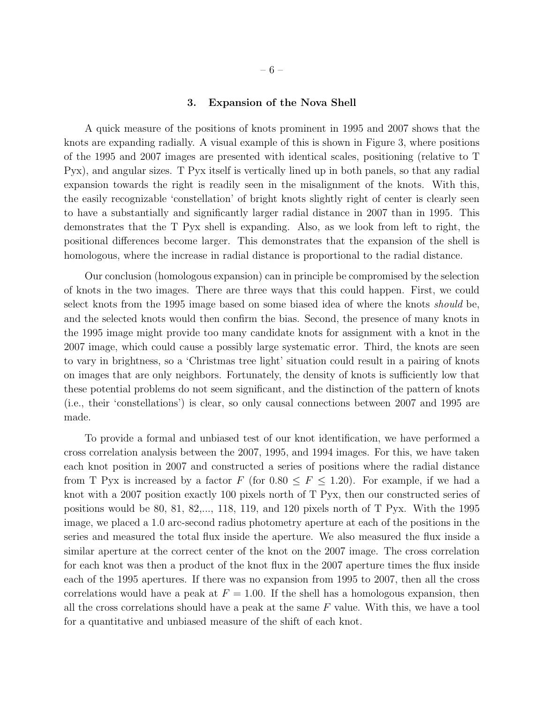#### 3. Expansion of the Nova Shell

A quick measure of the positions of knots prominent in 1995 and 2007 shows that the knots are expanding radially. A visual example of this is shown in Figure 3, where positions of the 1995 and 2007 images are presented with identical scales, positioning (relative to T Pyx), and angular sizes. T Pyx itself is vertically lined up in both panels, so that any radial expansion towards the right is readily seen in the misalignment of the knots. With this, the easily recognizable 'constellation' of bright knots slightly right of center is clearly seen to have a substantially and significantly larger radial distance in 2007 than in 1995. This demonstrates that the T Pyx shell is expanding. Also, as we look from left to right, the positional differences become larger. This demonstrates that the expansion of the shell is homologous, where the increase in radial distance is proportional to the radial distance.

Our conclusion (homologous expansion) can in principle be compromised by the selection of knots in the two images. There are three ways that this could happen. First, we could select knots from the 1995 image based on some biased idea of where the knots *should* be, and the selected knots would then confirm the bias. Second, the presence of many knots in the 1995 image might provide too many candidate knots for assignment with a knot in the 2007 image, which could cause a possibly large systematic error. Third, the knots are seen to vary in brightness, so a 'Christmas tree light' situation could result in a pairing of knots on images that are only neighbors. Fortunately, the density of knots is sufficiently low that these potential problems do not seem significant, and the distinction of the pattern of knots (i.e., their 'constellations') is clear, so only causal connections between 2007 and 1995 are made.

To provide a formal and unbiased test of our knot identification, we have performed a cross correlation analysis between the 2007, 1995, and 1994 images. For this, we have taken each knot position in 2007 and constructed a series of positions where the radial distance from T Pyx is increased by a factor F (for  $0.80 \leq F \leq 1.20$ ). For example, if we had a knot with a 2007 position exactly 100 pixels north of T Pyx, then our constructed series of positions would be 80, 81, 82,..., 118, 119, and 120 pixels north of  $T$  Pyx. With the 1995 image, we placed a 1.0 arc-second radius photometry aperture at each of the positions in the series and measured the total flux inside the aperture. We also measured the flux inside a similar aperture at the correct center of the knot on the 2007 image. The cross correlation for each knot was then a product of the knot flux in the 2007 aperture times the flux inside each of the 1995 apertures. If there was no expansion from 1995 to 2007, then all the cross correlations would have a peak at  $F = 1.00$ . If the shell has a homologous expansion, then all the cross correlations should have a peak at the same  $F$  value. With this, we have a tool for a quantitative and unbiased measure of the shift of each knot.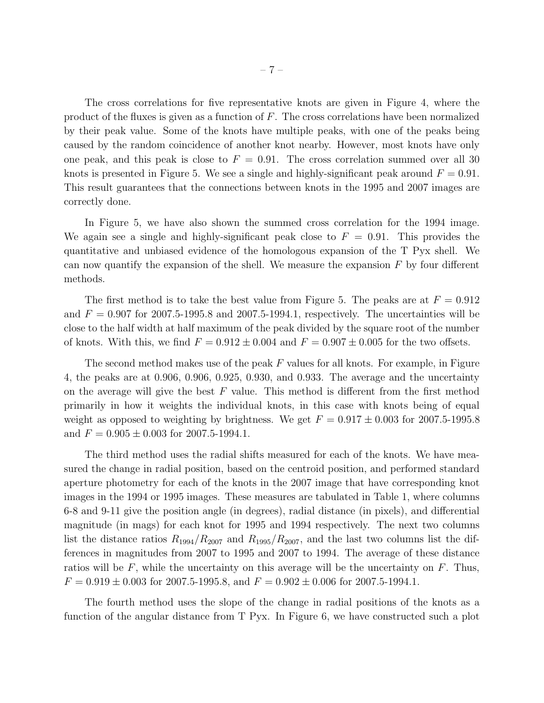The cross correlations for five representative knots are given in Figure 4, where the product of the fluxes is given as a function of  $F$ . The cross correlations have been normalized by their peak value. Some of the knots have multiple peaks, with one of the peaks being caused by the random coincidence of another knot nearby. However, most knots have only one peak, and this peak is close to  $F = 0.91$ . The cross correlation summed over all 30 knots is presented in Figure 5. We see a single and highly-significant peak around  $F = 0.91$ . This result guarantees that the connections between knots in the 1995 and 2007 images are correctly done.

In Figure 5, we have also shown the summed cross correlation for the 1994 image. We again see a single and highly-significant peak close to  $F = 0.91$ . This provides the quantitative and unbiased evidence of the homologous expansion of the T Pyx shell. We can now quantify the expansion of the shell. We measure the expansion  $F$  by four different methods.

The first method is to take the best value from Figure 5. The peaks are at  $F = 0.912$ and  $F = 0.907$  for 2007.5-1995.8 and 2007.5-1994.1, respectively. The uncertainties will be close to the half width at half maximum of the peak divided by the square root of the number of knots. With this, we find  $F = 0.912 \pm 0.004$  and  $F = 0.907 \pm 0.005$  for the two offsets.

The second method makes use of the peak F values for all knots. For example, in Figure 4, the peaks are at 0.906, 0.906, 0.925, 0.930, and 0.933. The average and the uncertainty on the average will give the best  $F$  value. This method is different from the first method primarily in how it weights the individual knots, in this case with knots being of equal weight as opposed to weighting by brightness. We get  $F = 0.917 \pm 0.003$  for 2007.5-1995.8 and  $F = 0.905 \pm 0.003$  for 2007.5-1994.1.

The third method uses the radial shifts measured for each of the knots. We have measured the change in radial position, based on the centroid position, and performed standard aperture photometry for each of the knots in the 2007 image that have corresponding knot images in the 1994 or 1995 images. These measures are tabulated in Table 1, where columns 6-8 and 9-11 give the position angle (in degrees), radial distance (in pixels), and differential magnitude (in mags) for each knot for 1995 and 1994 respectively. The next two columns list the distance ratios  $R_{1994}/R_{2007}$  and  $R_{1995}/R_{2007}$ , and the last two columns list the differences in magnitudes from 2007 to 1995 and 2007 to 1994. The average of these distance ratios will be  $F$ , while the uncertainty on this average will be the uncertainty on  $F$ . Thus,  $F = 0.919 \pm 0.003$  for 2007.5-1995.8, and  $F = 0.902 \pm 0.006$  for 2007.5-1994.1.

The fourth method uses the slope of the change in radial positions of the knots as a function of the angular distance from T Pyx. In Figure 6, we have constructed such a plot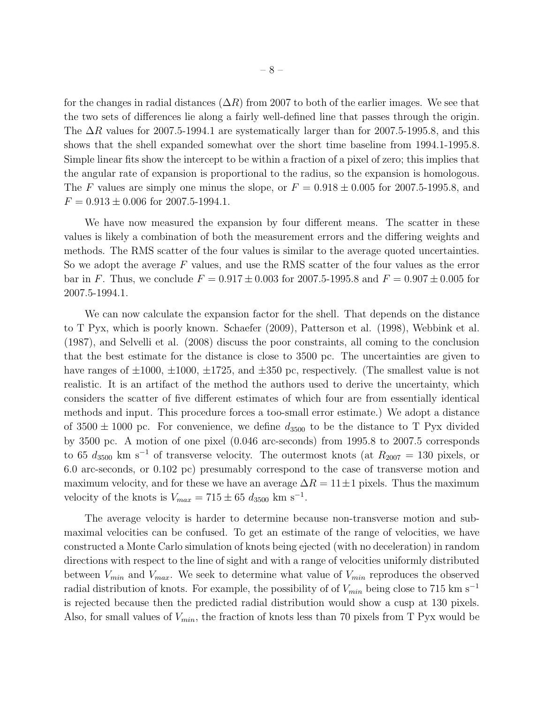for the changes in radial distances  $(\Delta R)$  from 2007 to both of the earlier images. We see that the two sets of differences lie along a fairly well-defined line that passes through the origin. The  $\Delta R$  values for 2007.5-1994.1 are systematically larger than for 2007.5-1995.8, and this shows that the shell expanded somewhat over the short time baseline from 1994.1-1995.8. Simple linear fits show the intercept to be within a fraction of a pixel of zero; this implies that the angular rate of expansion is proportional to the radius, so the expansion is homologous. The F values are simply one minus the slope, or  $F = 0.918 \pm 0.005$  for 2007.5-1995.8, and  $F = 0.913 \pm 0.006$  for 2007.5-1994.1.

We have now measured the expansion by four different means. The scatter in these values is likely a combination of both the measurement errors and the differing weights and methods. The RMS scatter of the four values is similar to the average quoted uncertainties. So we adopt the average  $F$  values, and use the RMS scatter of the four values as the error bar in F. Thus, we conclude  $F = 0.917 \pm 0.003$  for 2007.5-1995.8 and  $F = 0.907 \pm 0.005$  for 2007.5-1994.1.

We can now calculate the expansion factor for the shell. That depends on the distance to T Pyx, which is poorly known. Schaefer (2009), Patterson et al. (1998), Webbink et al. (1987), and Selvelli et al. (2008) discuss the poor constraints, all coming to the conclusion that the best estimate for the distance is close to 3500 pc. The uncertainties are given to have ranges of  $\pm 1000$ ,  $\pm 1000$ ,  $\pm 1725$ , and  $\pm 350$  pc, respectively. (The smallest value is not realistic. It is an artifact of the method the authors used to derive the uncertainty, which considers the scatter of five different estimates of which four are from essentially identical methods and input. This procedure forces a too-small error estimate.) We adopt a distance of  $3500 \pm 1000$  pc. For convenience, we define  $d_{3500}$  to be the distance to T Pyx divided by 3500 pc. A motion of one pixel (0.046 arc-seconds) from 1995.8 to 2007.5 corresponds to 65  $d_{3500}$  km s<sup>-1</sup> of transverse velocity. The outermost knots (at  $R_{2007} = 130$  pixels, or 6.0 arc-seconds, or 0.102 pc) presumably correspond to the case of transverse motion and maximum velocity, and for these we have an average  $\Delta R = 11 \pm 1$  pixels. Thus the maximum velocity of the knots is  $V_{max} = 715 \pm 65 d_{3500} \text{ km s}^{-1}$ .

The average velocity is harder to determine because non-transverse motion and submaximal velocities can be confused. To get an estimate of the range of velocities, we have constructed a Monte Carlo simulation of knots being ejected (with no deceleration) in random directions with respect to the line of sight and with a range of velocities uniformly distributed between  $V_{min}$  and  $V_{max}$ . We seek to determine what value of  $V_{min}$  reproduces the observed radial distribution of knots. For example, the possibility of of  $V_{min}$  being close to 715 km s<sup>-1</sup> is rejected because then the predicted radial distribution would show a cusp at 130 pixels. Also, for small values of  $V_{min}$ , the fraction of knots less than 70 pixels from T Pyx would be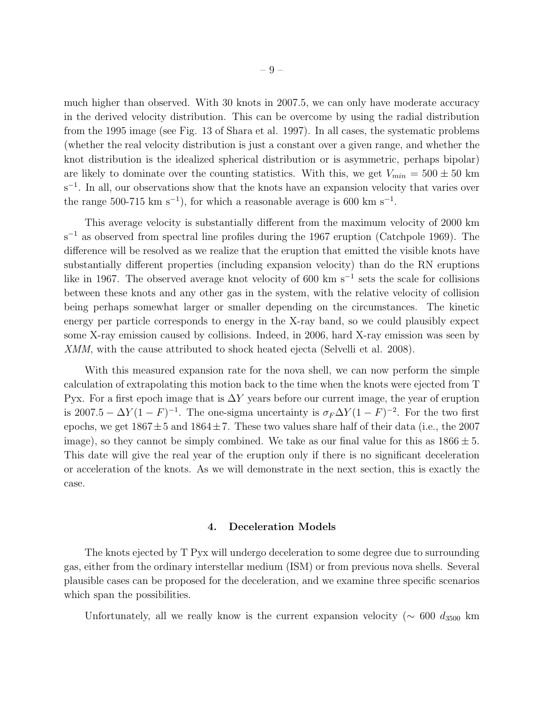much higher than observed. With 30 knots in 2007.5, we can only have moderate accuracy in the derived velocity distribution. This can be overcome by using the radial distribution from the 1995 image (see Fig. 13 of Shara et al. 1997). In all cases, the systematic problems (whether the real velocity distribution is just a constant over a given range, and whether the knot distribution is the idealized spherical distribution or is asymmetric, perhaps bipolar) are likely to dominate over the counting statistics. With this, we get  $V_{min} = 500 \pm 50$  km s<sup>-1</sup>. In all, our observations show that the knots have an expansion velocity that varies over the range 500-715 km s<sup>-1</sup>), for which a reasonable average is 600 km s<sup>-1</sup>.

This average velocity is substantially different from the maximum velocity of 2000 km  $s^{-1}$  as observed from spectral line profiles during the 1967 eruption (Catchpole 1969). The difference will be resolved as we realize that the eruption that emitted the visible knots have substantially different properties (including expansion velocity) than do the RN eruptions like in 1967. The observed average knot velocity of 600 km s<sup>-1</sup> sets the scale for collisions between these knots and any other gas in the system, with the relative velocity of collision being perhaps somewhat larger or smaller depending on the circumstances. The kinetic energy per particle corresponds to energy in the X-ray band, so we could plausibly expect some X-ray emission caused by collisions. Indeed, in 2006, hard X-ray emission was seen by XMM, with the cause attributed to shock heated ejecta (Selvelli et al. 2008).

With this measured expansion rate for the nova shell, we can now perform the simple calculation of extrapolating this motion back to the time when the knots were ejected from T Pyx. For a first epoch image that is  $\Delta Y$  years before our current image, the year of eruption is 2007.5 –  $\Delta Y (1 - F)^{-1}$ . The one-sigma uncertainty is  $\sigma_F \Delta Y (1 - F)^{-2}$ . For the two first epochs, we get  $1867 \pm 5$  and  $1864 \pm 7$ . These two values share half of their data (i.e., the 2007 image), so they cannot be simply combined. We take as our final value for this as  $1866 \pm 5$ . This date will give the real year of the eruption only if there is no significant deceleration or acceleration of the knots. As we will demonstrate in the next section, this is exactly the case.

# 4. Deceleration Models

The knots ejected by T Pyx will undergo deceleration to some degree due to surrounding gas, either from the ordinary interstellar medium (ISM) or from previous nova shells. Several plausible cases can be proposed for the deceleration, and we examine three specific scenarios which span the possibilities.

Unfortunately, all we really know is the current expansion velocity ( $\sim 600 d_{3500}$  km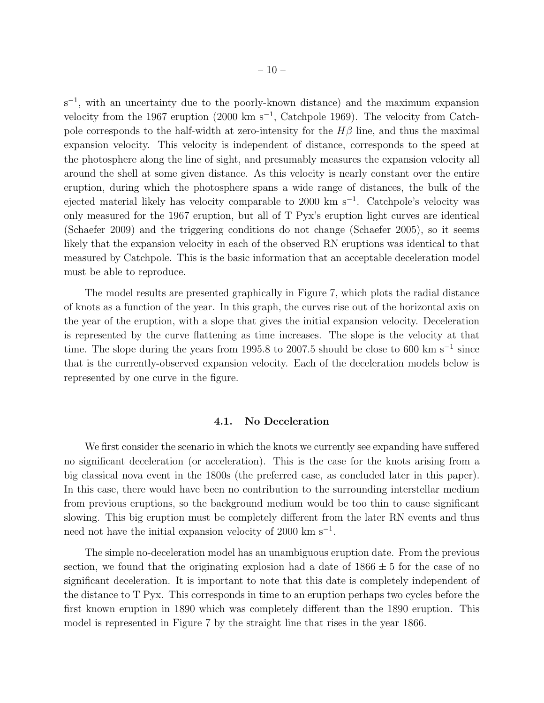s<sup>-1</sup>, with an uncertainty due to the poorly-known distance) and the maximum expansion velocity from the 1967 eruption (2000 km s<sup>-1</sup>, Catchpole 1969). The velocity from Catchpole corresponds to the half-width at zero-intensity for the  $H\beta$  line, and thus the maximal expansion velocity. This velocity is independent of distance, corresponds to the speed at the photosphere along the line of sight, and presumably measures the expansion velocity all around the shell at some given distance. As this velocity is nearly constant over the entire eruption, during which the photosphere spans a wide range of distances, the bulk of the ejected material likely has velocity comparable to 2000 km s<sup>-1</sup>. Catchpole's velocity was only measured for the 1967 eruption, but all of T Pyx's eruption light curves are identical (Schaefer 2009) and the triggering conditions do not change (Schaefer 2005), so it seems likely that the expansion velocity in each of the observed RN eruptions was identical to that measured by Catchpole. This is the basic information that an acceptable deceleration model must be able to reproduce.

The model results are presented graphically in Figure 7, which plots the radial distance of knots as a function of the year. In this graph, the curves rise out of the horizontal axis on the year of the eruption, with a slope that gives the initial expansion velocity. Deceleration is represented by the curve flattening as time increases. The slope is the velocity at that time. The slope during the years from 1995.8 to 2007.5 should be close to 600 km s<sup>-1</sup> since that is the currently-observed expansion velocity. Each of the deceleration models below is represented by one curve in the figure.

#### 4.1. No Deceleration

We first consider the scenario in which the knots we currently see expanding have suffered no significant deceleration (or acceleration). This is the case for the knots arising from a big classical nova event in the 1800s (the preferred case, as concluded later in this paper). In this case, there would have been no contribution to the surrounding interstellar medium from previous eruptions, so the background medium would be too thin to cause significant slowing. This big eruption must be completely different from the later RN events and thus need not have the initial expansion velocity of 2000 km s<sup>-1</sup>.

The simple no-deceleration model has an unambiguous eruption date. From the previous section, we found that the originating explosion had a date of  $1866 \pm 5$  for the case of no significant deceleration. It is important to note that this date is completely independent of the distance to T Pyx. This corresponds in time to an eruption perhaps two cycles before the first known eruption in 1890 which was completely different than the 1890 eruption. This model is represented in Figure 7 by the straight line that rises in the year 1866.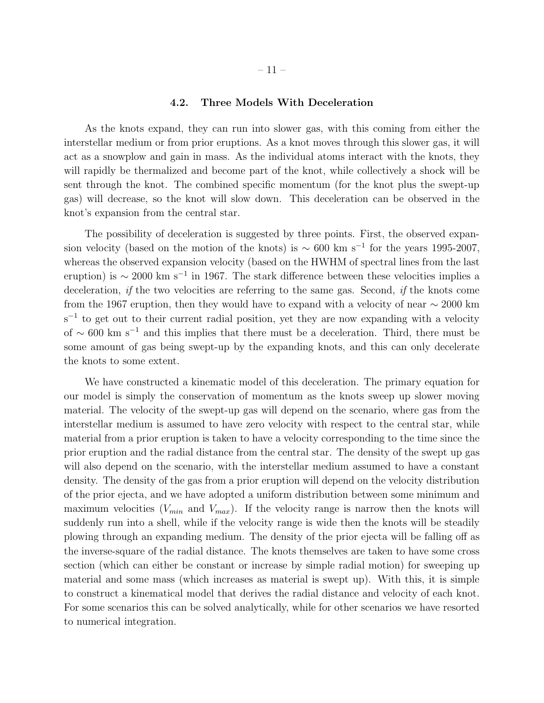#### 4.2. Three Models With Deceleration

As the knots expand, they can run into slower gas, with this coming from either the interstellar medium or from prior eruptions. As a knot moves through this slower gas, it will act as a snowplow and gain in mass. As the individual atoms interact with the knots, they will rapidly be thermalized and become part of the knot, while collectively a shock will be sent through the knot. The combined specific momentum (for the knot plus the swept-up gas) will decrease, so the knot will slow down. This deceleration can be observed in the knot's expansion from the central star.

The possibility of deceleration is suggested by three points. First, the observed expansion velocity (based on the motion of the knots) is  $\sim 600 \text{ km s}^{-1}$  for the years 1995-2007, whereas the observed expansion velocity (based on the HWHM of spectral lines from the last eruption) is  $\sim 2000 \text{ km s}^{-1}$  in 1967. The stark difference between these velocities implies a deceleration, *if* the two velocities are referring to the same gas. Second, *if* the knots come from the 1967 eruption, then they would have to expand with a velocity of near  $\sim 2000 \text{ km}$ s<sup>-1</sup> to get out to their current radial position, yet they are now expanding with a velocity of  $\sim$  600 km s<sup>-1</sup> and this implies that there must be a deceleration. Third, there must be some amount of gas being swept-up by the expanding knots, and this can only decelerate the knots to some extent.

We have constructed a kinematic model of this deceleration. The primary equation for our model is simply the conservation of momentum as the knots sweep up slower moving material. The velocity of the swept-up gas will depend on the scenario, where gas from the interstellar medium is assumed to have zero velocity with respect to the central star, while material from a prior eruption is taken to have a velocity corresponding to the time since the prior eruption and the radial distance from the central star. The density of the swept up gas will also depend on the scenario, with the interstellar medium assumed to have a constant density. The density of the gas from a prior eruption will depend on the velocity distribution of the prior ejecta, and we have adopted a uniform distribution between some minimum and maximum velocities  $(V_{min}$  and  $V_{max}$ ). If the velocity range is narrow then the knots will suddenly run into a shell, while if the velocity range is wide then the knots will be steadily plowing through an expanding medium. The density of the prior ejecta will be falling off as the inverse-square of the radial distance. The knots themselves are taken to have some cross section (which can either be constant or increase by simple radial motion) for sweeping up material and some mass (which increases as material is swept up). With this, it is simple to construct a kinematical model that derives the radial distance and velocity of each knot. For some scenarios this can be solved analytically, while for other scenarios we have resorted to numerical integration.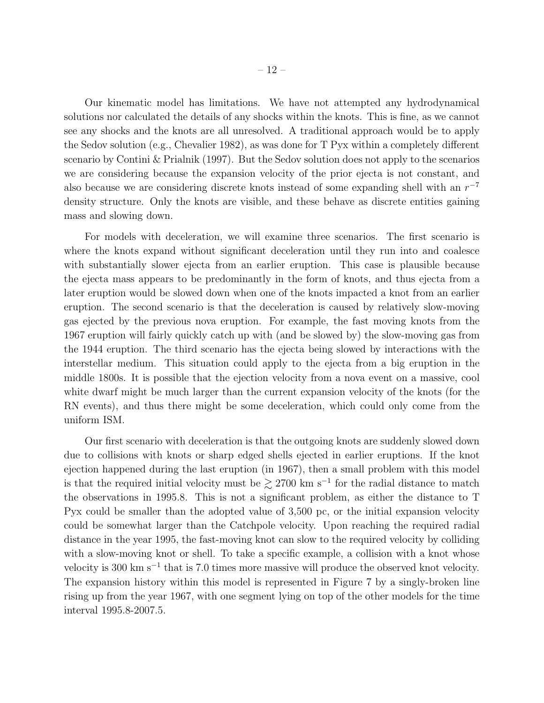Our kinematic model has limitations. We have not attempted any hydrodynamical solutions nor calculated the details of any shocks within the knots. This is fine, as we cannot see any shocks and the knots are all unresolved. A traditional approach would be to apply the Sedov solution (e.g., Chevalier 1982), as was done for T Pyx within a completely different scenario by Contini & Prialnik (1997). But the Sedov solution does not apply to the scenarios we are considering because the expansion velocity of the prior ejecta is not constant, and also because we are considering discrete knots instead of some expanding shell with an  $r^{-7}$ density structure. Only the knots are visible, and these behave as discrete entities gaining mass and slowing down.

For models with deceleration, we will examine three scenarios. The first scenario is where the knots expand without significant deceleration until they run into and coalesce with substantially slower ejecta from an earlier eruption. This case is plausible because the ejecta mass appears to be predominantly in the form of knots, and thus ejecta from a later eruption would be slowed down when one of the knots impacted a knot from an earlier eruption. The second scenario is that the deceleration is caused by relatively slow-moving gas ejected by the previous nova eruption. For example, the fast moving knots from the 1967 eruption will fairly quickly catch up with (and be slowed by) the slow-moving gas from the 1944 eruption. The third scenario has the ejecta being slowed by interactions with the interstellar medium. This situation could apply to the ejecta from a big eruption in the middle 1800s. It is possible that the ejection velocity from a nova event on a massive, cool white dwarf might be much larger than the current expansion velocity of the knots (for the RN events), and thus there might be some deceleration, which could only come from the uniform ISM.

Our first scenario with deceleration is that the outgoing knots are suddenly slowed down due to collisions with knots or sharp edged shells ejected in earlier eruptions. If the knot ejection happened during the last eruption (in 1967), then a small problem with this model is that the required initial velocity must be  $\gtrsim 2700$  km s<sup>-1</sup> for the radial distance to match the observations in 1995.8. This is not a significant problem, as either the distance to T Pyx could be smaller than the adopted value of 3,500 pc, or the initial expansion velocity could be somewhat larger than the Catchpole velocity. Upon reaching the required radial distance in the year 1995, the fast-moving knot can slow to the required velocity by colliding with a slow-moving knot or shell. To take a specific example, a collision with a knot whose velocity is 300 km s<sup>-1</sup> that is 7.0 times more massive will produce the observed knot velocity. The expansion history within this model is represented in Figure 7 by a singly-broken line rising up from the year 1967, with one segment lying on top of the other models for the time interval 1995.8-2007.5.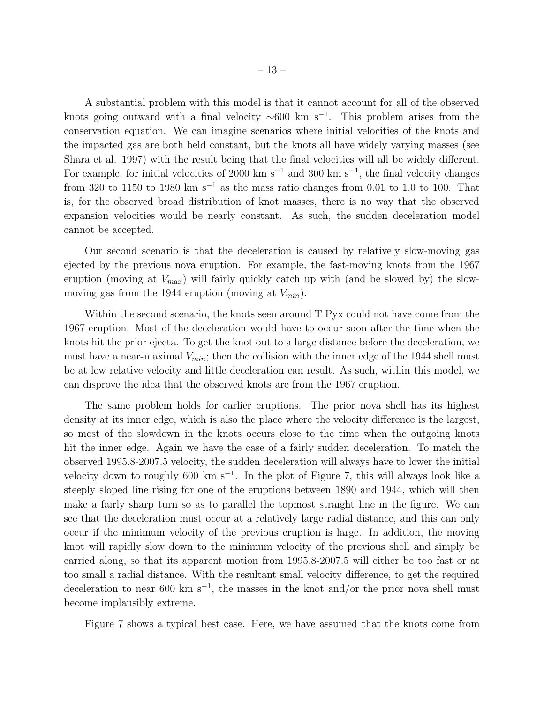A substantial problem with this model is that it cannot account for all of the observed knots going outward with a final velocity  $\sim 600$  km s<sup>-1</sup>. This problem arises from the conservation equation. We can imagine scenarios where initial velocities of the knots and the impacted gas are both held constant, but the knots all have widely varying masses (see Shara et al. 1997) with the result being that the final velocities will all be widely different. For example, for initial velocities of 2000 km s<sup>-1</sup> and 300 km s<sup>-1</sup>, the final velocity changes from 320 to 1150 to 1980 km s<sup>-1</sup> as the mass ratio changes from 0.01 to 1.0 to 100. That is, for the observed broad distribution of knot masses, there is no way that the observed expansion velocities would be nearly constant. As such, the sudden deceleration model cannot be accepted.

Our second scenario is that the deceleration is caused by relatively slow-moving gas ejected by the previous nova eruption. For example, the fast-moving knots from the 1967 eruption (moving at  $V_{max}$ ) will fairly quickly catch up with (and be slowed by) the slowmoving gas from the 1944 eruption (moving at  $V_{min}$ ).

Within the second scenario, the knots seen around T Pyx could not have come from the 1967 eruption. Most of the deceleration would have to occur soon after the time when the knots hit the prior ejecta. To get the knot out to a large distance before the deceleration, we must have a near-maximal  $V_{min}$ ; then the collision with the inner edge of the 1944 shell must be at low relative velocity and little deceleration can result. As such, within this model, we can disprove the idea that the observed knots are from the 1967 eruption.

The same problem holds for earlier eruptions. The prior nova shell has its highest density at its inner edge, which is also the place where the velocity difference is the largest, so most of the slowdown in the knots occurs close to the time when the outgoing knots hit the inner edge. Again we have the case of a fairly sudden deceleration. To match the observed 1995.8-2007.5 velocity, the sudden deceleration will always have to lower the initial velocity down to roughly 600 km s<sup>−</sup><sup>1</sup> . In the plot of Figure 7, this will always look like a steeply sloped line rising for one of the eruptions between 1890 and 1944, which will then make a fairly sharp turn so as to parallel the topmost straight line in the figure. We can see that the deceleration must occur at a relatively large radial distance, and this can only occur if the minimum velocity of the previous eruption is large. In addition, the moving knot will rapidly slow down to the minimum velocity of the previous shell and simply be carried along, so that its apparent motion from 1995.8-2007.5 will either be too fast or at too small a radial distance. With the resultant small velocity difference, to get the required deceleration to near 600 km s<sup>-1</sup>, the masses in the knot and/or the prior nova shell must become implausibly extreme.

Figure 7 shows a typical best case. Here, we have assumed that the knots come from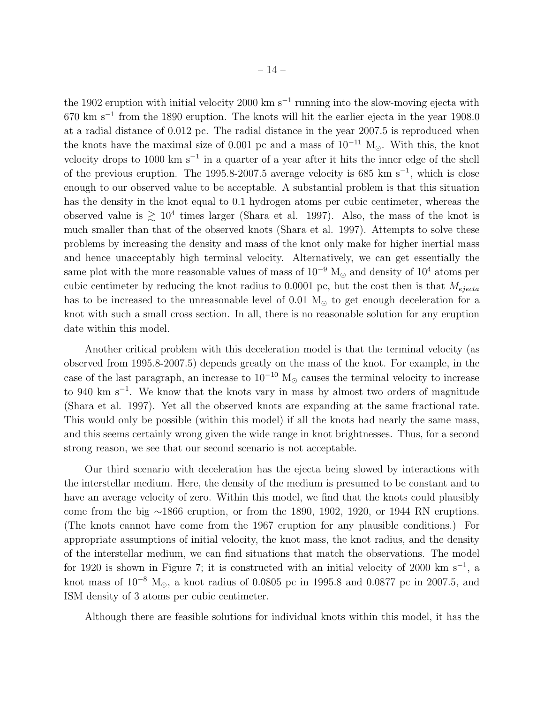the 1902 eruption with initial velocity 2000 km s<sup>−</sup><sup>1</sup> running into the slow-moving ejecta with 670 km s<sup>−</sup><sup>1</sup> from the 1890 eruption. The knots will hit the earlier ejecta in the year 1908.0 at a radial distance of 0.012 pc. The radial distance in the year 2007.5 is reproduced when the knots have the maximal size of 0.001 pc and a mass of  $10^{-11}$  M<sub>☉</sub>. With this, the knot velocity drops to 1000 km s<sup>-1</sup> in a quarter of a year after it hits the inner edge of the shell of the previous eruption. The 1995.8-2007.5 average velocity is 685 km s<sup>-1</sup>, which is close enough to our observed value to be acceptable. A substantial problem is that this situation has the density in the knot equal to 0.1 hydrogen atoms per cubic centimeter, whereas the observed value is  $\gtrsim 10^4$  times larger (Shara et al. 1997). Also, the mass of the knot is much smaller than that of the observed knots (Shara et al. 1997). Attempts to solve these problems by increasing the density and mass of the knot only make for higher inertial mass and hence unacceptably high terminal velocity. Alternatively, we can get essentially the same plot with the more reasonable values of mass of  $10^{-9}$  M<sub>☉</sub> and density of  $10^4$  atoms per cubic centimeter by reducing the knot radius to 0.0001 pc, but the cost then is that  $M_{ejecta}$ has to be increased to the unreasonable level of 0.01  $M_{\odot}$  to get enough deceleration for a knot with such a small cross section. In all, there is no reasonable solution for any eruption date within this model.

Another critical problem with this deceleration model is that the terminal velocity (as observed from 1995.8-2007.5) depends greatly on the mass of the knot. For example, in the case of the last paragraph, an increase to  $10^{-10}$  M<sub> $\odot$ </sub> causes the terminal velocity to increase to 940 km s<sup>−</sup><sup>1</sup> . We know that the knots vary in mass by almost two orders of magnitude (Shara et al. 1997). Yet all the observed knots are expanding at the same fractional rate. This would only be possible (within this model) if all the knots had nearly the same mass, and this seems certainly wrong given the wide range in knot brightnesses. Thus, for a second strong reason, we see that our second scenario is not acceptable.

Our third scenario with deceleration has the ejecta being slowed by interactions with the interstellar medium. Here, the density of the medium is presumed to be constant and to have an average velocity of zero. Within this model, we find that the knots could plausibly come from the big ∼1866 eruption, or from the 1890, 1902, 1920, or 1944 RN eruptions. (The knots cannot have come from the 1967 eruption for any plausible conditions.) For appropriate assumptions of initial velocity, the knot mass, the knot radius, and the density of the interstellar medium, we can find situations that match the observations. The model for 1920 is shown in Figure 7; it is constructed with an initial velocity of 2000 km s<sup>-1</sup>, a knot mass of  $10^{-8}$  M<sub> $\odot$ </sub>, a knot radius of 0.0805 pc in 1995.8 and 0.0877 pc in 2007.5, and ISM density of 3 atoms per cubic centimeter.

Although there are feasible solutions for individual knots within this model, it has the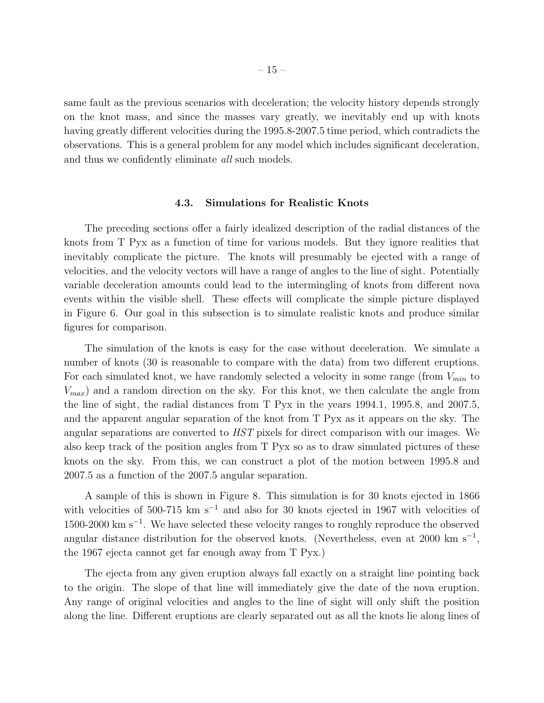same fault as the previous scenarios with deceleration; the velocity history depends strongly on the knot mass, and since the masses vary greatly, we inevitably end up with knots having greatly different velocities during the 1995.8-2007.5 time period, which contradicts the observations. This is a general problem for any model which includes significant deceleration, and thus we confidently eliminate *all* such models.

#### 4.3. Simulations for Realistic Knots

The preceding sections offer a fairly idealized description of the radial distances of the knots from T Pyx as a function of time for various models. But they ignore realities that inevitably complicate the picture. The knots will presumably be ejected with a range of velocities, and the velocity vectors will have a range of angles to the line of sight. Potentially variable deceleration amounts could lead to the intermingling of knots from different nova events within the visible shell. These effects will complicate the simple picture displayed in Figure 6. Our goal in this subsection is to simulate realistic knots and produce similar figures for comparison.

The simulation of the knots is easy for the case without deceleration. We simulate a number of knots (30 is reasonable to compare with the data) from two different eruptions. For each simulated knot, we have randomly selected a velocity in some range (from  $V_{min}$  to  $V_{max}$ ) and a random direction on the sky. For this knot, we then calculate the angle from the line of sight, the radial distances from T Pyx in the years 1994.1, 1995.8, and 2007.5, and the apparent angular separation of the knot from T Pyx as it appears on the sky. The angular separations are converted to *HST* pixels for direct comparison with our images. We also keep track of the position angles from T Pyx so as to draw simulated pictures of these knots on the sky. From this, we can construct a plot of the motion between 1995.8 and 2007.5 as a function of the 2007.5 angular separation.

A sample of this is shown in Figure 8. This simulation is for 30 knots ejected in 1866 with velocities of 500-715 km s<sup>-1</sup> and also for 30 knots ejected in 1967 with velocities of 1500-2000 km s<sup>−</sup><sup>1</sup> . We have selected these velocity ranges to roughly reproduce the observed angular distance distribution for the observed knots. (Nevertheless, even at 2000 km s<sup>-1</sup>, the 1967 ejecta cannot get far enough away from T Pyx.)

The ejecta from any given eruption always fall exactly on a straight line pointing back to the origin. The slope of that line will immediately give the date of the nova eruption. Any range of original velocities and angles to the line of sight will only shift the position along the line. Different eruptions are clearly separated out as all the knots lie along lines of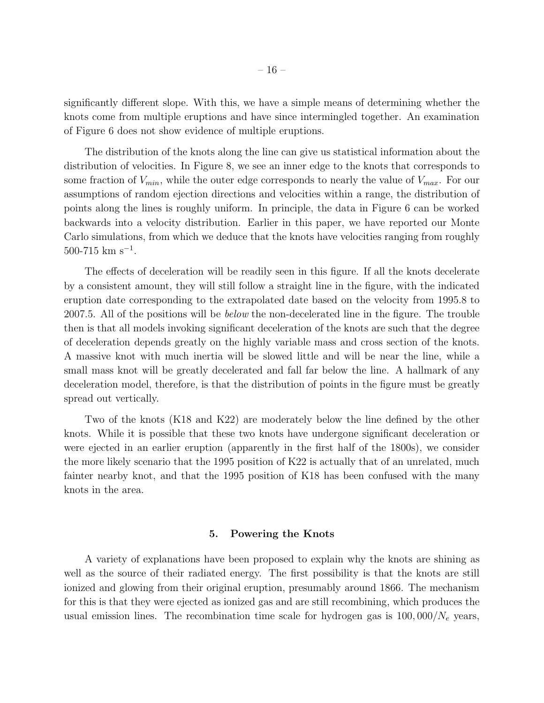significantly different slope. With this, we have a simple means of determining whether the knots come from multiple eruptions and have since intermingled together. An examination of Figure 6 does not show evidence of multiple eruptions.

The distribution of the knots along the line can give us statistical information about the distribution of velocities. In Figure 8, we see an inner edge to the knots that corresponds to some fraction of  $V_{min}$ , while the outer edge corresponds to nearly the value of  $V_{max}$ . For our assumptions of random ejection directions and velocities within a range, the distribution of points along the lines is roughly uniform. In principle, the data in Figure 6 can be worked backwards into a velocity distribution. Earlier in this paper, we have reported our Monte Carlo simulations, from which we deduce that the knots have velocities ranging from roughly  $500-715$  km s<sup>-1</sup>.

The effects of deceleration will be readily seen in this figure. If all the knots decelerate by a consistent amount, they will still follow a straight line in the figure, with the indicated eruption date corresponding to the extrapolated date based on the velocity from 1995.8 to 2007.5. All of the positions will be *below* the non-decelerated line in the figure. The trouble then is that all models invoking significant deceleration of the knots are such that the degree of deceleration depends greatly on the highly variable mass and cross section of the knots. A massive knot with much inertia will be slowed little and will be near the line, while a small mass knot will be greatly decelerated and fall far below the line. A hallmark of any deceleration model, therefore, is that the distribution of points in the figure must be greatly spread out vertically.

Two of the knots (K18 and K22) are moderately below the line defined by the other knots. While it is possible that these two knots have undergone significant deceleration or were ejected in an earlier eruption (apparently in the first half of the 1800s), we consider the more likely scenario that the 1995 position of K22 is actually that of an unrelated, much fainter nearby knot, and that the 1995 position of K18 has been confused with the many knots in the area.

## 5. Powering the Knots

A variety of explanations have been proposed to explain why the knots are shining as well as the source of their radiated energy. The first possibility is that the knots are still ionized and glowing from their original eruption, presumably around 1866. The mechanism for this is that they were ejected as ionized gas and are still recombining, which produces the usual emission lines. The recombination time scale for hydrogen gas is  $100,000/N_e$  years,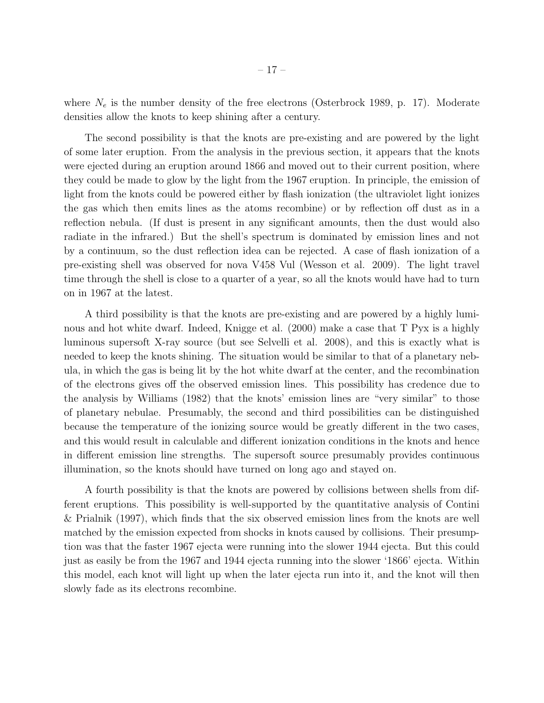where  $N_e$  is the number density of the free electrons (Osterbrock 1989, p. 17). Moderate densities allow the knots to keep shining after a century.

The second possibility is that the knots are pre-existing and are powered by the light of some later eruption. From the analysis in the previous section, it appears that the knots were ejected during an eruption around 1866 and moved out to their current position, where they could be made to glow by the light from the 1967 eruption. In principle, the emission of light from the knots could be powered either by flash ionization (the ultraviolet light ionizes the gas which then emits lines as the atoms recombine) or by reflection off dust as in a reflection nebula. (If dust is present in any significant amounts, then the dust would also radiate in the infrared.) But the shell's spectrum is dominated by emission lines and not by a continuum, so the dust reflection idea can be rejected. A case of flash ionization of a pre-existing shell was observed for nova V458 Vul (Wesson et al. 2009). The light travel time through the shell is close to a quarter of a year, so all the knots would have had to turn on in 1967 at the latest.

A third possibility is that the knots are pre-existing and are powered by a highly luminous and hot white dwarf. Indeed, Knigge et al. (2000) make a case that T Pyx is a highly luminous supersoft X-ray source (but see Selvelli et al. 2008), and this is exactly what is needed to keep the knots shining. The situation would be similar to that of a planetary nebula, in which the gas is being lit by the hot white dwarf at the center, and the recombination of the electrons gives off the observed emission lines. This possibility has credence due to the analysis by Williams (1982) that the knots' emission lines are "very similar" to those of planetary nebulae. Presumably, the second and third possibilities can be distinguished because the temperature of the ionizing source would be greatly different in the two cases, and this would result in calculable and different ionization conditions in the knots and hence in different emission line strengths. The supersoft source presumably provides continuous illumination, so the knots should have turned on long ago and stayed on.

A fourth possibility is that the knots are powered by collisions between shells from different eruptions. This possibility is well-supported by the quantitative analysis of Contini & Prialnik (1997), which finds that the six observed emission lines from the knots are well matched by the emission expected from shocks in knots caused by collisions. Their presumption was that the faster 1967 ejecta were running into the slower 1944 ejecta. But this could just as easily be from the 1967 and 1944 ejecta running into the slower '1866' ejecta. Within this model, each knot will light up when the later ejecta run into it, and the knot will then slowly fade as its electrons recombine.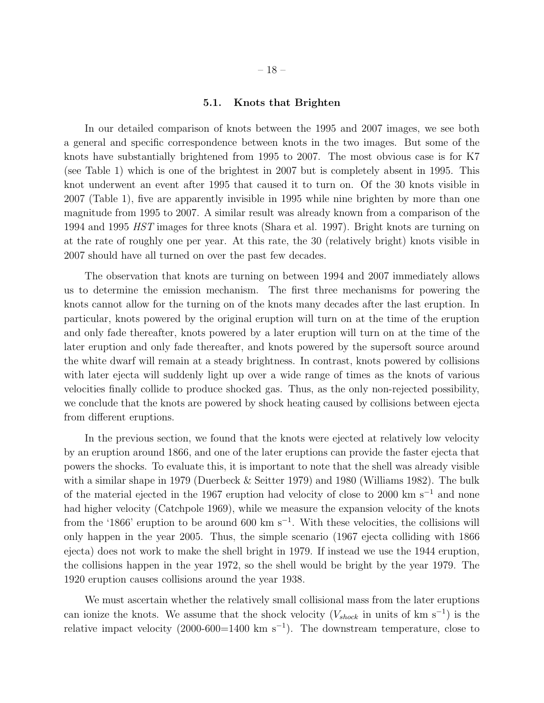## 5.1. Knots that Brighten

In our detailed comparison of knots between the 1995 and 2007 images, we see both a general and specific correspondence between knots in the two images. But some of the knots have substantially brightened from 1995 to 2007. The most obvious case is for K7 (see Table 1) which is one of the brightest in 2007 but is completely absent in 1995. This knot underwent an event after 1995 that caused it to turn on. Of the 30 knots visible in 2007 (Table 1), five are apparently invisible in 1995 while nine brighten by more than one magnitude from 1995 to 2007. A similar result was already known from a comparison of the 1994 and 1995 *HST* images for three knots (Shara et al. 1997). Bright knots are turning on at the rate of roughly one per year. At this rate, the 30 (relatively bright) knots visible in 2007 should have all turned on over the past few decades.

The observation that knots are turning on between 1994 and 2007 immediately allows us to determine the emission mechanism. The first three mechanisms for powering the knots cannot allow for the turning on of the knots many decades after the last eruption. In particular, knots powered by the original eruption will turn on at the time of the eruption and only fade thereafter, knots powered by a later eruption will turn on at the time of the later eruption and only fade thereafter, and knots powered by the supersoft source around the white dwarf will remain at a steady brightness. In contrast, knots powered by collisions with later ejecta will suddenly light up over a wide range of times as the knots of various velocities finally collide to produce shocked gas. Thus, as the only non-rejected possibility, we conclude that the knots are powered by shock heating caused by collisions between ejecta from different eruptions.

In the previous section, we found that the knots were ejected at relatively low velocity by an eruption around 1866, and one of the later eruptions can provide the faster ejecta that powers the shocks. To evaluate this, it is important to note that the shell was already visible with a similar shape in 1979 (Duerbeck & Seitter 1979) and 1980 (Williams 1982). The bulk of the material ejected in the 1967 eruption had velocity of close to 2000 km s<sup>−</sup><sup>1</sup> and none had higher velocity (Catchpole 1969), while we measure the expansion velocity of the knots from the '1866' eruption to be around 600 km  $s^{-1}$ . With these velocities, the collisions will only happen in the year 2005. Thus, the simple scenario (1967 ejecta colliding with 1866 ejecta) does not work to make the shell bright in 1979. If instead we use the 1944 eruption, the collisions happen in the year 1972, so the shell would be bright by the year 1979. The 1920 eruption causes collisions around the year 1938.

We must ascertain whether the relatively small collisional mass from the later eruptions can ionize the knots. We assume that the shock velocity  $(V_{shock}$  in units of km s<sup>-1</sup>) is the relative impact velocity  $(2000-600=1400 \text{ km s}^{-1})$ . The downstream temperature, close to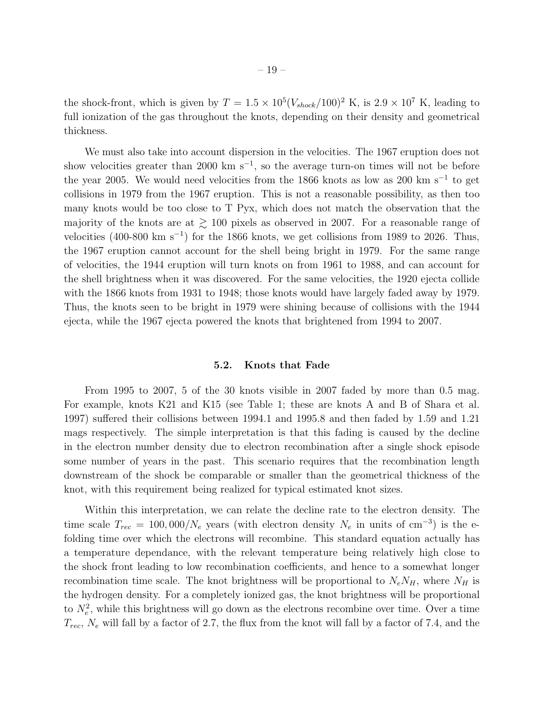the shock-front, which is given by  $T = 1.5 \times 10^5 (V_{shock}/100)^2$  K, is  $2.9 \times 10^7$  K, leading to full ionization of the gas throughout the knots, depending on their density and geometrical thickness.

We must also take into account dispersion in the velocities. The 1967 eruption does not show velocities greater than 2000 km s<sup>-1</sup>, so the average turn-on times will not be before the year 2005. We would need velocities from the 1866 knots as low as 200 km s<sup>-1</sup> to get collisions in 1979 from the 1967 eruption. This is not a reasonable possibility, as then too many knots would be too close to T Pyx, which does not match the observation that the majority of the knots are at  $\gtrsim 100$  pixels as observed in 2007. For a reasonable range of velocities  $(400-800 \text{ km s}^{-1})$  for the 1866 knots, we get collisions from 1989 to 2026. Thus, the 1967 eruption cannot account for the shell being bright in 1979. For the same range of velocities, the 1944 eruption will turn knots on from 1961 to 1988, and can account for the shell brightness when it was discovered. For the same velocities, the 1920 ejecta collide with the 1866 knots from 1931 to 1948; those knots would have largely faded away by 1979. Thus, the knots seen to be bright in 1979 were shining because of collisions with the 1944 ejecta, while the 1967 ejecta powered the knots that brightened from 1994 to 2007.

#### 5.2. Knots that Fade

From 1995 to 2007, 5 of the 30 knots visible in 2007 faded by more than 0.5 mag. For example, knots K21 and K15 (see Table 1; these are knots A and B of Shara et al. 1997) suffered their collisions between 1994.1 and 1995.8 and then faded by 1.59 and 1.21 mags respectively. The simple interpretation is that this fading is caused by the decline in the electron number density due to electron recombination after a single shock episode some number of years in the past. This scenario requires that the recombination length downstream of the shock be comparable or smaller than the geometrical thickness of the knot, with this requirement being realized for typical estimated knot sizes.

Within this interpretation, we can relate the decline rate to the electron density. The time scale  $T_{rec} = 100,000/N_e$  years (with electron density  $N_e$  in units of cm<sup>-3</sup>) is the efolding time over which the electrons will recombine. This standard equation actually has a temperature dependance, with the relevant temperature being relatively high close to the shock front leading to low recombination coefficients, and hence to a somewhat longer recombination time scale. The knot brightness will be proportional to  $N_e N_H$ , where  $N_H$  is the hydrogen density. For a completely ionized gas, the knot brightness will be proportional to  $N_e^2$ , while this brightness will go down as the electrons recombine over time. Over a time  $T_{rec}$ ,  $N_e$  will fall by a factor of 2.7, the flux from the knot will fall by a factor of 7.4, and the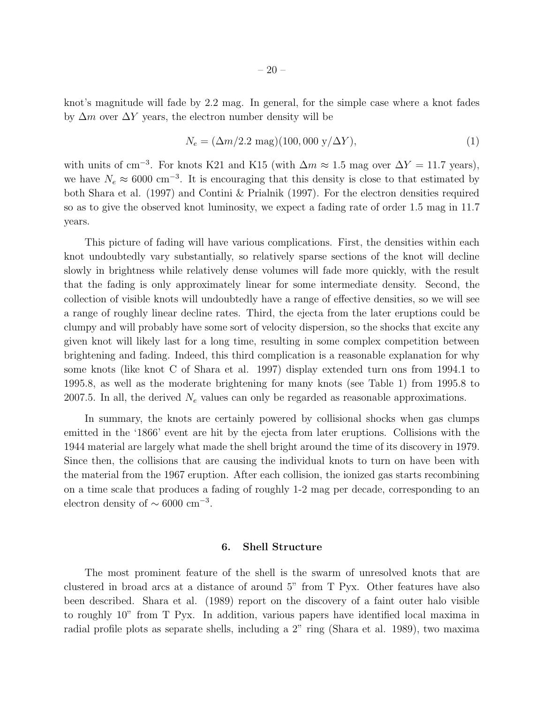knot's magnitude will fade by 2.2 mag. In general, for the simple case where a knot fades by  $\Delta m$  over  $\Delta Y$  years, the electron number density will be

$$
N_e = (\Delta m/2.2 \text{ mag})(100,000 \text{ y}/\Delta Y),\tag{1}
$$

with units of cm<sup>-3</sup>. For knots K21 and K15 (with  $\Delta m \approx 1.5$  mag over  $\Delta Y = 11.7$  years), we have  $N_e \approx 6000 \text{ cm}^{-3}$ . It is encouraging that this density is close to that estimated by both Shara et al. (1997) and Contini & Prialnik (1997). For the electron densities required so as to give the observed knot luminosity, we expect a fading rate of order 1.5 mag in 11.7 years.

This picture of fading will have various complications. First, the densities within each knot undoubtedly vary substantially, so relatively sparse sections of the knot will decline slowly in brightness while relatively dense volumes will fade more quickly, with the result that the fading is only approximately linear for some intermediate density. Second, the collection of visible knots will undoubtedly have a range of effective densities, so we will see a range of roughly linear decline rates. Third, the ejecta from the later eruptions could be clumpy and will probably have some sort of velocity dispersion, so the shocks that excite any given knot will likely last for a long time, resulting in some complex competition between brightening and fading. Indeed, this third complication is a reasonable explanation for why some knots (like knot C of Shara et al. 1997) display extended turn ons from 1994.1 to 1995.8, as well as the moderate brightening for many knots (see Table 1) from 1995.8 to 2007.5. In all, the derived  $N_e$  values can only be regarded as reasonable approximations.

In summary, the knots are certainly powered by collisional shocks when gas clumps emitted in the '1866' event are hit by the ejecta from later eruptions. Collisions with the 1944 material are largely what made the shell bright around the time of its discovery in 1979. Since then, the collisions that are causing the individual knots to turn on have been with the material from the 1967 eruption. After each collision, the ionized gas starts recombining on a time scale that produces a fading of roughly 1-2 mag per decade, corresponding to an electron density of  $\sim 6000 \text{ cm}^{-3}$ .

# 6. Shell Structure

The most prominent feature of the shell is the swarm of unresolved knots that are clustered in broad arcs at a distance of around 5" from T Pyx. Other features have also been described. Shara et al. (1989) report on the discovery of a faint outer halo visible to roughly 10" from T Pyx. In addition, various papers have identified local maxima in radial profile plots as separate shells, including a 2" ring (Shara et al. 1989), two maxima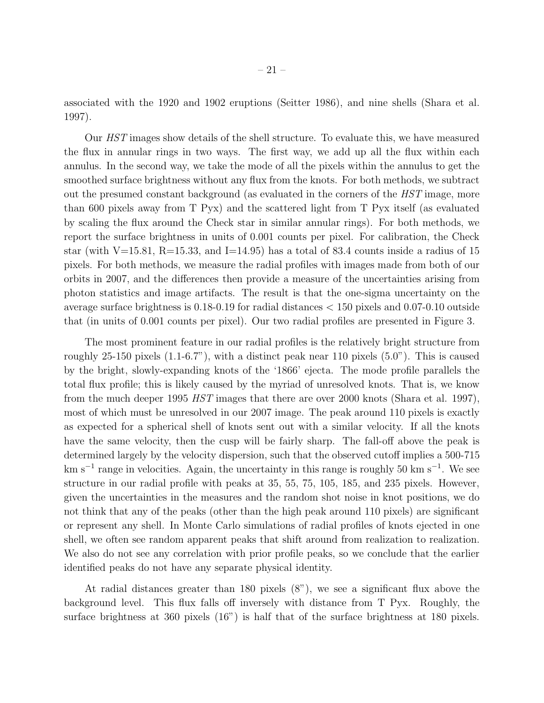associated with the 1920 and 1902 eruptions (Seitter 1986), and nine shells (Shara et al. 1997).

Our *HST* images show details of the shell structure. To evaluate this, we have measured the flux in annular rings in two ways. The first way, we add up all the flux within each annulus. In the second way, we take the mode of all the pixels within the annulus to get the smoothed surface brightness without any flux from the knots. For both methods, we subtract out the presumed constant background (as evaluated in the corners of the *HST* image, more than 600 pixels away from T Pyx) and the scattered light from T Pyx itself (as evaluated by scaling the flux around the Check star in similar annular rings). For both methods, we report the surface brightness in units of 0.001 counts per pixel. For calibration, the Check star (with V=15.81, R=15.33, and I=14.95) has a total of 83.4 counts inside a radius of 15 pixels. For both methods, we measure the radial profiles with images made from both of our orbits in 2007, and the differences then provide a measure of the uncertainties arising from photon statistics and image artifacts. The result is that the one-sigma uncertainty on the average surface brightness is 0.18-0.19 for radial distances < 150 pixels and 0.07-0.10 outside that (in units of 0.001 counts per pixel). Our two radial profiles are presented in Figure 3.

The most prominent feature in our radial profiles is the relatively bright structure from roughly 25-150 pixels  $(1.1-6.7)$ , with a distinct peak near 110 pixels  $(5.0)$ . This is caused by the bright, slowly-expanding knots of the '1866' ejecta. The mode profile parallels the total flux profile; this is likely caused by the myriad of unresolved knots. That is, we know from the much deeper 1995 *HST* images that there are over 2000 knots (Shara et al. 1997), most of which must be unresolved in our 2007 image. The peak around 110 pixels is exactly as expected for a spherical shell of knots sent out with a similar velocity. If all the knots have the same velocity, then the cusp will be fairly sharp. The fall-off above the peak is determined largely by the velocity dispersion, such that the observed cutoff implies a 500-715 km s<sup>-1</sup> range in velocities. Again, the uncertainty in this range is roughly 50 km s<sup>-1</sup>. We see structure in our radial profile with peaks at 35, 55, 75, 105, 185, and 235 pixels. However, given the uncertainties in the measures and the random shot noise in knot positions, we do not think that any of the peaks (other than the high peak around 110 pixels) are significant or represent any shell. In Monte Carlo simulations of radial profiles of knots ejected in one shell, we often see random apparent peaks that shift around from realization to realization. We also do not see any correlation with prior profile peaks, so we conclude that the earlier identified peaks do not have any separate physical identity.

At radial distances greater than 180 pixels (8"), we see a significant flux above the background level. This flux falls off inversely with distance from T Pyx. Roughly, the surface brightness at 360 pixels (16") is half that of the surface brightness at 180 pixels.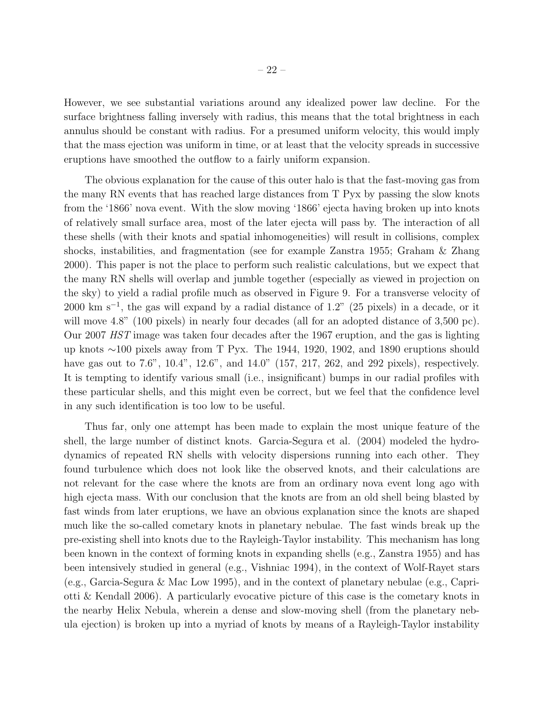However, we see substantial variations around any idealized power law decline. For the surface brightness falling inversely with radius, this means that the total brightness in each annulus should be constant with radius. For a presumed uniform velocity, this would imply that the mass ejection was uniform in time, or at least that the velocity spreads in successive eruptions have smoothed the outflow to a fairly uniform expansion.

The obvious explanation for the cause of this outer halo is that the fast-moving gas from the many RN events that has reached large distances from T Pyx by passing the slow knots from the '1866' nova event. With the slow moving '1866' ejecta having broken up into knots of relatively small surface area, most of the later ejecta will pass by. The interaction of all these shells (with their knots and spatial inhomogeneities) will result in collisions, complex shocks, instabilities, and fragmentation (see for example Zanstra 1955; Graham & Zhang 2000). This paper is not the place to perform such realistic calculations, but we expect that the many RN shells will overlap and jumble together (especially as viewed in projection on the sky) to yield a radial profile much as observed in Figure 9. For a transverse velocity of  $2000 \text{ km s}^{-1}$ , the gas will expand by a radial distance of 1.2" (25 pixels) in a decade, or it will move 4.8" (100 pixels) in nearly four decades (all for an adopted distance of 3,500 pc). Our 2007 *HST* image was taken four decades after the 1967 eruption, and the gas is lighting up knots ∼100 pixels away from T Pyx. The 1944, 1920, 1902, and 1890 eruptions should have gas out to 7.6", 10.4", 12.6", and 14.0" (157, 217, 262, and 292 pixels), respectively. It is tempting to identify various small (i.e., insignificant) bumps in our radial profiles with these particular shells, and this might even be correct, but we feel that the confidence level in any such identification is too low to be useful.

Thus far, only one attempt has been made to explain the most unique feature of the shell, the large number of distinct knots. Garcia-Segura et al. (2004) modeled the hydrodynamics of repeated RN shells with velocity dispersions running into each other. They found turbulence which does not look like the observed knots, and their calculations are not relevant for the case where the knots are from an ordinary nova event long ago with high ejecta mass. With our conclusion that the knots are from an old shell being blasted by fast winds from later eruptions, we have an obvious explanation since the knots are shaped much like the so-called cometary knots in planetary nebulae. The fast winds break up the pre-existing shell into knots due to the Rayleigh-Taylor instability. This mechanism has long been known in the context of forming knots in expanding shells (e.g., Zanstra 1955) and has been intensively studied in general (e.g., Vishniac 1994), in the context of Wolf-Rayet stars (e.g., Garcia-Segura & Mac Low 1995), and in the context of planetary nebulae (e.g., Capriotti & Kendall 2006). A particularly evocative picture of this case is the cometary knots in the nearby Helix Nebula, wherein a dense and slow-moving shell (from the planetary nebula ejection) is broken up into a myriad of knots by means of a Rayleigh-Taylor instability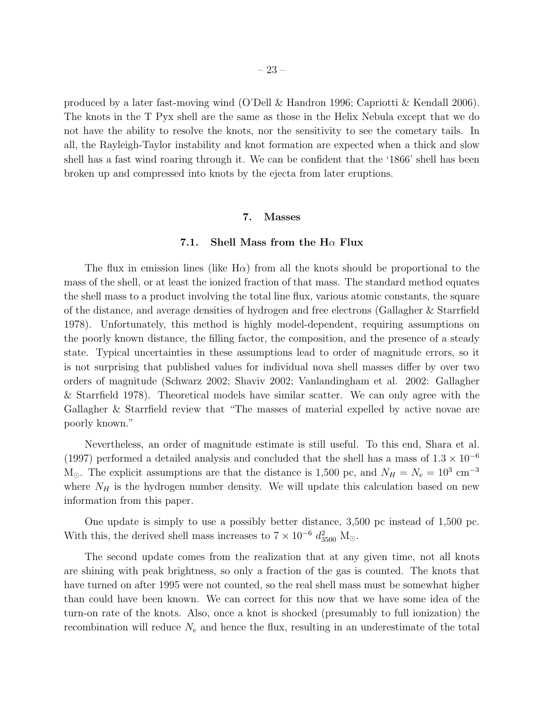produced by a later fast-moving wind (O'Dell & Handron 1996; Capriotti & Kendall 2006). The knots in the T Pyx shell are the same as those in the Helix Nebula except that we do not have the ability to resolve the knots, nor the sensitivity to see the cometary tails. In all, the Rayleigh-Taylor instability and knot formation are expected when a thick and slow shell has a fast wind roaring through it. We can be confident that the '1866' shell has been broken up and compressed into knots by the ejecta from later eruptions.

#### 7. Masses

#### 7.1. Shell Mass from the  $H\alpha$  Flux

The flux in emission lines (like  $H\alpha$ ) from all the knots should be proportional to the mass of the shell, or at least the ionized fraction of that mass. The standard method equates the shell mass to a product involving the total line flux, various atomic constants, the square of the distance, and average densities of hydrogen and free electrons (Gallagher & Starrfield 1978). Unfortunately, this method is highly model-dependent, requiring assumptions on the poorly known distance, the filling factor, the composition, and the presence of a steady state. Typical uncertainties in these assumptions lead to order of magnitude errors, so it is not surprising that published values for individual nova shell masses differ by over two orders of magnitude (Schwarz 2002; Shaviv 2002; Vanlandingham et al. 2002: Gallagher & Starrfield 1978). Theoretical models have similar scatter. We can only agree with the Gallagher & Starrfield review that "The masses of material expelled by active novae are poorly known."

Nevertheless, an order of magnitude estimate is still useful. To this end, Shara et al. (1997) performed a detailed analysis and concluded that the shell has a mass of  $1.3 \times 10^{-6}$  $M_{\odot}$ . The explicit assumptions are that the distance is 1,500 pc, and  $N_H = N_e = 10^3$  cm<sup>-3</sup> where  $N_H$  is the hydrogen number density. We will update this calculation based on new information from this paper.

One update is simply to use a possibly better distance, 3,500 pc instead of 1,500 pc. With this, the derived shell mass increases to  $7 \times 10^{-6} d_{3500}^2$  M<sub>☉</sub>.

The second update comes from the realization that at any given time, not all knots are shining with peak brightness, so only a fraction of the gas is counted. The knots that have turned on after 1995 were not counted, so the real shell mass must be somewhat higher than could have been known. We can correct for this now that we have some idea of the turn-on rate of the knots. Also, once a knot is shocked (presumably to full ionization) the recombination will reduce  $N_e$  and hence the flux, resulting in an underestimate of the total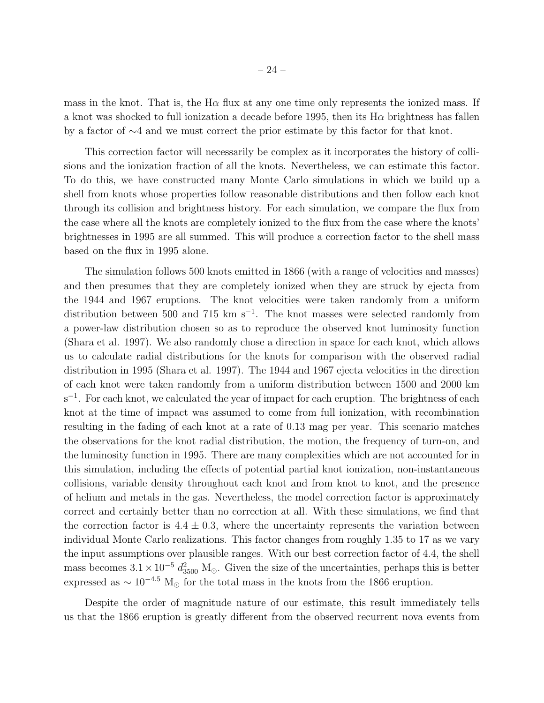mass in the knot. That is, the  $H\alpha$  flux at any one time only represents the ionized mass. If a knot was shocked to full ionization a decade before 1995, then its  $H\alpha$  brightness has fallen by a factor of ∼4 and we must correct the prior estimate by this factor for that knot.

This correction factor will necessarily be complex as it incorporates the history of collisions and the ionization fraction of all the knots. Nevertheless, we can estimate this factor. To do this, we have constructed many Monte Carlo simulations in which we build up a shell from knots whose properties follow reasonable distributions and then follow each knot through its collision and brightness history. For each simulation, we compare the flux from the case where all the knots are completely ionized to the flux from the case where the knots' brightnesses in 1995 are all summed. This will produce a correction factor to the shell mass based on the flux in 1995 alone.

The simulation follows 500 knots emitted in 1866 (with a range of velocities and masses) and then presumes that they are completely ionized when they are struck by ejecta from the 1944 and 1967 eruptions. The knot velocities were taken randomly from a uniform distribution between 500 and 715 km  $s^{-1}$ . The knot masses were selected randomly from a power-law distribution chosen so as to reproduce the observed knot luminosity function (Shara et al. 1997). We also randomly chose a direction in space for each knot, which allows us to calculate radial distributions for the knots for comparison with the observed radial distribution in 1995 (Shara et al. 1997). The 1944 and 1967 ejecta velocities in the direction of each knot were taken randomly from a uniform distribution between 1500 and 2000 km s<sup>-1</sup>. For each knot, we calculated the year of impact for each eruption. The brightness of each knot at the time of impact was assumed to come from full ionization, with recombination resulting in the fading of each knot at a rate of 0.13 mag per year. This scenario matches the observations for the knot radial distribution, the motion, the frequency of turn-on, and the luminosity function in 1995. There are many complexities which are not accounted for in this simulation, including the effects of potential partial knot ionization, non-instantaneous collisions, variable density throughout each knot and from knot to knot, and the presence of helium and metals in the gas. Nevertheless, the model correction factor is approximately correct and certainly better than no correction at all. With these simulations, we find that the correction factor is  $4.4 \pm 0.3$ , where the uncertainty represents the variation between individual Monte Carlo realizations. This factor changes from roughly 1.35 to 17 as we vary the input assumptions over plausible ranges. With our best correction factor of 4.4, the shell mass becomes  $3.1 \times 10^{-5} d_{3500}^2$  M<sub>☉</sub>. Given the size of the uncertainties, perhaps this is better expressed as  $\sim 10^{-4.5}$  M<sub>☉</sub> for the total mass in the knots from the 1866 eruption.

Despite the order of magnitude nature of our estimate, this result immediately tells us that the 1866 eruption is greatly different from the observed recurrent nova events from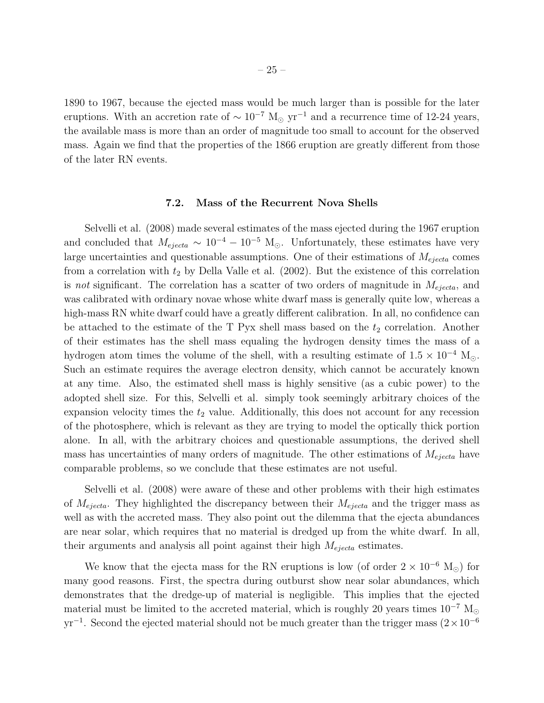1890 to 1967, because the ejected mass would be much larger than is possible for the later eruptions. With an accretion rate of  $\sim 10^{-7}$  M<sub>☉</sub> yr<sup>-1</sup> and a recurrence time of 12-24 years, the available mass is more than an order of magnitude too small to account for the observed mass. Again we find that the properties of the 1866 eruption are greatly different from those of the later RN events.

#### 7.2. Mass of the Recurrent Nova Shells

Selvelli et al. (2008) made several estimates of the mass ejected during the 1967 eruption and concluded that  $M_{ejecta} \sim 10^{-4} - 10^{-5}$  M<sub>☉</sub>. Unfortunately, these estimates have very large uncertainties and questionable assumptions. One of their estimations of  $M_{ejecta}$  comes from a correlation with  $t_2$  by Della Valle et al. (2002). But the existence of this correlation is *not* significant. The correlation has a scatter of two orders of magnitude in  $M_{ejecta}$ , and was calibrated with ordinary novae whose white dwarf mass is generally quite low, whereas a high-mass RN white dwarf could have a greatly different calibration. In all, no confidence can be attached to the estimate of the  $T$  Pyx shell mass based on the  $t_2$  correlation. Another of their estimates has the shell mass equaling the hydrogen density times the mass of a hydrogen atom times the volume of the shell, with a resulting estimate of  $1.5 \times 10^{-4}$  M<sub>☉</sub>. Such an estimate requires the average electron density, which cannot be accurately known at any time. Also, the estimated shell mass is highly sensitive (as a cubic power) to the adopted shell size. For this, Selvelli et al. simply took seemingly arbitrary choices of the expansion velocity times the  $t_2$  value. Additionally, this does not account for any recession of the photosphere, which is relevant as they are trying to model the optically thick portion alone. In all, with the arbitrary choices and questionable assumptions, the derived shell mass has uncertainties of many orders of magnitude. The other estimations of  $M_{ejecta}$  have comparable problems, so we conclude that these estimates are not useful.

Selvelli et al. (2008) were aware of these and other problems with their high estimates of  $M_{ejecta}$ . They highlighted the discrepancy between their  $M_{ejecta}$  and the trigger mass as well as with the accreted mass. They also point out the dilemma that the ejecta abundances are near solar, which requires that no material is dredged up from the white dwarf. In all, their arguments and analysis all point against their high  $M_{ejecta}$  estimates.

We know that the ejecta mass for the RN eruptions is low (of order  $2 \times 10^{-6}$  M<sub>☉</sub>) for many good reasons. First, the spectra during outburst show near solar abundances, which demonstrates that the dredge-up of material is negligible. This implies that the ejected material must be limited to the accreted material, which is roughly 20 years times  $10^{-7}~{\rm M}_\odot$  $yr^{-1}$ . Second the ejected material should not be much greater than the trigger mass  $(2 \times 10^{-6}$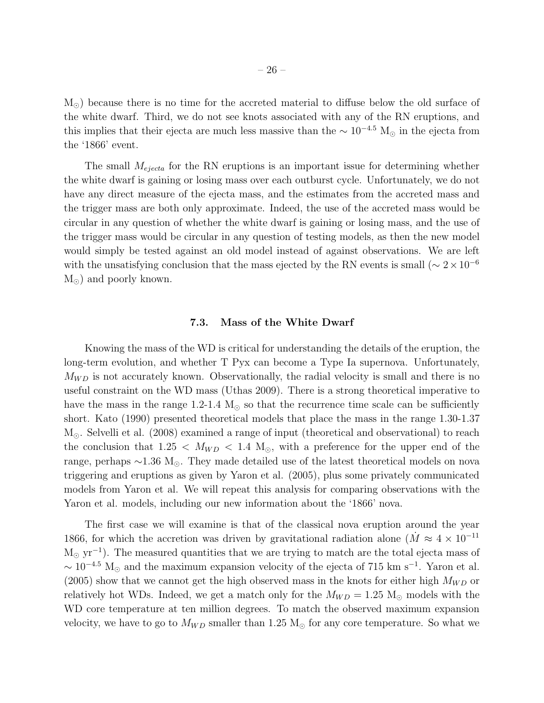$M_{\odot}$ ) because there is no time for the accreted material to diffuse below the old surface of the white dwarf. Third, we do not see knots associated with any of the RN eruptions, and this implies that their ejecta are much less massive than the  $\sim 10^{-4.5}$  M<sub>☉</sub> in the ejecta from the '1866' event.

The small  $M_{ejecta}$  for the RN eruptions is an important issue for determining whether the white dwarf is gaining or losing mass over each outburst cycle. Unfortunately, we do not have any direct measure of the ejecta mass, and the estimates from the accreted mass and the trigger mass are both only approximate. Indeed, the use of the accreted mass would be circular in any question of whether the white dwarf is gaining or losing mass, and the use of the trigger mass would be circular in any question of testing models, as then the new model would simply be tested against an old model instead of against observations. We are left with the unsatisfying conclusion that the mass ejected by the RN events is small ( $\sim 2 \times 10^{-6}$ )  $M_{\odot}$ ) and poorly known.

#### 7.3. Mass of the White Dwarf

Knowing the mass of the WD is critical for understanding the details of the eruption, the long-term evolution, and whether T Pyx can become a Type Ia supernova. Unfortunately,  $M_{WD}$  is not accurately known. Observationally, the radial velocity is small and there is no useful constraint on the WD mass (Uthas 2009). There is a strong theoretical imperative to have the mass in the range 1.2-1.4  $M_{\odot}$  so that the recurrence time scale can be sufficiently short. Kato (1990) presented theoretical models that place the mass in the range 1.30-1.37 M⊙. Selvelli et al. (2008) examined a range of input (theoretical and observational) to reach the conclusion that  $1.25 < M_{WD} < 1.4 M_{\odot}$ , with a preference for the upper end of the range, perhaps ∼1.36 M⊙. They made detailed use of the latest theoretical models on nova triggering and eruptions as given by Yaron et al. (2005), plus some privately communicated models from Yaron et al. We will repeat this analysis for comparing observations with the Yaron et al. models, including our new information about the '1866' nova.

The first case we will examine is that of the classical nova eruption around the year 1866, for which the accretion was driven by gravitational radiation alone ( $M \approx 4 \times 10^{-11}$ )  $M_{\odot}$  yr<sup>-1</sup>). The measured quantities that we are trying to match are the total ejecta mass of  $\sim 10^{-4.5}$  M<sub>☉</sub> and the maximum expansion velocity of the ejecta of 715 km s<sup>-1</sup>. Yaron et al.  $(2005)$  show that we cannot get the high observed mass in the knots for either high  $M_{WD}$  or relatively hot WDs. Indeed, we get a match only for the  $M_{WD} = 1.25 M_{\odot}$  models with the WD core temperature at ten million degrees. To match the observed maximum expansion velocity, we have to go to  $M_{WD}$  smaller than 1.25 M<sub>o</sub> for any core temperature. So what we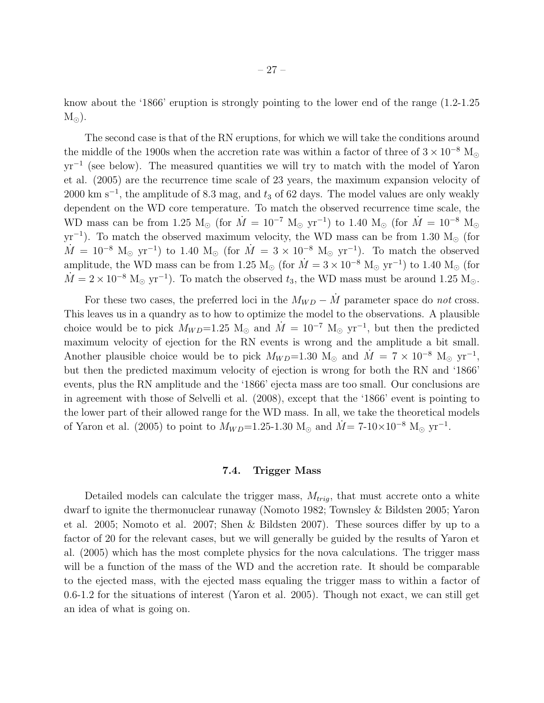know about the '1866' eruption is strongly pointing to the lower end of the range (1.2-1.25  $M_{\odot}$ ).

The second case is that of the RN eruptions, for which we will take the conditions around the middle of the 1900s when the accretion rate was within a factor of three of  $3 \times 10^{-8}$  M<sub>o</sub> yr<sup>-1</sup> (see below). The measured quantities we will try to match with the model of Yaron et al. (2005) are the recurrence time scale of 23 years, the maximum expansion velocity of 2000 km s<sup>-1</sup>, the amplitude of 8.3 mag, and  $t_3$  of 62 days. The model values are only weakly dependent on the WD core temperature. To match the observed recurrence time scale, the WD mass can be from 1.25 M<sub>☉</sub> (for  $\dot{M} = 10^{-7}$  M<sub>☉</sub> yr<sup>-1</sup>) to 1.40 M<sub>☉</sub> (for  $\dot{M} = 10^{-8}$  M<sub>☉</sub>  $yr^{-1}$ ). To match the observed maximum velocity, the WD mass can be from 1.30 M<sub>☉</sub> (for  $\dot{M} = 10^{-8}$  M<sub>☉</sub> yr<sup>-1</sup>) to 1.40 M<sub>☉</sub> (for  $\dot{M} = 3 \times 10^{-8}$  M<sub>☉</sub> yr<sup>-1</sup>). To match the observed amplitude, the WD mass can be from 1.25 M<sub>☉</sub> (for  $\dot{M} = 3 \times 10^{-8}$  M<sub>☉</sub> yr<sup>-1</sup>) to 1.40 M<sub>☉</sub> (for  $\dot{M} = 2 \times 10^{-8}$  M<sub>o</sub> yr<sup>-1</sup>). To match the observed  $t_3$ , the WD mass must be around 1.25 M<sub>o</sub>.

For these two cases, the preferred loci in the  $M_{WD} - \dot{M}$  parameter space do *not* cross. This leaves us in a quandry as to how to optimize the model to the observations. A plausible choice would be to pick  $M_{WD}=1.25$  M<sub>☉</sub> and  $\dot{M} = 10^{-7}$  M<sub>☉</sub> yr<sup>-1</sup>, but then the predicted maximum velocity of ejection for the RN events is wrong and the amplitude a bit small. Another plausible choice would be to pick  $M_{WD}=1.30$  M<sub>☉</sub> and  $\dot{M} = 7 \times 10^{-8}$  M<sub>☉</sub> yr<sup>-1</sup>, but then the predicted maximum velocity of ejection is wrong for both the RN and '1866' events, plus the RN amplitude and the '1866' ejecta mass are too small. Our conclusions are in agreement with those of Selvelli et al. (2008), except that the '1866' event is pointing to the lower part of their allowed range for the WD mass. In all, we take the theoretical models of Yaron et al. (2005) to point to  $M_{WD} = 1.25$ -1.30 M<sub>☉</sub> and  $\dot{M} = 7$ -10×10<sup>-8</sup> M<sub>☉</sub> yr<sup>-1</sup>.

#### 7.4. Trigger Mass

Detailed models can calculate the trigger mass,  $M_{trig}$ , that must accrete onto a white dwarf to ignite the thermonuclear runaway (Nomoto 1982; Townsley & Bildsten 2005; Yaron et al. 2005; Nomoto et al. 2007; Shen & Bildsten 2007). These sources differ by up to a factor of 20 for the relevant cases, but we will generally be guided by the results of Yaron et al. (2005) which has the most complete physics for the nova calculations. The trigger mass will be a function of the mass of the WD and the accretion rate. It should be comparable to the ejected mass, with the ejected mass equaling the trigger mass to within a factor of 0.6-1.2 for the situations of interest (Yaron et al. 2005). Though not exact, we can still get an idea of what is going on.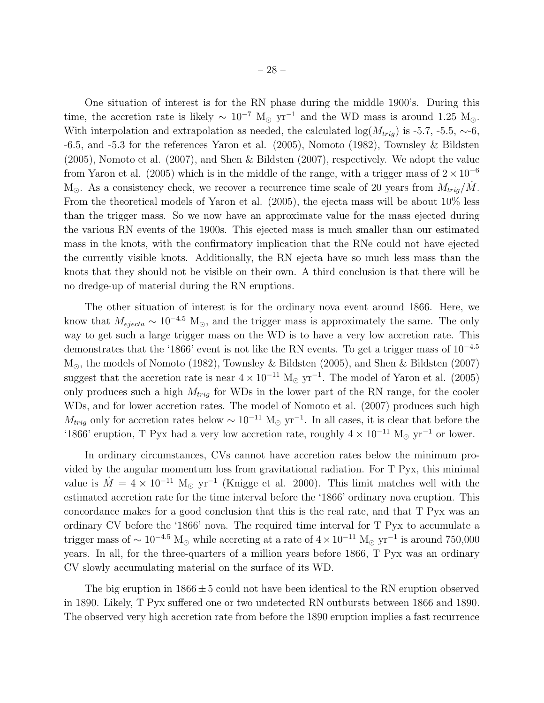One situation of interest is for the RN phase during the middle 1900's. During this time, the accretion rate is likely  $\sim 10^{-7}$  M<sub>☉</sub> yr<sup>-1</sup> and the WD mass is around 1.25 M<sub>☉</sub>. With interpolation and extrapolation as needed, the calculated log( $M_{trig}$ ) is -5.7, -5.5, ~-6, -6.5, and -5.3 for the references Yaron et al. (2005), Nomoto (1982), Townsley & Bildsten (2005), Nomoto et al. (2007), and Shen & Bildsten (2007), respectively. We adopt the value from Yaron et al. (2005) which is in the middle of the range, with a trigger mass of  $2 \times 10^{-6}$  $M_{\odot}$ . As a consistency check, we recover a recurrence time scale of 20 years from  $M_{trig}/\dot{M}$ . From the theoretical models of Yaron et al. (2005), the ejecta mass will be about 10% less than the trigger mass. So we now have an approximate value for the mass ejected during the various RN events of the 1900s. This ejected mass is much smaller than our estimated mass in the knots, with the confirmatory implication that the RNe could not have ejected the currently visible knots. Additionally, the RN ejecta have so much less mass than the knots that they should not be visible on their own. A third conclusion is that there will be no dredge-up of material during the RN eruptions.

The other situation of interest is for the ordinary nova event around 1866. Here, we know that  $M_{ejecta} \sim 10^{-4.5}$  M<sub>☉</sub>, and the trigger mass is approximately the same. The only way to get such a large trigger mass on the WD is to have a very low accretion rate. This demonstrates that the '1866' event is not like the RN events. To get a trigger mass of 10<sup>−</sup>4.<sup>5</sup> M⊙, the models of Nomoto (1982), Townsley & Bildsten (2005), and Shen & Bildsten (2007) suggest that the accretion rate is near  $4 \times 10^{-11}$  M<sub>☉</sub> yr<sup>-1</sup>. The model of Yaron et al. (2005) only produces such a high  $M_{trig}$  for WDs in the lower part of the RN range, for the cooler WDs, and for lower accretion rates. The model of Nomoto et al. (2007) produces such high  $M_{trig}$  only for accretion rates below  $\sim 10^{-11}$  M<sub>☉</sub> yr<sup>-1</sup>. In all cases, it is clear that before the '1866' eruption, T Pyx had a very low accretion rate, roughly  $4 \times 10^{-11}$  M<sub>☉</sub> yr<sup>-1</sup> or lower.

In ordinary circumstances, CVs cannot have accretion rates below the minimum provided by the angular momentum loss from gravitational radiation. For T Pyx, this minimal value is  $\dot{M} = 4 \times 10^{-11}$  M<sub>☉</sub> yr<sup>-1</sup> (Knigge et al. 2000). This limit matches well with the estimated accretion rate for the time interval before the '1866' ordinary nova eruption. This concordance makes for a good conclusion that this is the real rate, and that T Pyx was an ordinary CV before the '1866' nova. The required time interval for T Pyx to accumulate a trigger mass of  $\sim 10^{-4.5}$  M<sub>☉</sub> while accreting at a rate of  $4 \times 10^{-11}$  M<sub>☉</sub> yr<sup>-1</sup> is around 750,000 years. In all, for the three-quarters of a million years before 1866, T Pyx was an ordinary CV slowly accumulating material on the surface of its WD.

The big eruption in  $1866 \pm 5$  could not have been identical to the RN eruption observed in 1890. Likely, T Pyx suffered one or two undetected RN outbursts between 1866 and 1890. The observed very high accretion rate from before the 1890 eruption implies a fast recurrence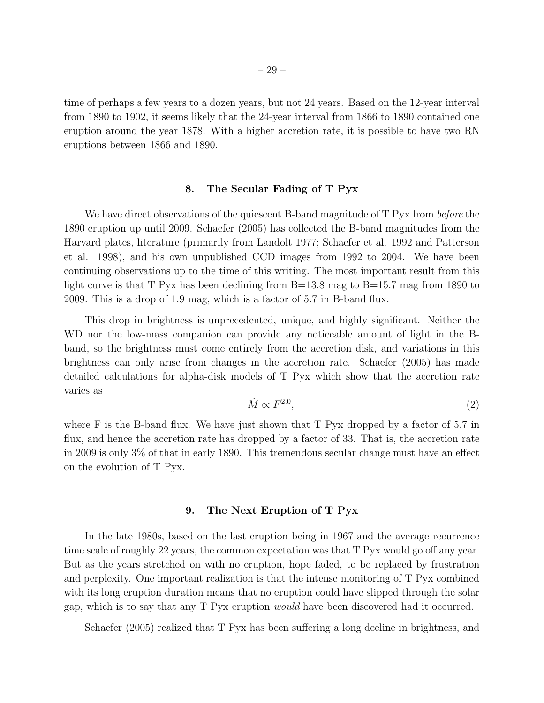time of perhaps a few years to a dozen years, but not 24 years. Based on the 12-year interval from 1890 to 1902, it seems likely that the 24-year interval from 1866 to 1890 contained one eruption around the year 1878. With a higher accretion rate, it is possible to have two RN eruptions between 1866 and 1890.

## 8. The Secular Fading of T Pyx

We have direct observations of the quiescent B-band magnitude of T Pyx from *before* the 1890 eruption up until 2009. Schaefer (2005) has collected the B-band magnitudes from the Harvard plates, literature (primarily from Landolt 1977; Schaefer et al. 1992 and Patterson et al. 1998), and his own unpublished CCD images from 1992 to 2004. We have been continuing observations up to the time of this writing. The most important result from this light curve is that T Pyx has been declining from B=13.8 mag to B=15.7 mag from 1890 to 2009. This is a drop of 1.9 mag, which is a factor of 5.7 in B-band flux.

This drop in brightness is unprecedented, unique, and highly significant. Neither the WD nor the low-mass companion can provide any noticeable amount of light in the Bband, so the brightness must come entirely from the accretion disk, and variations in this brightness can only arise from changes in the accretion rate. Schaefer (2005) has made detailed calculations for alpha-disk models of T Pyx which show that the accretion rate varies as

$$
\dot{M} \propto F^{2.0},\tag{2}
$$

where F is the B-band flux. We have just shown that T Pyx dropped by a factor of 5.7 in flux, and hence the accretion rate has dropped by a factor of 33. That is, the accretion rate in 2009 is only 3% of that in early 1890. This tremendous secular change must have an effect on the evolution of T Pyx.

#### 9. The Next Eruption of T Pyx

In the late 1980s, based on the last eruption being in 1967 and the average recurrence time scale of roughly 22 years, the common expectation was that T Pyx would go off any year. But as the years stretched on with no eruption, hope faded, to be replaced by frustration and perplexity. One important realization is that the intense monitoring of T Pyx combined with its long eruption duration means that no eruption could have slipped through the solar gap, which is to say that any T Pyx eruption *would* have been discovered had it occurred.

Schaefer (2005) realized that T Pyx has been suffering a long decline in brightness, and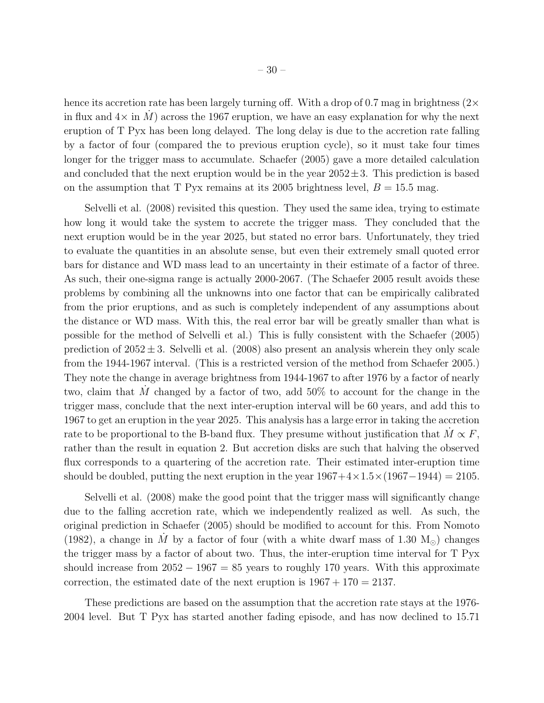hence its accretion rate has been largely turning off. With a drop of 0.7 mag in brightness  $(2\times$ in flux and  $4\times$  in M across the 1967 eruption, we have an easy explanation for why the next eruption of T Pyx has been long delayed. The long delay is due to the accretion rate falling by a factor of four (compared the to previous eruption cycle), so it must take four times longer for the trigger mass to accumulate. Schaefer (2005) gave a more detailed calculation and concluded that the next eruption would be in the year  $2052 \pm 3$ . This prediction is based on the assumption that T Pyx remains at its 2005 brightness level,  $B = 15.5$  mag.

Selvelli et al. (2008) revisited this question. They used the same idea, trying to estimate how long it would take the system to accrete the trigger mass. They concluded that the next eruption would be in the year 2025, but stated no error bars. Unfortunately, they tried to evaluate the quantities in an absolute sense, but even their extremely small quoted error bars for distance and WD mass lead to an uncertainty in their estimate of a factor of three. As such, their one-sigma range is actually 2000-2067. (The Schaefer 2005 result avoids these problems by combining all the unknowns into one factor that can be empirically calibrated from the prior eruptions, and as such is completely independent of any assumptions about the distance or WD mass. With this, the real error bar will be greatly smaller than what is possible for the method of Selvelli et al.) This is fully consistent with the Schaefer (2005) prediction of  $2052 \pm 3$ . Selvelli et al. (2008) also present an analysis wherein they only scale from the 1944-1967 interval. (This is a restricted version of the method from Schaefer 2005.) They note the change in average brightness from 1944-1967 to after 1976 by a factor of nearly two, claim that M changed by a factor of two, add  $50\%$  to account for the change in the trigger mass, conclude that the next inter-eruption interval will be 60 years, and add this to 1967 to get an eruption in the year 2025. This analysis has a large error in taking the accretion rate to be proportional to the B-band flux. They presume without justification that  $M \propto F$ , rather than the result in equation 2. But accretion disks are such that halving the observed flux corresponds to a quartering of the accretion rate. Their estimated inter-eruption time should be doubled, putting the next eruption in the year  $1967+4\times1.5\times(1967-1944) = 2105$ .

Selvelli et al. (2008) make the good point that the trigger mass will significantly change due to the falling accretion rate, which we independently realized as well. As such, the original prediction in Schaefer (2005) should be modified to account for this. From Nomoto (1982), a change in M by a factor of four (with a white dwarf mass of 1.30  $M_{\odot}$ ) changes the trigger mass by a factor of about two. Thus, the inter-eruption time interval for T Pyx should increase from  $2052 - 1967 = 85$  years to roughly 170 years. With this approximate correction, the estimated date of the next eruption is  $1967 + 170 = 2137$ .

These predictions are based on the assumption that the accretion rate stays at the 1976- 2004 level. But T Pyx has started another fading episode, and has now declined to 15.71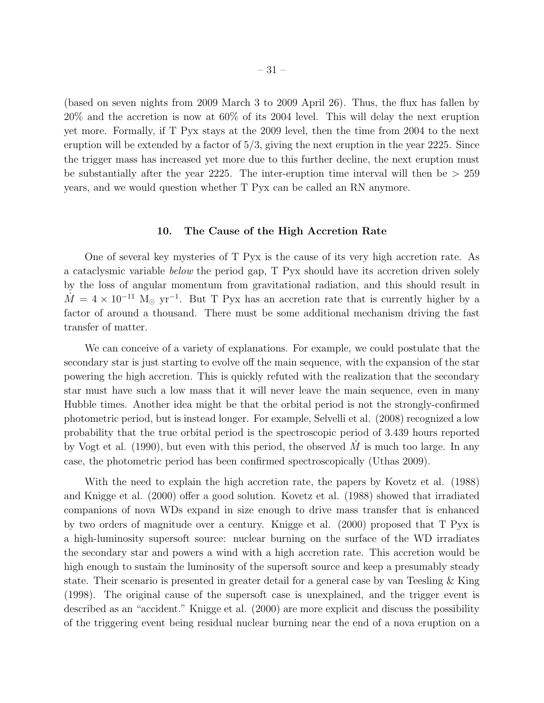(based on seven nights from 2009 March 3 to 2009 April 26). Thus, the flux has fallen by 20% and the accretion is now at 60% of its 2004 level. This will delay the next eruption yet more. Formally, if T Pyx stays at the 2009 level, then the time from 2004 to the next eruption will be extended by a factor of  $5/3$ , giving the next eruption in the year 2225. Since the trigger mass has increased yet more due to this further decline, the next eruption must be substantially after the year 2225. The inter-eruption time interval will then be  $> 259$ years, and we would question whether T Pyx can be called an RN anymore.

#### 10. The Cause of the High Accretion Rate

One of several key mysteries of T Pyx is the cause of its very high accretion rate. As a cataclysmic variable *below* the period gap, T Pyx should have its accretion driven solely by the loss of angular momentum from gravitational radiation, and this should result in  $\dot{M} = 4 \times 10^{-11}$  M<sub>☉</sub> yr<sup>-1</sup>. But T Pyx has an accretion rate that is currently higher by a factor of around a thousand. There must be some additional mechanism driving the fast transfer of matter.

We can conceive of a variety of explanations. For example, we could postulate that the secondary star is just starting to evolve off the main sequence, with the expansion of the star powering the high accretion. This is quickly refuted with the realization that the secondary star must have such a low mass that it will never leave the main sequence, even in many Hubble times. Another idea might be that the orbital period is not the strongly-confirmed photometric period, but is instead longer. For example, Selvelli et al. (2008) recognized a low probability that the true orbital period is the spectroscopic period of 3.439 hours reported by Vogt et al. (1990), but even with this period, the observed  $\dot{M}$  is much too large. In any case, the photometric period has been confirmed spectroscopically (Uthas 2009).

With the need to explain the high accretion rate, the papers by Kovetz et al. (1988) and Knigge et al. (2000) offer a good solution. Kovetz et al. (1988) showed that irradiated companions of nova WDs expand in size enough to drive mass transfer that is enhanced by two orders of magnitude over a century. Knigge et al. (2000) proposed that T Pyx is a high-luminosity supersoft source: nuclear burning on the surface of the WD irradiates the secondary star and powers a wind with a high accretion rate. This accretion would be high enough to sustain the luminosity of the supersoft source and keep a presumably steady state. Their scenario is presented in greater detail for a general case by van Teesling & King (1998). The original cause of the supersoft case is unexplained, and the trigger event is described as an "accident." Knigge et al. (2000) are more explicit and discuss the possibility of the triggering event being residual nuclear burning near the end of a nova eruption on a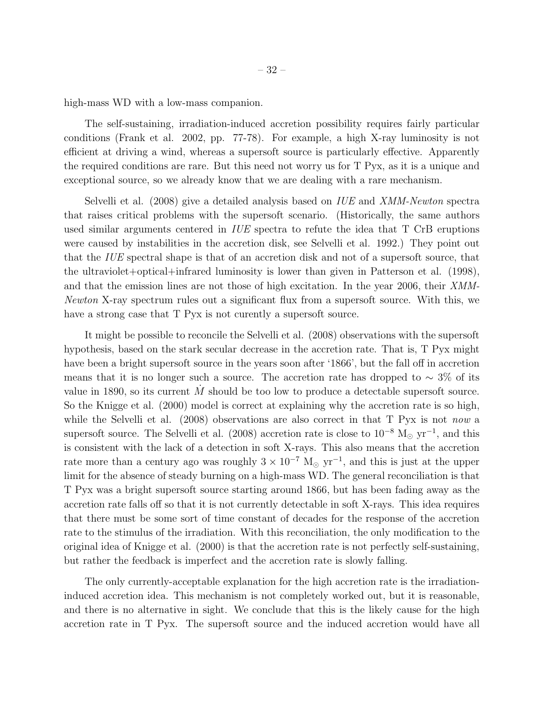high-mass WD with a low-mass companion.

The self-sustaining, irradiation-induced accretion possibility requires fairly particular conditions (Frank et al. 2002, pp. 77-78). For example, a high X-ray luminosity is not efficient at driving a wind, whereas a supersoft source is particularly effective. Apparently the required conditions are rare. But this need not worry us for T Pyx, as it is a unique and exceptional source, so we already know that we are dealing with a rare mechanism.

Selvelli et al. (2008) give a detailed analysis based on *IUE* and *XMM-Newton* spectra that raises critical problems with the supersoft scenario. (Historically, the same authors used similar arguments centered in *IUE* spectra to refute the idea that T CrB eruptions were caused by instabilities in the accretion disk, see Selvelli et al. 1992.) They point out that the *IUE* spectral shape is that of an accretion disk and not of a supersoft source, that the ultraviolet+optical+infrared luminosity is lower than given in Patterson et al. (1998), and that the emission lines are not those of high excitation. In the year 2006, their *XMM-Newton* X-ray spectrum rules out a significant flux from a supersoft source. With this, we have a strong case that  $T$  Pyx is not curently a supersoft source.

It might be possible to reconcile the Selvelli et al. (2008) observations with the supersoft hypothesis, based on the stark secular decrease in the accretion rate. That is, T Pyx might have been a bright supersoft source in the years soon after '1866', but the fall off in accretion means that it is no longer such a source. The accretion rate has dropped to  $\sim 3\%$  of its value in 1890, so its current  $M$  should be too low to produce a detectable supersoft source. So the Knigge et al. (2000) model is correct at explaining why the accretion rate is so high, while the Selvelli et al. (2008) observations are also correct in that T Pyx is not *now* a supersoft source. The Selvelli et al. (2008) accretion rate is close to  $10^{-8}$  M<sub>☉</sub> yr<sup>-1</sup>, and this is consistent with the lack of a detection in soft X-rays. This also means that the accretion rate more than a century ago was roughly  $3 \times 10^{-7}$  M<sub>☉</sub> yr<sup>-1</sup>, and this is just at the upper limit for the absence of steady burning on a high-mass WD. The general reconciliation is that T Pyx was a bright supersoft source starting around 1866, but has been fading away as the accretion rate falls off so that it is not currently detectable in soft X-rays. This idea requires that there must be some sort of time constant of decades for the response of the accretion rate to the stimulus of the irradiation. With this reconciliation, the only modification to the original idea of Knigge et al. (2000) is that the accretion rate is not perfectly self-sustaining, but rather the feedback is imperfect and the accretion rate is slowly falling.

The only currently-acceptable explanation for the high accretion rate is the irradiationinduced accretion idea. This mechanism is not completely worked out, but it is reasonable, and there is no alternative in sight. We conclude that this is the likely cause for the high accretion rate in T Pyx. The supersoft source and the induced accretion would have all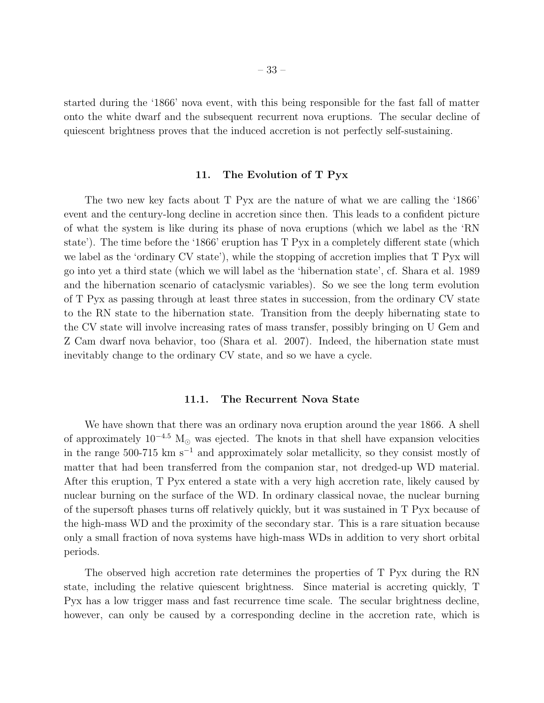started during the '1866' nova event, with this being responsible for the fast fall of matter onto the white dwarf and the subsequent recurrent nova eruptions. The secular decline of quiescent brightness proves that the induced accretion is not perfectly self-sustaining.

# 11. The Evolution of T Pyx

The two new key facts about T Pyx are the nature of what we are calling the '1866' event and the century-long decline in accretion since then. This leads to a confident picture of what the system is like during its phase of nova eruptions (which we label as the 'RN state'). The time before the '1866' eruption has T Pyx in a completely different state (which we label as the 'ordinary CV state'), while the stopping of accretion implies that T Pyx will go into yet a third state (which we will label as the 'hibernation state', cf. Shara et al. 1989 and the hibernation scenario of cataclysmic variables). So we see the long term evolution of T Pyx as passing through at least three states in succession, from the ordinary CV state to the RN state to the hibernation state. Transition from the deeply hibernating state to the CV state will involve increasing rates of mass transfer, possibly bringing on U Gem and Z Cam dwarf nova behavior, too (Shara et al. 2007). Indeed, the hibernation state must inevitably change to the ordinary CV state, and so we have a cycle.

#### 11.1. The Recurrent Nova State

We have shown that there was an ordinary nova eruption around the year 1866. A shell of approximately  $10^{-4.5}$  M<sub> $\odot$ </sub> was ejected. The knots in that shell have expansion velocities in the range 500-715 km s<sup>−</sup><sup>1</sup> and approximately solar metallicity, so they consist mostly of matter that had been transferred from the companion star, not dredged-up WD material. After this eruption, T Pyx entered a state with a very high accretion rate, likely caused by nuclear burning on the surface of the WD. In ordinary classical novae, the nuclear burning of the supersoft phases turns off relatively quickly, but it was sustained in T Pyx because of the high-mass WD and the proximity of the secondary star. This is a rare situation because only a small fraction of nova systems have high-mass WDs in addition to very short orbital periods.

The observed high accretion rate determines the properties of T Pyx during the RN state, including the relative quiescent brightness. Since material is accreting quickly, T Pyx has a low trigger mass and fast recurrence time scale. The secular brightness decline, however, can only be caused by a corresponding decline in the accretion rate, which is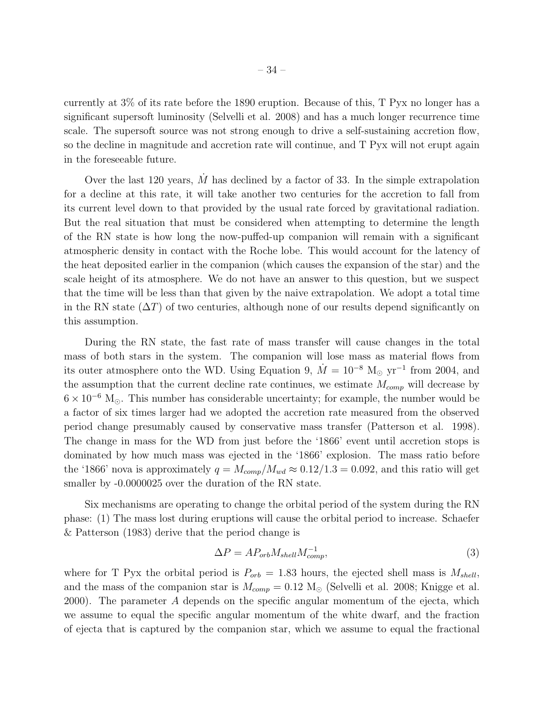currently at 3% of its rate before the 1890 eruption. Because of this, T Pyx no longer has a significant supersoft luminosity (Selvelli et al. 2008) and has a much longer recurrence time scale. The supersoft source was not strong enough to drive a self-sustaining accretion flow, so the decline in magnitude and accretion rate will continue, and T Pyx will not erupt again in the foreseeable future.

Over the last 120 years,  $M$  has declined by a factor of 33. In the simple extrapolation for a decline at this rate, it will take another two centuries for the accretion to fall from its current level down to that provided by the usual rate forced by gravitational radiation. But the real situation that must be considered when attempting to determine the length of the RN state is how long the now-puffed-up companion will remain with a significant atmospheric density in contact with the Roche lobe. This would account for the latency of the heat deposited earlier in the companion (which causes the expansion of the star) and the scale height of its atmosphere. We do not have an answer to this question, but we suspect that the time will be less than that given by the naive extrapolation. We adopt a total time in the RN state  $(\Delta T)$  of two centuries, although none of our results depend significantly on this assumption.

During the RN state, the fast rate of mass transfer will cause changes in the total mass of both stars in the system. The companion will lose mass as material flows from its outer atmosphere onto the WD. Using Equation 9,  $\dot{M} = 10^{-8}$  M<sub>☉</sub> yr<sup>-1</sup> from 2004, and the assumption that the current decline rate continues, we estimate  $M_{comp}$  will decrease by  $6 \times 10^{-6}$  M<sub>☉</sub>. This number has considerable uncertainty; for example, the number would be a factor of six times larger had we adopted the accretion rate measured from the observed period change presumably caused by conservative mass transfer (Patterson et al. 1998). The change in mass for the WD from just before the '1866' event until accretion stops is dominated by how much mass was ejected in the '1866' explosion. The mass ratio before the '1866' nova is approximately  $q = M_{comp}/M_{wd} \approx 0.12/1.3 = 0.092$ , and this ratio will get smaller by  $-0.0000025$  over the duration of the RN state.

Six mechanisms are operating to change the orbital period of the system during the RN phase: (1) The mass lost during eruptions will cause the orbital period to increase. Schaefer & Patterson (1983) derive that the period change is

$$
\Delta P = A P_{orb} M_{shell} M_{comp}^{-1},\tag{3}
$$

where for T Pyx the orbital period is  $P_{orb} = 1.83$  hours, the ejected shell mass is  $M_{shell}$ , and the mass of the companion star is  $M_{comp} = 0.12$  M<sub>☉</sub> (Selvelli et al. 2008; Knigge et al. 2000). The parameter A depends on the specific angular momentum of the ejecta, which we assume to equal the specific angular momentum of the white dwarf, and the fraction of ejecta that is captured by the companion star, which we assume to equal the fractional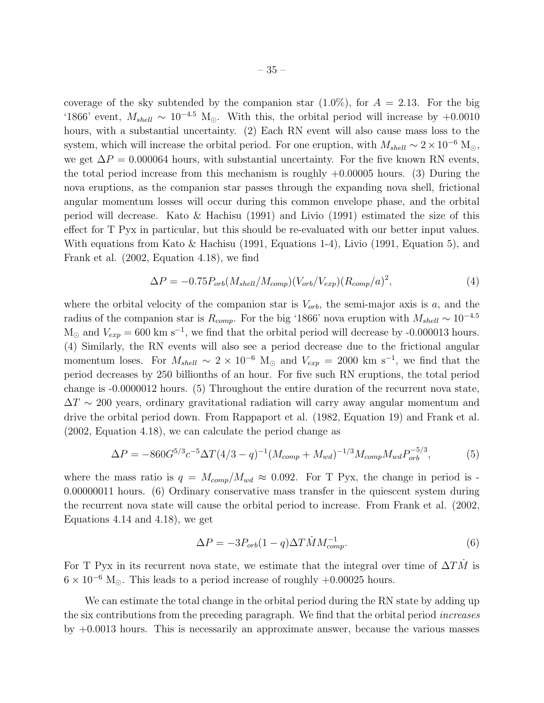coverage of the sky subtended by the companion star  $(1.0\%)$ , for  $A = 2.13$ . For the big '1866' event,  $M_{shell} \sim 10^{-4.5}$  M<sub>☉</sub>. With this, the orbital period will increase by +0.0010 hours, with a substantial uncertainty. (2) Each RN event will also cause mass loss to the system, which will increase the orbital period. For one eruption, with  $M_{shell} \sim 2 \times 10^{-6}$  M<sub>☉</sub>, we get  $\Delta P = 0.000064$  hours, with substantial uncertainty. For the five known RN events, the total period increase from this mechanism is roughly  $+0.00005$  hours. (3) During the nova eruptions, as the companion star passes through the expanding nova shell, frictional angular momentum losses will occur during this common envelope phase, and the orbital period will decrease. Kato & Hachisu (1991) and Livio (1991) estimated the size of this effect for T Pyx in particular, but this should be re-evaluated with our better input values. With equations from Kato & Hachisu (1991, Equations 1-4), Livio (1991, Equation 5), and Frank et al. (2002, Equation 4.18), we find

$$
\Delta P = -0.75 P_{orb}(M_{shell}/M_{comp})(V_{orb}/V_{exp})(R_{comp}/a)^2,
$$
\n(4)

where the orbital velocity of the companion star is  $V_{orb}$ , the semi-major axis is a, and the radius of the companion star is  $R_{comp}$ . For the big '1866' nova eruption with  $M_{shell} \sim 10^{-4.5}$  $M_{\odot}$  and  $V_{exp} = 600 \text{ km s}^{-1}$ , we find that the orbital period will decrease by -0.000013 hours. (4) Similarly, the RN events will also see a period decrease due to the frictional angular momentum loses. For  $M_{shell} \sim 2 \times 10^{-6}$  M<sub>☉</sub> and  $V_{exp} = 2000$  km s<sup>-1</sup>, we find that the period decreases by 250 billionths of an hour. For five such RN eruptions, the total period change is -0.0000012 hours. (5) Throughout the entire duration of the recurrent nova state,  $\Delta T \sim 200$  years, ordinary gravitational radiation will carry away angular momentum and drive the orbital period down. From Rappaport et al. (1982, Equation 19) and Frank et al. (2002, Equation 4.18), we can calculate the period change as

$$
\Delta P = -860G^{5/3}c^{-5}\Delta T(4/3 - q)^{-1}(M_{comp} + M_{wd})^{-1/3}M_{comp}M_{wd}P_{orb}^{-5/3},\tag{5}
$$

where the mass ratio is  $q = M_{comp}/M_{wd} \approx 0.092$ . For T Pyx, the change in period is -0.00000011 hours. (6) Ordinary conservative mass transfer in the quiescent system during the recurrent nova state will cause the orbital period to increase. From Frank et al. (2002, Equations 4.14 and 4.18), we get

$$
\Delta P = -3P_{orb}(1-q)\Delta T\dot{M}M_{comp}^{-1}.
$$
\n(6)

For T Pyx in its recurrent nova state, we estimate that the integral over time of  $\Delta T\dot{M}$  is  $6 \times 10^{-6}$  M<sub>o</sub>. This leads to a period increase of roughly +0.00025 hours.

We can estimate the total change in the orbital period during the RN state by adding up the six contributions from the preceding paragraph. We find that the orbital period *increases* by +0.0013 hours. This is necessarily an approximate answer, because the various masses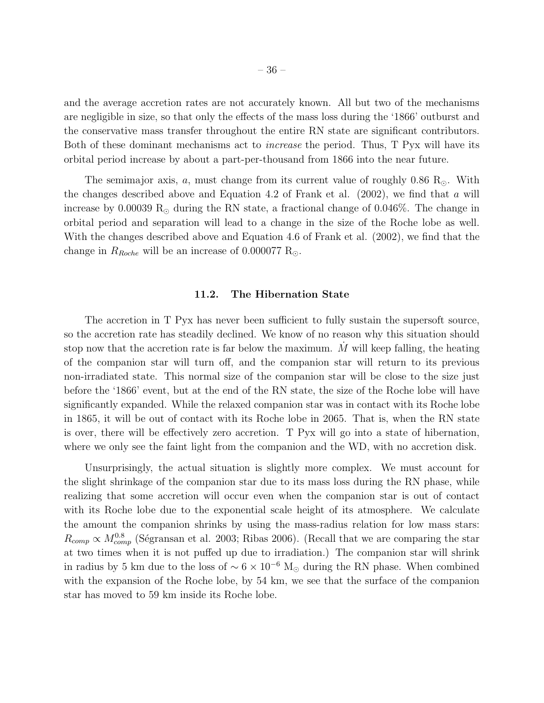and the average accretion rates are not accurately known. All but two of the mechanisms are negligible in size, so that only the effects of the mass loss during the '1866' outburst and the conservative mass transfer throughout the entire RN state are significant contributors. Both of these dominant mechanisms act to *increase* the period. Thus, T Pyx will have its orbital period increase by about a part-per-thousand from 1866 into the near future.

The semimajor axis, a, must change from its current value of roughly 0.86 R<sub>☉</sub>. With the changes described above and Equation 4.2 of Frank et al.  $(2002)$ , we find that a will increase by 0.00039  $R_{\odot}$  during the RN state, a fractional change of 0.046\%. The change in orbital period and separation will lead to a change in the size of the Roche lobe as well. With the changes described above and Equation 4.6 of Frank et al. (2002), we find that the change in  $R_{Roche}$  will be an increase of 0.000077 R<sub>☉</sub>.

#### 11.2. The Hibernation State

The accretion in T Pyx has never been sufficient to fully sustain the supersoft source, so the accretion rate has steadily declined. We know of no reason why this situation should stop now that the accretion rate is far below the maximum.  $M$  will keep falling, the heating of the companion star will turn off, and the companion star will return to its previous non-irradiated state. This normal size of the companion star will be close to the size just before the '1866' event, but at the end of the RN state, the size of the Roche lobe will have significantly expanded. While the relaxed companion star was in contact with its Roche lobe in 1865, it will be out of contact with its Roche lobe in 2065. That is, when the RN state is over, there will be effectively zero accretion. T Pyx will go into a state of hibernation, where we only see the faint light from the companion and the WD, with no accretion disk.

Unsurprisingly, the actual situation is slightly more complex. We must account for the slight shrinkage of the companion star due to its mass loss during the RN phase, while realizing that some accretion will occur even when the companion star is out of contact with its Roche lobe due to the exponential scale height of its atmosphere. We calculate the amount the companion shrinks by using the mass-radius relation for low mass stars:  $R_{comp} \propto M_{comp}^{0.8}$  (Ségransan et al. 2003; Ribas 2006). (Recall that we are comparing the star at two times when it is not puffed up due to irradiation.) The companion star will shrink in radius by 5 km due to the loss of  $\sim 6 \times 10^{-6}$  M<sub>☉</sub> during the RN phase. When combined with the expansion of the Roche lobe, by 54 km, we see that the surface of the companion star has moved to 59 km inside its Roche lobe.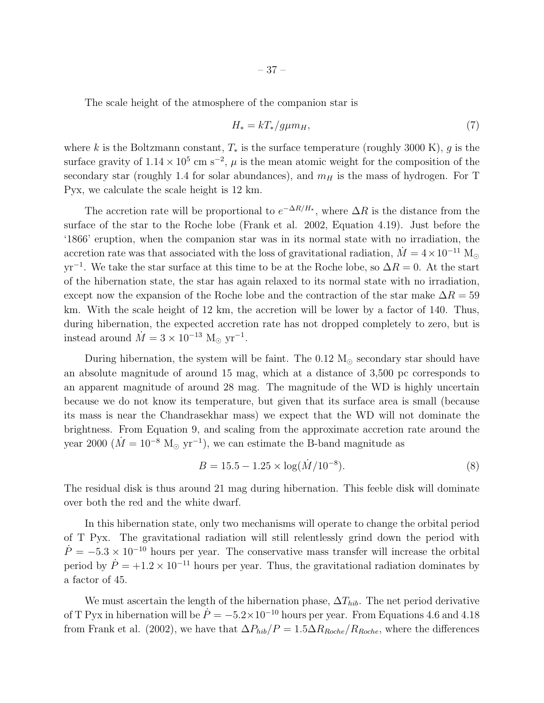The scale height of the atmosphere of the companion star is

$$
H_* = kT_*/g\mu m_H,\tag{7}
$$

where k is the Boltzmann constant,  $T_*$  is the surface temperature (roughly 3000 K), g is the surface gravity of  $1.14 \times 10^5$  cm s<sup>-2</sup>,  $\mu$  is the mean atomic weight for the composition of the secondary star (roughly 1.4 for solar abundances), and  $m_H$  is the mass of hydrogen. For T Pyx, we calculate the scale height is 12 km.

The accretion rate will be proportional to  $e^{-\Delta R/H_*}$ , where  $\Delta R$  is the distance from the surface of the star to the Roche lobe (Frank et al. 2002, Equation 4.19). Just before the '1866' eruption, when the companion star was in its normal state with no irradiation, the accretion rate was that associated with the loss of gravitational radiation,  $\dot{M} = 4 \times 10^{-11}$  M<sub>o</sub>  $yr^{-1}$ . We take the star surface at this time to be at the Roche lobe, so  $\Delta R = 0$ . At the start of the hibernation state, the star has again relaxed to its normal state with no irradiation, except now the expansion of the Roche lobe and the contraction of the star make  $\Delta R = 59$ km. With the scale height of 12 km, the accretion will be lower by a factor of 140. Thus, during hibernation, the expected accretion rate has not dropped completely to zero, but is instead around  $\dot{M} = 3 \times 10^{-13}$  M<sub>☉</sub> yr<sup>-1</sup>.

During hibernation, the system will be faint. The  $0.12 M_{\odot}$  secondary star should have an absolute magnitude of around 15 mag, which at a distance of 3,500 pc corresponds to an apparent magnitude of around 28 mag. The magnitude of the WD is highly uncertain because we do not know its temperature, but given that its surface area is small (because its mass is near the Chandrasekhar mass) we expect that the WD will not dominate the brightness. From Equation 9, and scaling from the approximate accretion rate around the year 2000 ( $\dot{M} = 10^{-8} \text{ M}_{\odot} \text{ yr}^{-1}$ ), we can estimate the B-band magnitude as

$$
B = 15.5 - 1.25 \times \log(\dot{M}/10^{-8}).
$$
\n(8)

The residual disk is thus around 21 mag during hibernation. This feeble disk will dominate over both the red and the white dwarf.

In this hibernation state, only two mechanisms will operate to change the orbital period of T Pyx. The gravitational radiation will still relentlessly grind down the period with  $\dot{P} = -5.3 \times 10^{-10}$  hours per year. The conservative mass transfer will increase the orbital period by  $\dot{P} = +1.2 \times 10^{-11}$  hours per year. Thus, the gravitational radiation dominates by a factor of 45.

We must ascertain the length of the hibernation phase,  $\Delta T_{hib}$ . The net period derivative of T Pyx in hibernation will be  $\dot{P} = -5.2 \times 10^{-10}$  hours per year. From Equations 4.6 and 4.18 from Frank et al. (2002), we have that  $\Delta P_{hib}/P = 1.5\Delta R_{Roche}/R_{Roche}$ , where the differences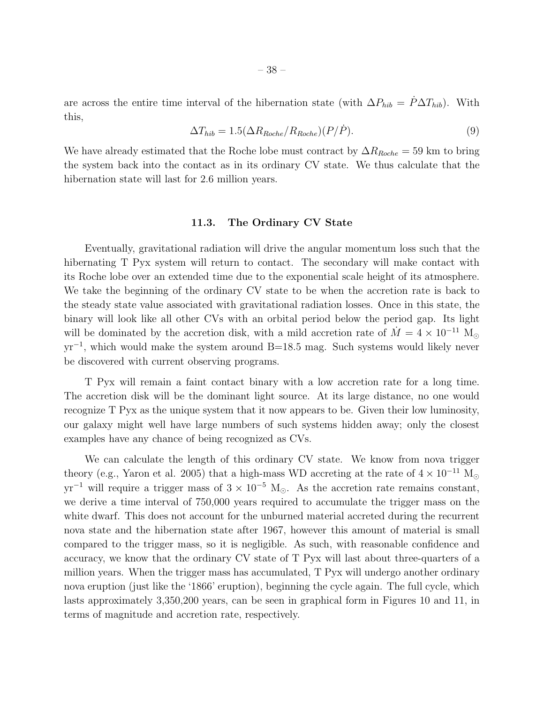are across the entire time interval of the hibernation state (with  $\Delta P_{hib} = \dot{P} \Delta T_{hib}$ ). With this,

$$
\Delta T_{hib} = 1.5(\Delta R_{Roche}/R_{Roche})(P/\dot{P}).\tag{9}
$$

We have already estimated that the Roche lobe must contract by  $\Delta R_{Roche} = 59$  km to bring the system back into the contact as in its ordinary CV state. We thus calculate that the hibernation state will last for 2.6 million years.

#### 11.3. The Ordinary CV State

Eventually, gravitational radiation will drive the angular momentum loss such that the hibernating T Pyx system will return to contact. The secondary will make contact with its Roche lobe over an extended time due to the exponential scale height of its atmosphere. We take the beginning of the ordinary CV state to be when the accretion rate is back to the steady state value associated with gravitational radiation losses. Once in this state, the binary will look like all other CVs with an orbital period below the period gap. Its light will be dominated by the accretion disk, with a mild accretion rate of  $\dot{M} = 4 \times 10^{-11}$  M<sub>o</sub> yr<sup>-1</sup>, which would make the system around B=18.5 mag. Such systems would likely never be discovered with current observing programs.

T Pyx will remain a faint contact binary with a low accretion rate for a long time. The accretion disk will be the dominant light source. At its large distance, no one would recognize T Pyx as the unique system that it now appears to be. Given their low luminosity, our galaxy might well have large numbers of such systems hidden away; only the closest examples have any chance of being recognized as CVs.

We can calculate the length of this ordinary CV state. We know from nova trigger theory (e.g., Yaron et al. 2005) that a high-mass WD accreting at the rate of  $4 \times 10^{-11}$  M<sub>o</sub>  $yr^{-1}$  will require a trigger mass of  $3 \times 10^{-5}$  M<sub>☉</sub>. As the accretion rate remains constant, we derive a time interval of 750,000 years required to accumulate the trigger mass on the white dwarf. This does not account for the unburned material accreted during the recurrent nova state and the hibernation state after 1967, however this amount of material is small compared to the trigger mass, so it is negligible. As such, with reasonable confidence and accuracy, we know that the ordinary CV state of T Pyx will last about three-quarters of a million years. When the trigger mass has accumulated, T Pyx will undergo another ordinary nova eruption (just like the '1866' eruption), beginning the cycle again. The full cycle, which lasts approximately 3,350,200 years, can be seen in graphical form in Figures 10 and 11, in terms of magnitude and accretion rate, respectively.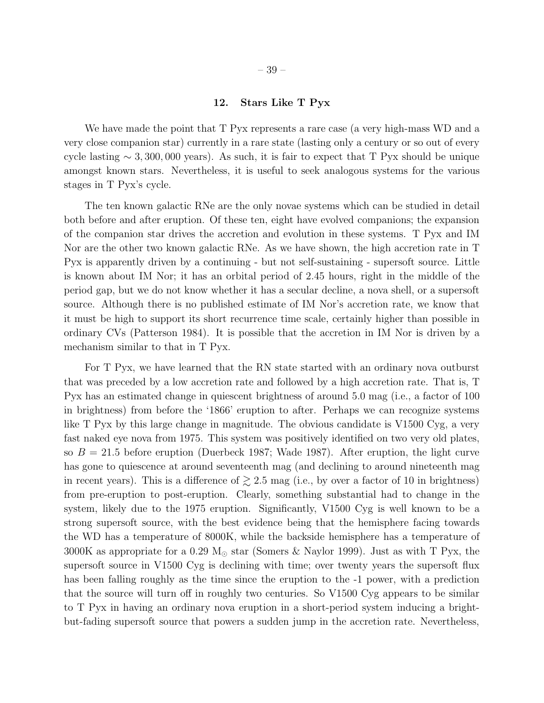## 12. Stars Like T Pyx

We have made the point that T Pyx represents a rare case (a very high-mass WD and a very close companion star) currently in a rare state (lasting only a century or so out of every cycle lasting  $\sim 3,300,000$  years). As such, it is fair to expect that T Pyx should be unique amongst known stars. Nevertheless, it is useful to seek analogous systems for the various stages in T Pyx's cycle.

The ten known galactic RNe are the only novae systems which can be studied in detail both before and after eruption. Of these ten, eight have evolved companions; the expansion of the companion star drives the accretion and evolution in these systems. T Pyx and IM Nor are the other two known galactic RNe. As we have shown, the high accretion rate in T Pyx is apparently driven by a continuing - but not self-sustaining - supersoft source. Little is known about IM Nor; it has an orbital period of 2.45 hours, right in the middle of the period gap, but we do not know whether it has a secular decline, a nova shell, or a supersoft source. Although there is no published estimate of IM Nor's accretion rate, we know that it must be high to support its short recurrence time scale, certainly higher than possible in ordinary CVs (Patterson 1984). It is possible that the accretion in IM Nor is driven by a mechanism similar to that in T Pyx.

For T Pyx, we have learned that the RN state started with an ordinary nova outburst that was preceded by a low accretion rate and followed by a high accretion rate. That is, T Pyx has an estimated change in quiescent brightness of around 5.0 mag (i.e., a factor of 100 in brightness) from before the '1866' eruption to after. Perhaps we can recognize systems like T Pyx by this large change in magnitude. The obvious candidate is V1500 Cyg, a very fast naked eye nova from 1975. This system was positively identified on two very old plates, so  $B = 21.5$  before eruption (Duerbeck 1987; Wade 1987). After eruption, the light curve has gone to quiescence at around seventeenth mag (and declining to around nineteenth mag in recent years). This is a difference of  $\geq 2.5$  mag (i.e., by over a factor of 10 in brightness) from pre-eruption to post-eruption. Clearly, something substantial had to change in the system, likely due to the 1975 eruption. Significantly, V1500 Cyg is well known to be a strong supersoft source, with the best evidence being that the hemisphere facing towards the WD has a temperature of 8000K, while the backside hemisphere has a temperature of 3000K as appropriate for a 0.29  $M_{\odot}$  star (Somers & Naylor 1999). Just as with T Pyx, the supersoft source in V1500 Cyg is declining with time; over twenty years the supersoft flux has been falling roughly as the time since the eruption to the -1 power, with a prediction that the source will turn off in roughly two centuries. So V1500 Cyg appears to be similar to T Pyx in having an ordinary nova eruption in a short-period system inducing a brightbut-fading supersoft source that powers a sudden jump in the accretion rate. Nevertheless,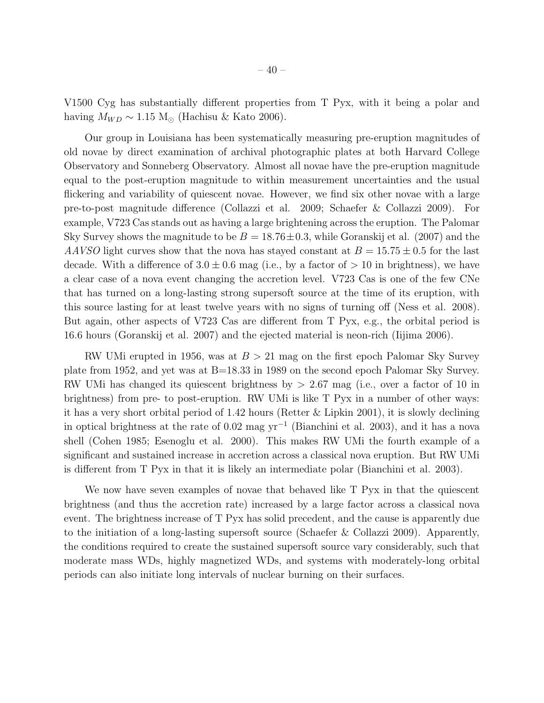V1500 Cyg has substantially different properties from T Pyx, with it being a polar and having  $M_{WD} \sim 1.15 \text{ M}_{\odot}$  (Hachisu & Kato 2006).

Our group in Louisiana has been systematically measuring pre-eruption magnitudes of old novae by direct examination of archival photographic plates at both Harvard College Observatory and Sonneberg Observatory. Almost all novae have the pre-eruption magnitude equal to the post-eruption magnitude to within measurement uncertainties and the usual flickering and variability of quiescent novae. However, we find six other novae with a large pre-to-post magnitude difference (Collazzi et al. 2009; Schaefer & Collazzi 2009). For example, V723 Cas stands out as having a large brightening across the eruption. The Palomar Sky Survey shows the magnitude to be  $B = 18.76 \pm 0.3$ , while Goranskij et al. (2007) and the *AAVSO* light curves show that the nova has stayed constant at  $B = 15.75 \pm 0.5$  for the last decade. With a difference of  $3.0 \pm 0.6$  mag (i.e., by a factor of  $> 10$  in brightness), we have a clear case of a nova event changing the accretion level. V723 Cas is one of the few CNe that has turned on a long-lasting strong supersoft source at the time of its eruption, with this source lasting for at least twelve years with no signs of turning off (Ness et al. 2008). But again, other aspects of V723 Cas are different from T Pyx, e.g., the orbital period is 16.6 hours (Goranskij et al. 2007) and the ejected material is neon-rich (Iijima 2006).

RW UMi erupted in 1956, was at  $B > 21$  mag on the first epoch Palomar Sky Survey plate from 1952, and yet was at B=18.33 in 1989 on the second epoch Palomar Sky Survey. RW UMi has changed its quiescent brightness by > 2.67 mag (i.e., over a factor of 10 in brightness) from pre- to post-eruption. RW UMi is like T Pyx in a number of other ways: it has a very short orbital period of 1.42 hours (Retter & Lipkin 2001), it is slowly declining in optical brightness at the rate of 0.02 mag yr<sup>−</sup><sup>1</sup> (Bianchini et al. 2003), and it has a nova shell (Cohen 1985; Esenoglu et al. 2000). This makes RW UMi the fourth example of a significant and sustained increase in accretion across a classical nova eruption. But RW UMi is different from T Pyx in that it is likely an intermediate polar (Bianchini et al. 2003).

We now have seven examples of novae that behaved like T Pyx in that the quiescent brightness (and thus the accretion rate) increased by a large factor across a classical nova event. The brightness increase of T Pyx has solid precedent, and the cause is apparently due to the initiation of a long-lasting supersoft source (Schaefer & Collazzi 2009). Apparently, the conditions required to create the sustained supersoft source vary considerably, such that moderate mass WDs, highly magnetized WDs, and systems with moderately-long orbital periods can also initiate long intervals of nuclear burning on their surfaces.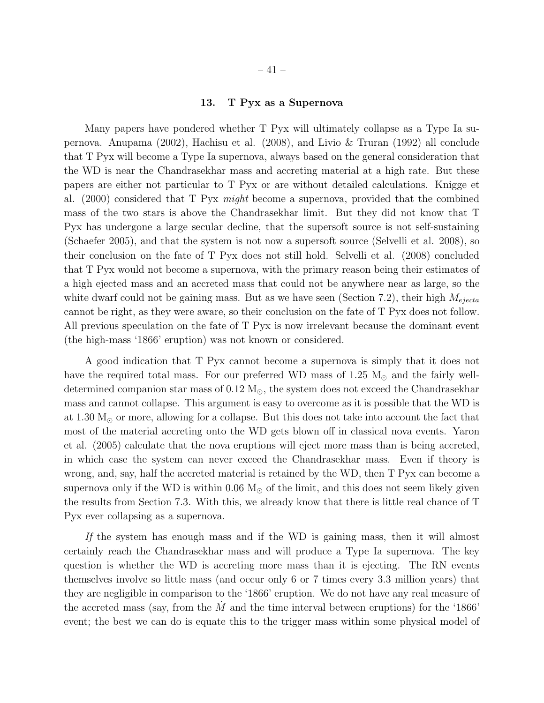## 13. T Pyx as a Supernova

Many papers have pondered whether T Pyx will ultimately collapse as a Type Ia supernova. Anupama (2002), Hachisu et al. (2008), and Livio & Truran (1992) all conclude that T Pyx will become a Type Ia supernova, always based on the general consideration that the WD is near the Chandrasekhar mass and accreting material at a high rate. But these papers are either not particular to T Pyx or are without detailed calculations. Knigge et al. (2000) considered that T Pyx *might* become a supernova, provided that the combined mass of the two stars is above the Chandrasekhar limit. But they did not know that T Pyx has undergone a large secular decline, that the supersoft source is not self-sustaining (Schaefer 2005), and that the system is not now a supersoft source (Selvelli et al. 2008), so their conclusion on the fate of T Pyx does not still hold. Selvelli et al. (2008) concluded that T Pyx would not become a supernova, with the primary reason being their estimates of a high ejected mass and an accreted mass that could not be anywhere near as large, so the white dwarf could not be gaining mass. But as we have seen (Section 7.2), their high  $M_{ejecta}$ cannot be right, as they were aware, so their conclusion on the fate of T Pyx does not follow. All previous speculation on the fate of T Pyx is now irrelevant because the dominant event (the high-mass '1866' eruption) was not known or considered.

A good indication that T Pyx cannot become a supernova is simply that it does not have the required total mass. For our preferred WD mass of 1.25  $M_{\odot}$  and the fairly welldetermined companion star mass of  $0.12 M_{\odot}$ , the system does not exceed the Chandrasekhar mass and cannot collapse. This argument is easy to overcome as it is possible that the WD is at 1.30  $M_{\odot}$  or more, allowing for a collapse. But this does not take into account the fact that most of the material accreting onto the WD gets blown off in classical nova events. Yaron et al. (2005) calculate that the nova eruptions will eject more mass than is being accreted, in which case the system can never exceed the Chandrasekhar mass. Even if theory is wrong, and, say, half the accreted material is retained by the WD, then T Pyx can become a supernova only if the WD is within 0.06  $M_{\odot}$  of the limit, and this does not seem likely given the results from Section 7.3. With this, we already know that there is little real chance of T Pyx ever collapsing as a supernova.

*If* the system has enough mass and if the WD is gaining mass, then it will almost certainly reach the Chandrasekhar mass and will produce a Type Ia supernova. The key question is whether the WD is accreting more mass than it is ejecting. The RN events themselves involve so little mass (and occur only 6 or 7 times every 3.3 million years) that they are negligible in comparison to the '1866' eruption. We do not have any real measure of the accreted mass (say, from the  $M$  and the time interval between eruptions) for the '1866' event; the best we can do is equate this to the trigger mass within some physical model of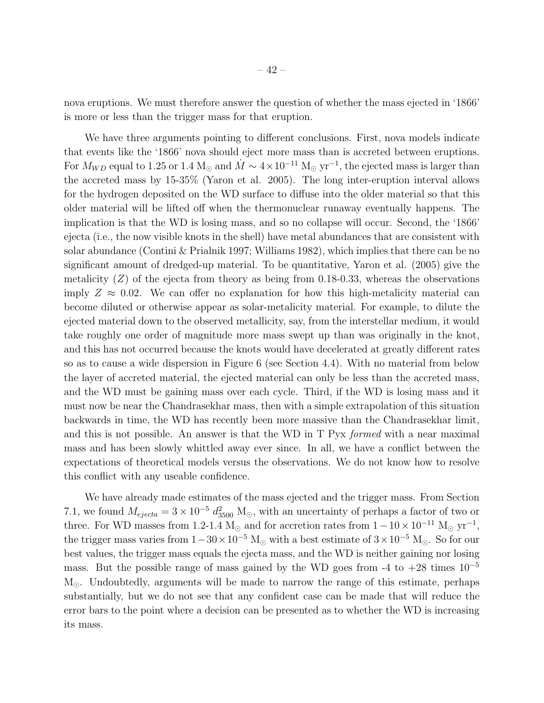nova eruptions. We must therefore answer the question of whether the mass ejected in '1866' is more or less than the trigger mass for that eruption.

We have three arguments pointing to different conclusions. First, nova models indicate that events like the '1866' nova should eject more mass than is accreted between eruptions. For  $M_{WD}$  equal to 1.25 or 1.4 M<sub>☉</sub> and  $\dot{M} \sim 4 \times 10^{-11}$  M<sub>☉</sub> yr<sup>-1</sup>, the ejected mass is larger than the accreted mass by 15-35% (Yaron et al. 2005). The long inter-eruption interval allows for the hydrogen deposited on the WD surface to diffuse into the older material so that this older material will be lifted off when the thermonuclear runaway eventually happens. The implication is that the WD is losing mass, and so no collapse will occur. Second, the '1866' ejecta (i.e., the now visible knots in the shell) have metal abundances that are consistent with solar abundance (Contini & Prialnik 1997; Williams 1982), which implies that there can be no significant amount of dredged-up material. To be quantitative, Yaron et al. (2005) give the metalicity  $(Z)$  of the ejecta from theory as being from 0.18-0.33, whereas the observations imply  $Z \approx 0.02$ . We can offer no explanation for how this high-metalicity material can become diluted or otherwise appear as solar-metalicity material. For example, to dilute the ejected material down to the observed metallicity, say, from the interstellar medium, it would take roughly one order of magnitude more mass swept up than was originally in the knot, and this has not occurred because the knots would have decelerated at greatly different rates so as to cause a wide dispersion in Figure 6 (see Section 4.4). With no material from below the layer of accreted material, the ejected material can only be less than the accreted mass, and the WD must be gaining mass over each cycle. Third, if the WD is losing mass and it must now be near the Chandrasekhar mass, then with a simple extrapolation of this situation backwards in time, the WD has recently been more massive than the Chandrasekhar limit, and this is not possible. An answer is that the WD in T Pyx *formed* with a near maximal mass and has been slowly whittled away ever since. In all, we have a conflict between the expectations of theoretical models versus the observations. We do not know how to resolve this conflict with any useable confidence.

We have already made estimates of the mass ejected and the trigger mass. From Section 7.1, we found  $M_{ejecta} = 3 \times 10^{-5} d_{3500}^2$  M<sub>☉</sub>, with an uncertainty of perhaps a factor of two or three. For WD masses from 1.2-1.4 M<sub>☉</sub> and for accretion rates from  $1-10 \times 10^{-11}$  M<sub>☉</sub> yr<sup>-1</sup>, the trigger mass varies from  $1-30\times10^{-5}$  M<sub>☉</sub> with a best estimate of  $3\times10^{-5}$  M<sub>☉</sub>. So for our best values, the trigger mass equals the ejecta mass, and the WD is neither gaining nor losing mass. But the possible range of mass gained by the WD goes from -4 to  $+28$  times  $10^{-5}$  $M_{\odot}$ . Undoubtedly, arguments will be made to narrow the range of this estimate, perhaps substantially, but we do not see that any confident case can be made that will reduce the error bars to the point where a decision can be presented as to whether the WD is increasing its mass.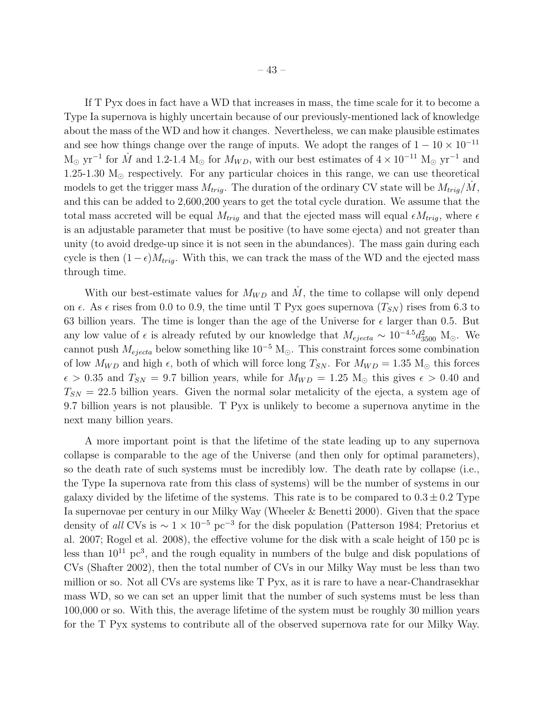If T Pyx does in fact have a WD that increases in mass, the time scale for it to become a Type Ia supernova is highly uncertain because of our previously-mentioned lack of knowledge about the mass of the WD and how it changes. Nevertheless, we can make plausible estimates and see how things change over the range of inputs. We adopt the ranges of  $1 - 10 \times 10^{-11}$  $M_{\odot}$  yr<sup>-1</sup> for  $\dot{M}$  and 1.2-1.4  $M_{\odot}$  for  $M_{WD}$ , with our best estimates of  $4 \times 10^{-11}$   $M_{\odot}$  yr<sup>-1</sup> and 1.25-1.30  $M_{\odot}$  respectively. For any particular choices in this range, we can use theoretical models to get the trigger mass  $M_{trig}$ . The duration of the ordinary CV state will be  $M_{trig}/\dot{M}$ , and this can be added to 2,600,200 years to get the total cycle duration. We assume that the total mass accreted will be equal  $M_{trig}$  and that the ejected mass will equal  $\epsilon M_{trig}$ , where  $\epsilon$ is an adjustable parameter that must be positive (to have some ejecta) and not greater than unity (to avoid dredge-up since it is not seen in the abundances). The mass gain during each cycle is then  $(1 - \epsilon)M_{trig}$ . With this, we can track the mass of the WD and the ejected mass through time.

With our best-estimate values for  $M_{WD}$  and  $\dot{M}$ , the time to collapse will only depend on  $\epsilon$ . As  $\epsilon$  rises from 0.0 to 0.9, the time until T Pyx goes supernova  $(T_{SN})$  rises from 6.3 to 63 billion years. The time is longer than the age of the Universe for  $\epsilon$  larger than 0.5. But any low value of  $\epsilon$  is already refuted by our knowledge that  $M_{ejecta} \sim 10^{-4.5} d_{3500}^2$  M<sub>☉</sub>. We cannot push  $M_{ejecta}$  below something like 10<sup>-5</sup> M<sub>☉</sub>. This constraint forces some combination of low  $M_{WD}$  and high  $\epsilon$ , both of which will force long  $T_{SN}$ . For  $M_{WD} = 1.35$  M<sub>\oo</sub> this forces  $\epsilon > 0.35$  and  $T_{SN} = 9.7$  billion years, while for  $M_{WD} = 1.25$  M<sub>o</sub> this gives  $\epsilon > 0.40$  and  $T_{SN} = 22.5$  billion years. Given the normal solar metalicity of the ejecta, a system age of 9.7 billion years is not plausible. T Pyx is unlikely to become a supernova anytime in the next many billion years.

A more important point is that the lifetime of the state leading up to any supernova collapse is comparable to the age of the Universe (and then only for optimal parameters), so the death rate of such systems must be incredibly low. The death rate by collapse (i.e., the Type Ia supernova rate from this class of systems) will be the number of systems in our galaxy divided by the lifetime of the systems. This rate is to be compared to  $0.3 \pm 0.2$  Type Ia supernovae per century in our Milky Way (Wheeler & Benetti 2000). Given that the space density of *all* CVs is ∼ 1 × 10<sup>−</sup><sup>5</sup> pc<sup>−</sup><sup>3</sup> for the disk population (Patterson 1984; Pretorius et al. 2007; Rogel et al. 2008), the effective volume for the disk with a scale height of 150 pc is less than  $10^{11}$   $pc^3$ , and the rough equality in numbers of the bulge and disk populations of CVs (Shafter 2002), then the total number of CVs in our Milky Way must be less than two million or so. Not all CVs are systems like T Pyx, as it is rare to have a near-Chandrasekhar mass WD, so we can set an upper limit that the number of such systems must be less than 100,000 or so. With this, the average lifetime of the system must be roughly 30 million years for the T Pyx systems to contribute all of the observed supernova rate for our Milky Way.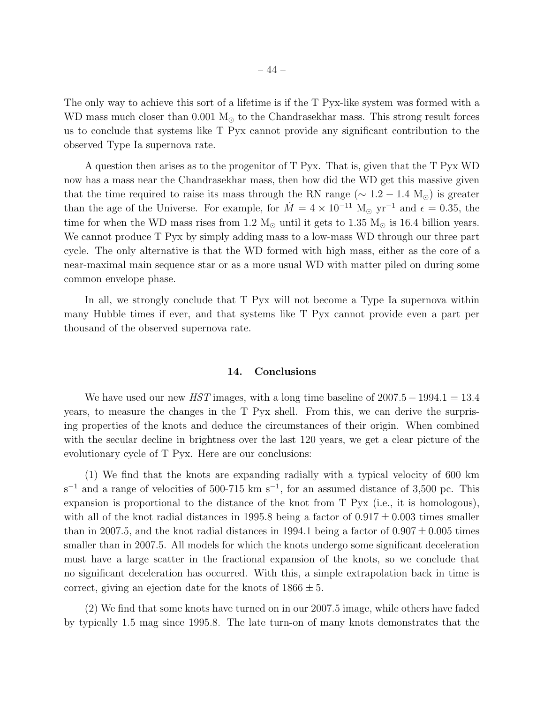The only way to achieve this sort of a lifetime is if the T Pyx-like system was formed with a WD mass much closer than 0.001  $M_{\odot}$  to the Chandrasekhar mass. This strong result forces us to conclude that systems like T Pyx cannot provide any significant contribution to the observed Type Ia supernova rate.

A question then arises as to the progenitor of T Pyx. That is, given that the T Pyx WD now has a mass near the Chandrasekhar mass, then how did the WD get this massive given that the time required to raise its mass through the RN range ( $\sim 1.2 - 1.4$  M<sub>☉</sub>) is greater than the age of the Universe. For example, for  $\dot{M} = 4 \times 10^{-11}$  M<sub>☉</sub> yr<sup>-1</sup> and  $\epsilon = 0.35$ , the time for when the WD mass rises from 1.2  $M_{\odot}$  until it gets to 1.35  $M_{\odot}$  is 16.4 billion years. We cannot produce T Pyx by simply adding mass to a low-mass WD through our three part cycle. The only alternative is that the WD formed with high mass, either as the core of a near-maximal main sequence star or as a more usual WD with matter piled on during some common envelope phase.

In all, we strongly conclude that T Pyx will not become a Type Ia supernova within many Hubble times if ever, and that systems like T Pyx cannot provide even a part per thousand of the observed supernova rate.

#### 14. Conclusions

We have used our new *HST* images, with a long time baseline of 2007.5 – 1994.1 = 13.4 years, to measure the changes in the T Pyx shell. From this, we can derive the surprising properties of the knots and deduce the circumstances of their origin. When combined with the secular decline in brightness over the last 120 years, we get a clear picture of the evolutionary cycle of T Pyx. Here are our conclusions:

(1) We find that the knots are expanding radially with a typical velocity of 600 km  $s^{-1}$  and a range of velocities of 500-715 km  $s^{-1}$ , for an assumed distance of 3,500 pc. This expansion is proportional to the distance of the knot from T Pyx (i.e., it is homologous), with all of the knot radial distances in 1995.8 being a factor of  $0.917 \pm 0.003$  times smaller than in 2007.5, and the knot radial distances in 1994.1 being a factor of  $0.907 \pm 0.005$  times smaller than in 2007.5. All models for which the knots undergo some significant deceleration must have a large scatter in the fractional expansion of the knots, so we conclude that no significant deceleration has occurred. With this, a simple extrapolation back in time is correct, giving an ejection date for the knots of  $1866 \pm 5$ .

(2) We find that some knots have turned on in our 2007.5 image, while others have faded by typically 1.5 mag since 1995.8. The late turn-on of many knots demonstrates that the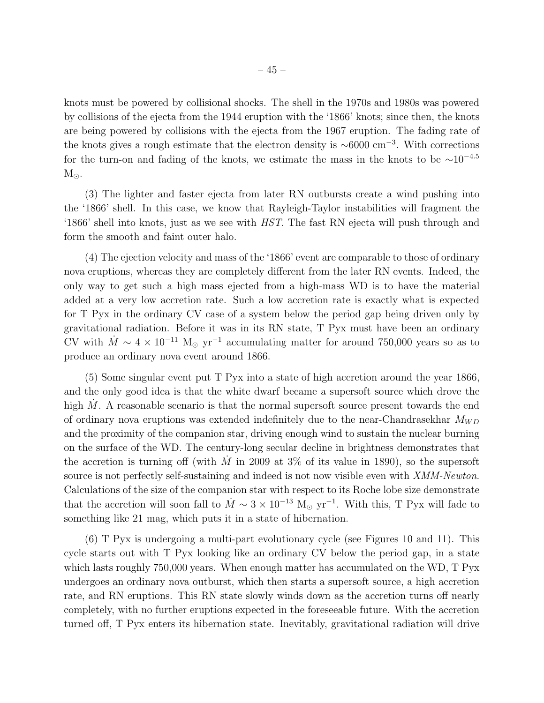knots must be powered by collisional shocks. The shell in the 1970s and 1980s was powered by collisions of the ejecta from the 1944 eruption with the '1866' knots; since then, the knots are being powered by collisions with the ejecta from the 1967 eruption. The fading rate of the knots gives a rough estimate that the electron density is ∼6000 cm<sup>−</sup><sup>3</sup> . With corrections for the turn-on and fading of the knots, we estimate the mass in the knots to be  $\sim 10^{-4.5}$  $M_{\odot}$ .

(3) The lighter and faster ejecta from later RN outbursts create a wind pushing into the '1866' shell. In this case, we know that Rayleigh-Taylor instabilities will fragment the '1866' shell into knots, just as we see with *HST*. The fast RN ejecta will push through and form the smooth and faint outer halo.

(4) The ejection velocity and mass of the '1866' event are comparable to those of ordinary nova eruptions, whereas they are completely different from the later RN events. Indeed, the only way to get such a high mass ejected from a high-mass WD is to have the material added at a very low accretion rate. Such a low accretion rate is exactly what is expected for T Pyx in the ordinary CV case of a system below the period gap being driven only by gravitational radiation. Before it was in its RN state, T Pyx must have been an ordinary CV with  $\dot{M} \sim 4 \times 10^{-11}$  M<sub>☉</sub> yr<sup>-1</sup> accumulating matter for around 750,000 years so as to produce an ordinary nova event around 1866.

(5) Some singular event put T Pyx into a state of high accretion around the year 1866, and the only good idea is that the white dwarf became a supersoft source which drove the high  $\dot{M}$ . A reasonable scenario is that the normal supersoft source present towards the end of ordinary nova eruptions was extended indefinitely due to the near-Chandrasekhar  $M_{WD}$ and the proximity of the companion star, driving enough wind to sustain the nuclear burning on the surface of the WD. The century-long secular decline in brightness demonstrates that the accretion is turning off (with  $\dot{M}$  in 2009 at 3% of its value in 1890), so the supersoft source is not perfectly self-sustaining and indeed is not now visible even with *XMM-Newton*. Calculations of the size of the companion star with respect to its Roche lobe size demonstrate that the accretion will soon fall to  $\dot{M} \sim 3 \times 10^{-13}$  M<sub>☉</sub> yr<sup>-1</sup>. With this, T Pyx will fade to something like 21 mag, which puts it in a state of hibernation.

(6) T Pyx is undergoing a multi-part evolutionary cycle (see Figures 10 and 11). This cycle starts out with T Pyx looking like an ordinary CV below the period gap, in a state which lasts roughly 750,000 years. When enough matter has accumulated on the WD, T Pyx undergoes an ordinary nova outburst, which then starts a supersoft source, a high accretion rate, and RN eruptions. This RN state slowly winds down as the accretion turns off nearly completely, with no further eruptions expected in the foreseeable future. With the accretion turned off, T Pyx enters its hibernation state. Inevitably, gravitational radiation will drive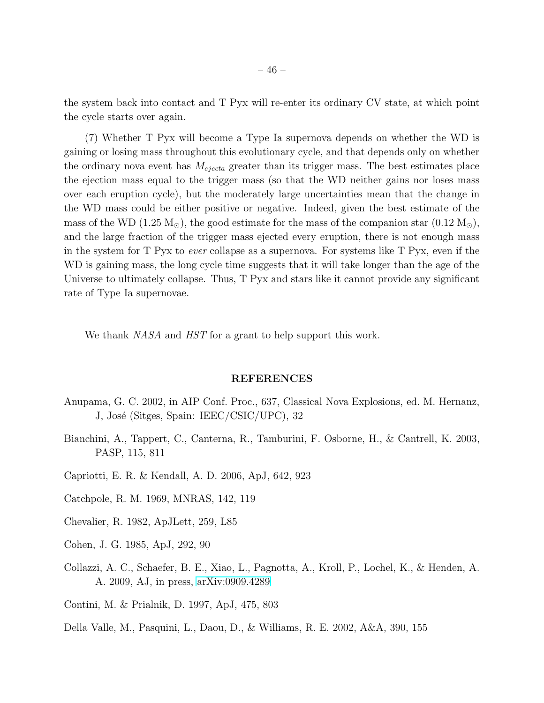the system back into contact and T Pyx will re-enter its ordinary CV state, at which point the cycle starts over again.

(7) Whether T Pyx will become a Type Ia supernova depends on whether the WD is gaining or losing mass throughout this evolutionary cycle, and that depends only on whether the ordinary nova event has  $M_{ejecta}$  greater than its trigger mass. The best estimates place the ejection mass equal to the trigger mass (so that the WD neither gains nor loses mass over each eruption cycle), but the moderately large uncertainties mean that the change in the WD mass could be either positive or negative. Indeed, given the best estimate of the mass of the WD (1.25 M<sub>☉</sub>), the good estimate for the mass of the companion star (0.12 M<sub>☉</sub>), and the large fraction of the trigger mass ejected every eruption, there is not enough mass in the system for T Pyx to *ever* collapse as a supernova. For systems like T Pyx, even if the WD is gaining mass, the long cycle time suggests that it will take longer than the age of the Universe to ultimately collapse. Thus, T Pyx and stars like it cannot provide any significant rate of Type Ia supernovae.

We thank *NASA* and *HST* for a grant to help support this work.

#### REFERENCES

- Anupama, G. C. 2002, in AIP Conf. Proc., 637, Classical Nova Explosions, ed. M. Hernanz, J, José (Sitges, Spain: IEEC/CSIC/UPC), 32
- Bianchini, A., Tappert, C., Canterna, R., Tamburini, F. Osborne, H., & Cantrell, K. 2003, PASP, 115, 811
- Capriotti, E. R. & Kendall, A. D. 2006, ApJ, 642, 923
- Catchpole, R. M. 1969, MNRAS, 142, 119
- Chevalier, R. 1982, ApJLett, 259, L85
- Cohen, J. G. 1985, ApJ, 292, 90
- Collazzi, A. C., Schaefer, B. E., Xiao, L., Pagnotta, A., Kroll, P., Lochel, K., & Henden, A. A. 2009, AJ, in press, [arXiv:0909.4289](http://arxiv.org/abs/0909.4289)

Contini, M. & Prialnik, D. 1997, ApJ, 475, 803

Della Valle, M., Pasquini, L., Daou, D., & Williams, R. E. 2002, A&A, 390, 155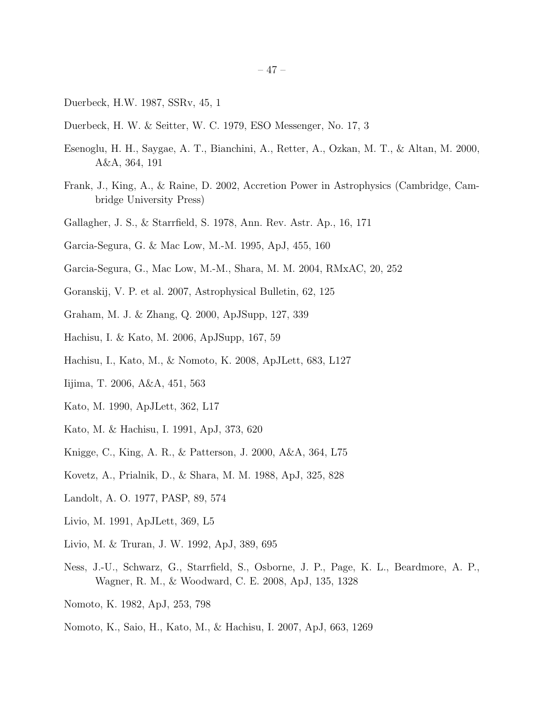- Duerbeck, H.W. 1987, SSRv, 45, 1
- Duerbeck, H. W. & Seitter, W. C. 1979, ESO Messenger, No. 17, 3
- Esenoglu, H. H., Saygae, A. T., Bianchini, A., Retter, A., Ozkan, M. T., & Altan, M. 2000, A&A, 364, 191
- Frank, J., King, A., & Raine, D. 2002, Accretion Power in Astrophysics (Cambridge, Cambridge University Press)
- Gallagher, J. S., & Starrfield, S. 1978, Ann. Rev. Astr. Ap., 16, 171
- Garcia-Segura, G. & Mac Low, M.-M. 1995, ApJ, 455, 160
- Garcia-Segura, G., Mac Low, M.-M., Shara, M. M. 2004, RMxAC, 20, 252
- Goranskij, V. P. et al. 2007, Astrophysical Bulletin, 62, 125
- Graham, M. J. & Zhang, Q. 2000, ApJSupp, 127, 339
- Hachisu, I. & Kato, M. 2006, ApJSupp, 167, 59
- Hachisu, I., Kato, M., & Nomoto, K. 2008, ApJLett, 683, L127
- Iijima, T. 2006, A&A, 451, 563
- Kato, M. 1990, ApJLett, 362, L17
- Kato, M. & Hachisu, I. 1991, ApJ, 373, 620
- Knigge, C., King, A. R., & Patterson, J. 2000, A&A, 364, L75
- Kovetz, A., Prialnik, D., & Shara, M. M. 1988, ApJ, 325, 828
- Landolt, A. O. 1977, PASP, 89, 574
- Livio, M. 1991, ApJLett, 369, L5
- Livio, M. & Truran, J. W. 1992, ApJ, 389, 695
- Ness, J.-U., Schwarz, G., Starrfield, S., Osborne, J. P., Page, K. L., Beardmore, A. P., Wagner, R. M., & Woodward, C. E. 2008, ApJ, 135, 1328
- Nomoto, K. 1982, ApJ, 253, 798
- Nomoto, K., Saio, H., Kato, M., & Hachisu, I. 2007, ApJ, 663, 1269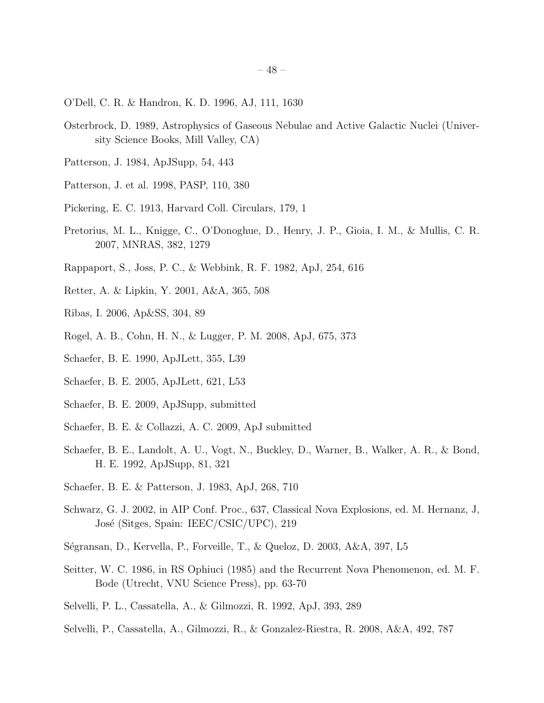- O'Dell, C. R. & Handron, K. D. 1996, AJ, 111, 1630
- Osterbrock, D. 1989, Astrophysics of Gaseous Nebulae and Active Galactic Nuclei (University Science Books, Mill Valley, CA)
- Patterson, J. 1984, ApJSupp, 54, 443
- Patterson, J. et al. 1998, PASP, 110, 380
- Pickering, E. C. 1913, Harvard Coll. Circulars, 179, 1
- Pretorius, M. L., Knigge, C., O'Donoghue, D., Henry, J. P., Gioia, I. M., & Mullis, C. R. 2007, MNRAS, 382, 1279
- Rappaport, S., Joss, P. C., & Webbink, R. F. 1982, ApJ, 254, 616
- Retter, A. & Lipkin, Y. 2001, A&A, 365, 508
- Ribas, I. 2006, Ap&SS, 304, 89
- Rogel, A. B., Cohn, H. N., & Lugger, P. M. 2008, ApJ, 675, 373
- Schaefer, B. E. 1990, ApJLett, 355, L39
- Schaefer, B. E. 2005, ApJLett, 621, L53
- Schaefer, B. E. 2009, ApJSupp, submitted
- Schaefer, B. E. & Collazzi, A. C. 2009, ApJ submitted
- Schaefer, B. E., Landolt, A. U., Vogt, N., Buckley, D., Warner, B., Walker, A. R., & Bond, H. E. 1992, ApJSupp, 81, 321
- Schaefer, B. E. & Patterson, J. 1983, ApJ, 268, 710
- Schwarz, G. J. 2002, in AIP Conf. Proc., 637, Classical Nova Explosions, ed. M. Hernanz, J, José (Sitges, Spain: IEEC/CSIC/UPC), 219
- S´egransan, D., Kervella, P., Forveille, T., & Queloz, D. 2003, A&A, 397, L5
- Seitter, W. C. 1986, in RS Ophiuci (1985) and the Recurrent Nova Phenomenon, ed. M. F. Bode (Utrecht, VNU Science Press), pp. 63-70
- Selvelli, P. L., Cassatella, A., & Gilmozzi, R. 1992, ApJ, 393, 289
- Selvelli, P., Cassatella, A., Gilmozzi, R., & Gonzalez-Riestra, R. 2008, A&A, 492, 787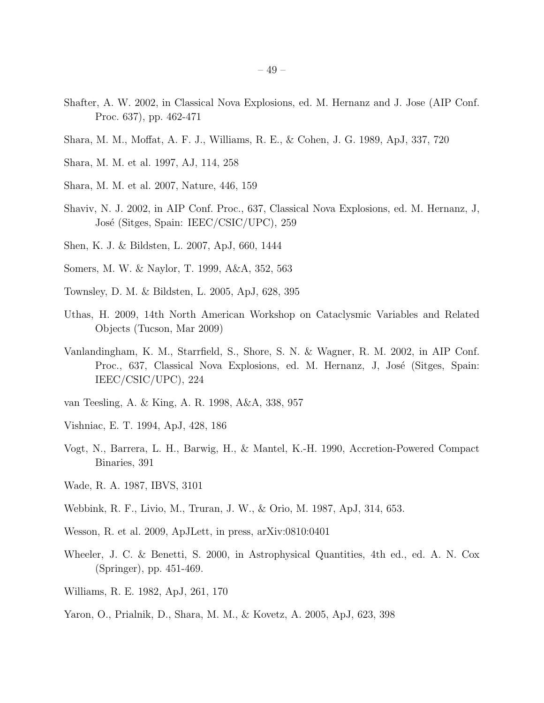- Shafter, A. W. 2002, in Classical Nova Explosions, ed. M. Hernanz and J. Jose (AIP Conf. Proc. 637), pp. 462-471
- Shara, M. M., Moffat, A. F. J., Williams, R. E., & Cohen, J. G. 1989, ApJ, 337, 720
- Shara, M. M. et al. 1997, AJ, 114, 258
- Shara, M. M. et al. 2007, Nature, 446, 159
- Shaviv, N. J. 2002, in AIP Conf. Proc., 637, Classical Nova Explosions, ed. M. Hernanz, J, José (Sitges, Spain: IEEC/CSIC/UPC), 259
- Shen, K. J. & Bildsten, L. 2007, ApJ, 660, 1444
- Somers, M. W. & Naylor, T. 1999, A&A, 352, 563
- Townsley, D. M. & Bildsten, L. 2005, ApJ, 628, 395
- Uthas, H. 2009, 14th North American Workshop on Cataclysmic Variables and Related Objects (Tucson, Mar 2009)
- Vanlandingham, K. M., Starrfield, S., Shore, S. N. & Wagner, R. M. 2002, in AIP Conf. Proc., 637, Classical Nova Explosions, ed. M. Hernanz, J., José (Sitges, Spain: IEEC/CSIC/UPC), 224
- van Teesling, A. & King, A. R. 1998, A&A, 338, 957
- Vishniac, E. T. 1994, ApJ, 428, 186
- Vogt, N., Barrera, L. H., Barwig, H., & Mantel, K.-H. 1990, Accretion-Powered Compact Binaries, 391
- Wade, R. A. 1987, IBVS, 3101
- Webbink, R. F., Livio, M., Truran, J. W., & Orio, M. 1987, ApJ, 314, 653.
- Wesson, R. et al. 2009, ApJLett, in press, arXiv:0810:0401
- Wheeler, J. C. & Benetti, S. 2000, in Astrophysical Quantities, 4th ed., ed. A. N. Cox (Springer), pp. 451-469.
- Williams, R. E. 1982, ApJ, 261, 170
- Yaron, O., Prialnik, D., Shara, M. M., & Kovetz, A. 2005, ApJ, 623, 398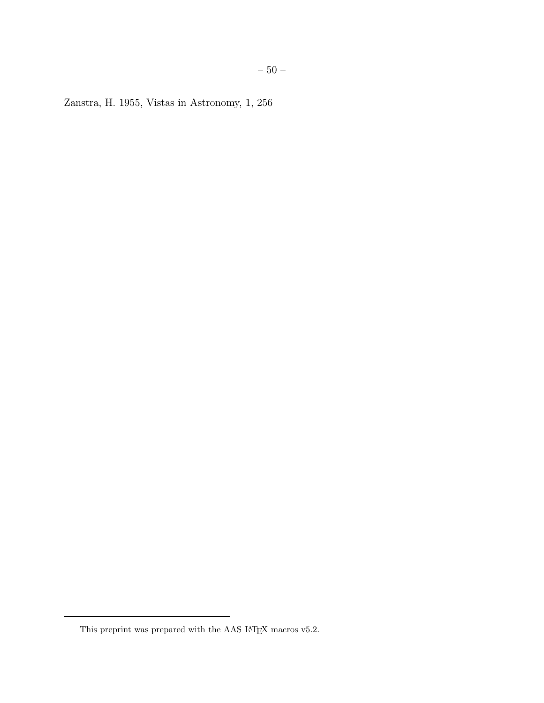Zanstra, H. 1955, Vistas in Astronomy, 1, 256

This preprint was prepared with the AAS IATEX macros v5.2.  $\,$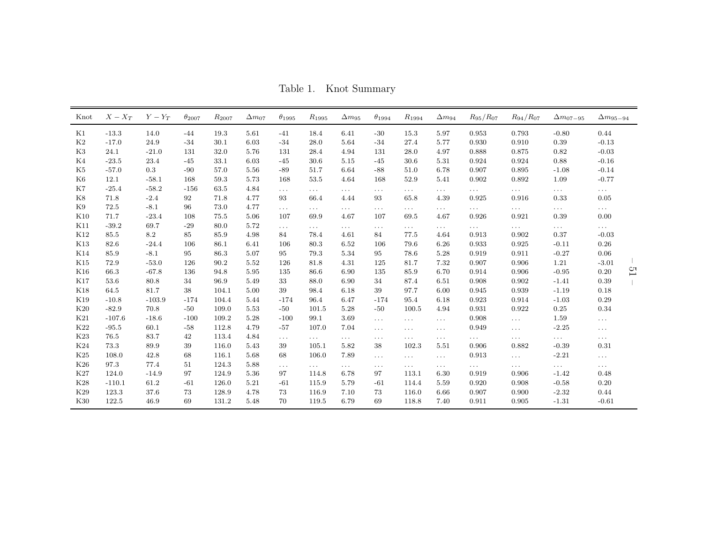Table 1. Knot Summary

| Knot            | $X-X_{T}$ | $Y-Y_T$  | $\theta_{2007}$ | $R_{2007}$ | $\Delta m_{07}$ | $\theta_{1995}$ | $R_{1995}$           | $\Delta m_{95}$ | $\theta_{1994}$ | $R_{1994}$           | $\Delta m_{94}$      | $R_{95}/R_{07}$ | $R_{94}/R_{07}$      | $\Delta m_{07-95}$ | $\Delta m_{95-94}$     |
|-----------------|-----------|----------|-----------------|------------|-----------------|-----------------|----------------------|-----------------|-----------------|----------------------|----------------------|-----------------|----------------------|--------------------|------------------------|
| K1              | $-13.3$   | 14.0     | $-44$           | 19.3       | 5.61            | $-41$           | 18.4                 | 6.41            | $-30$           | 15.3                 | 5.97                 | 0.953           | 0.793                | $-0.80$            | 0.44                   |
| K2              | $-17.0$   | 24.9     | $-34$           | 30.1       | 6.03            | $-34$           | 28.0                 | 5.64            | $-34$           | 27.4                 | 5.77                 | 0.930           | 0.910                | 0.39               | $-0.13$                |
| K3              | 24.1      | $-21.0$  | 131             | 32.0       | 5.76            | 131             | 28.4                 | 4.94            | 131             | 28.0                 | 4.97                 | 0.888           | 0.875                | 0.82               | $-0.03$                |
| K4              | $-23.5$   | 23.4     | $-45$           | 33.1       | 6.03            | $-45$           | 30.6                 | 5.15            | $-45$           | 30.6                 | 5.31                 | 0.924           | 0.924                | 0.88               | $-0.16$                |
| K5              | $-57.0$   | 0.3      | $-90$           | 57.0       | 5.56            | $-89$           | 51.7                 | 6.64            | $-88$           | 51.0                 | 6.78                 | 0.907           | 0.895                | $-1.08$            | $-0.14$                |
| K6              | 12.1      | $-58.1$  | 168             | 59.3       | 5.73            | 168             | 53.5                 | 4.64            | 168             | 52.9                 | 5.41                 | 0.902           | 0.892                | 1.09               | $-0.77$                |
| K7              | $-25.4$   | $-58.2$  | $-156$          | 63.5       | 4.84            | $\cdots$        | $\cdots$             | .               | $\cdots$        | $\cdots$             | $\cdots$             | $\cdots$        | $\cdots$             | $\ldots$ .         | $\ldots$ .             |
| K8              | 71.8      | $-2.4$   | 92              | 71.8       | 4.77            | 93              | 66.4                 | 4.44            | 93              | 65.8                 | 4.39                 | 0.925           | 0.916                | 0.33               | 0.05                   |
| K9              | 72.5      | $-8.1$   | 96              | 73.0       | 4.77            | $\cdots$        | $\ldots$             | $\cdots$        | $\cdots$        | $\sim$ $\sim$ $\sim$ | $\cdots$             | $\cdots$        | $\sim$ $\sim$ $\sim$ | $\ldots$ .         | $\sim$ $\sim$ $\sim$   |
| K10             | 71.7      | $-23.4$  | 108             | 75.5       | 5.06            | 107             | 69.9                 | 4.67            | 107             | 69.5                 | 4.67                 | 0.926           | 0.921                | 0.39               | 0.00                   |
| K11             | $-39.2$   | 69.7     | $-29$           | 80.0       | 5.72            | $\cdots$        | $\cdots$             | $\cdots$        | $\cdots$        | $\cdots$             | $\cdots$             | $\cdots$        | $\sim$ $\sim$ $\sim$ | $\cdots$           | $\sim$ $\sim$ $\sim$   |
| K12             | 85.5      | 8.2      | 85              | 85.9       | 4.98            | 84              | 78.4                 | 4.61            | 84              | 77.5                 | 4.64                 | 0.913           | 0.902                | 0.37               | $-0.03$                |
| K13             | 82.6      | $-24.4$  | 106             | 86.1       | 6.41            | 106             | 80.3                 | 6.52            | 106             | 79.6                 | 6.26                 | 0.933           | 0.925                | $-0.11$            | $0.26\,$               |
| K14             | 85.9      | $-8.1$   | 95              | 86.3       | 5.07            | 95              | 79.3                 | 5.34            | 95              | 78.6                 | 5.28                 | 0.919           | 0.911                | $-0.27$            | 0.06                   |
| K15             | 72.9      | $-53.0$  | 126             | 90.2       | 5.52            | 126             | 81.8                 | 4.31            | 125             | 81.7                 | 7.32                 | 0.907           | 0.906                | 1.21               | $-3.01$                |
| K16             | 66.3      | $-67.8$  | 136             | 94.8       | 5.95            | 135             | 86.6                 | 6.90            | 135             | 85.9                 | 6.70                 | 0.914           | 0.906                | $-0.95$            | $\overline{C}$<br>0.20 |
| K17             | 53.6      | 80.8     | 34              | 96.9       | 5.49            | 33              | 88.0                 | 6.90            | 34              | 87.4                 | 6.51                 | 0.908           | 0.902                | $-1.41$            | 0.39                   |
| <b>K18</b>      | 64.5      | 81.7     | 38              | 104.1      | 5.00            | 39              | 98.4                 | 6.18            | 39              | 97.7                 | 6.00                 | 0.945           | 0.939                | $-1.19$            | 0.18                   |
| K19             | $-10.8$   | $-103.9$ | $-174$          | 104.4      | 5.44            | $-174$          | 96.4                 | 6.47            | $-174$          | 95.4                 | 6.18                 | 0.923           | 0.914                | $-1.03$            | 0.29                   |
| K20             | $-82.9$   | 70.8     | $-50$           | 109.0      | 5.53            | $-50$           | 101.5                | 5.28            | $-50$           | 100.5                | 4.94                 | 0.931           | 0.922                | 0.25               | 0.34                   |
| K21             | $-107.6$  | $-18.6$  | $-100$          | 109.2      | 5.28            | $-100$          | 99.1                 | 3.69            | $\cdots$        | $\sim$ $\sim$ $\sim$ | $\sim$ $\sim$ $\sim$ | 0.908           | $\cdots$             | 1.59               | $\ldots$ .             |
| K <sub>22</sub> | $-95.5$   | 60.1     | $-58$           | 112.8      | 4.79            | $-57$           | 107.0                | 7.04            | $\cdots$        | $\cdots$             | $\cdots$             | 0.949           | $\ldots$             | $-2.25$            | $\ldots$               |
| K23             | 76.5      | 83.7     | 42              | 113.4      | 4.84            | $\cdots$        | $\ldots$             | $\cdots$        | $\cdots$        | $\sim$ $\sim$ $\sim$ | $\cdots$             | $\cdots$        | $\ldots$             | $\cdots$           | $\sim$ $\sim$ $\sim$   |
| K24             | 73.3      | 89.9     | 39              | 116.0      | 5.43            | 39              | 105.1                | 5.82            | 38              | 102.3                | 5.51                 | 0.906           | 0.882                | $-0.39$            | 0.31                   |
| K25             | 108.0     | 42.8     | 68              | 116.1      | 5.68            | 68              | 106.0                | 7.89            | $\cdots$        | $\cdots$ .           | $\cdots$             | 0.913           | $\sim$ .             | $-2.21$            | $\sim$ $\sim$ $\sim$   |
| K26             | 97.3      | 77.4     | 51              | 124.3      | 5.88            | $\cdots$        | $\sim$ $\sim$ $\sim$ | $\cdots$        | $\cdots$        | $\cdots$ .           | $\cdots$             | $\cdots$        | $\ldots$             | $\cdots$           | $\cdots$               |
| K27             | 124.0     | $-14.9$  | 97              | 124.9      | 5.36            | 97              | 114.8                | 6.78            | 97              | 113.1                | 6.30                 | 0.919           | 0.906                | $-1.42$            | 0.48                   |
| K28             | $-110.1$  | 61.2     | $-61$           | 126.0      | 5.21            | $-61$           | 115.9                | 5.79            | $-61$           | 114.4                | 5.59                 | 0.920           | 0.908                | $-0.58$            | 0.20                   |
| K29             | 123.3     | 37.6     | 73              | 128.9      | 4.78            | 73              | 116.9                | 7.10            | 73              | 116.0                | 6.66                 | 0.907           | 0.900                | $-2.32$            | 0.44                   |
| K30             | 122.5     | 46.9     | 69              | 131.2      | 5.48            | 70              | 119.5                | 6.79            | 69              | 118.8                | 7.40                 | 0.911           | 0.905                | $-1.31$            | $-0.61$                |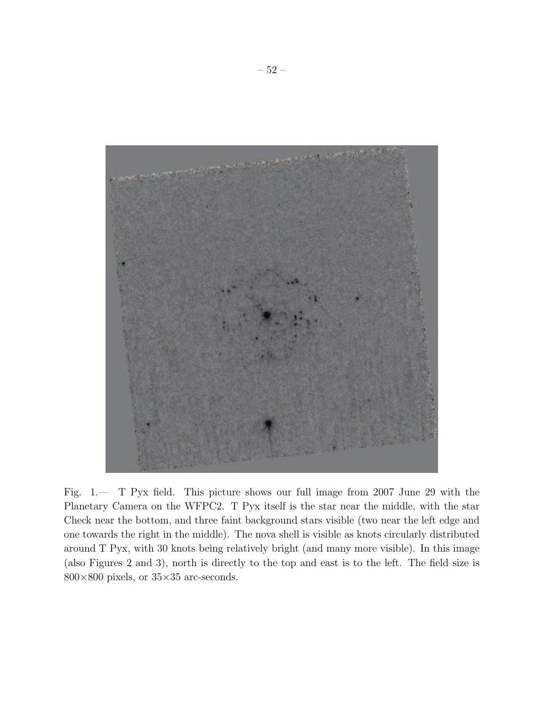

Fig. 1.— T Pyx field. This picture shows our full image from 2007 June 29 with the Planetary Camera on the WFPC2. T Pyx itself is the star near the middle, with the star Check near the bottom, and three faint background stars visible (two near the left edge and one towards the right in the middle). The nova shell is visible as knots circularly distributed around T Pyx, with 30 knots being relatively bright (and many more visible). In this image (also Figures 2 and 3), north is directly to the top and east is to the left. The field size is  $800\times800$  pixels, or  $35\times35$  arc-seconds.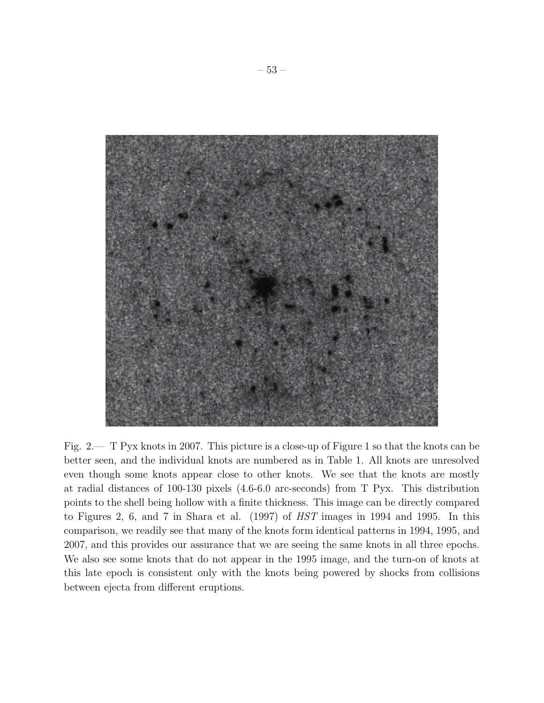

Fig. 2.— T Pyx knots in 2007. This picture is a close-up of Figure 1 so that the knots can be better seen, and the individual knots are numbered as in Table 1. All knots are unresolved even though some knots appear close to other knots. We see that the knots are mostly at radial distances of 100-130 pixels (4.6-6.0 arc-seconds) from T Pyx. This distribution points to the shell being hollow with a finite thickness. This image can be directly compared to Figures 2, 6, and 7 in Shara et al. (1997) of *HST* images in 1994 and 1995. In this comparison, we readily see that many of the knots form identical patterns in 1994, 1995, and 2007, and this provides our assurance that we are seeing the same knots in all three epochs. We also see some knots that do not appear in the 1995 image, and the turn-on of knots at this late epoch is consistent only with the knots being powered by shocks from collisions between ejecta from different eruptions.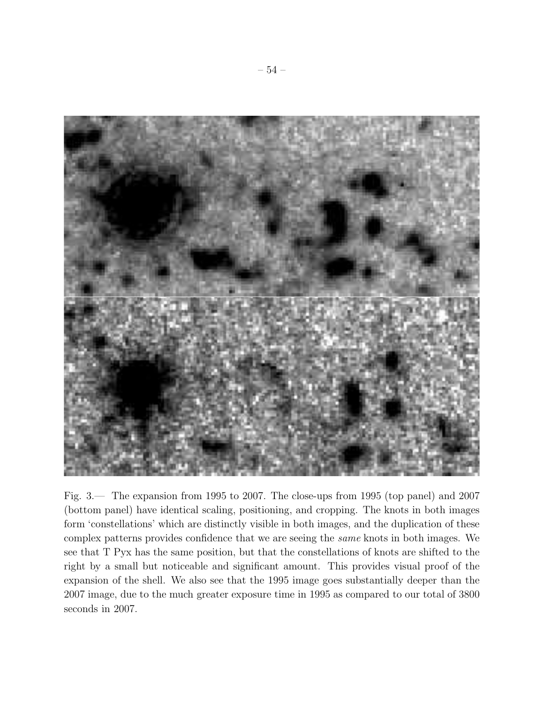

Fig. 3.— The expansion from 1995 to 2007. The close-ups from 1995 (top panel) and 2007 (bottom panel) have identical scaling, positioning, and cropping. The knots in both images form 'constellations' which are distinctly visible in both images, and the duplication of these complex patterns provides confidence that we are seeing the *same* knots in both images. We see that T Pyx has the same position, but that the constellations of knots are shifted to the right by a small but noticeable and significant amount. This provides visual proof of the expansion of the shell. We also see that the 1995 image goes substantially deeper than the 2007 image, due to the much greater exposure time in 1995 as compared to our total of 3800 seconds in 2007.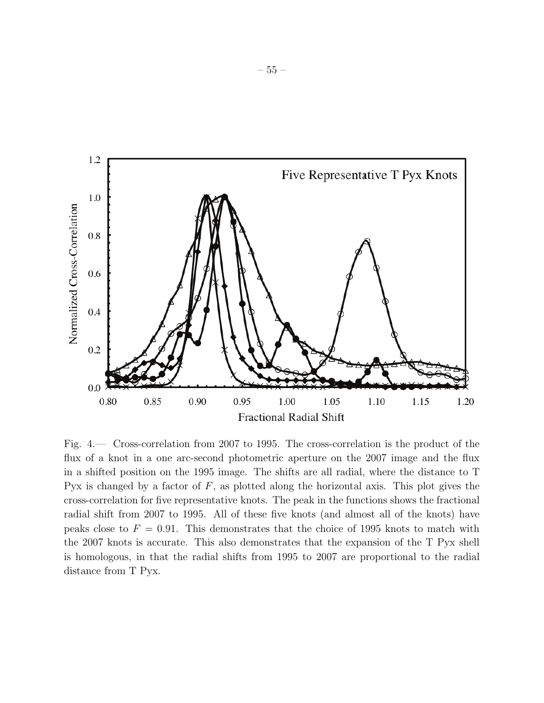

Fig. 4.— Cross-correlation from 2007 to 1995. The cross-correlation is the product of the flux of a knot in a one arc-second photometric aperture on the 2007 image and the flux in a shifted position on the 1995 image. The shifts are all radial, where the distance to T Pyx is changed by a factor of  $F$ , as plotted along the horizontal axis. This plot gives the cross-correlation for five representative knots. The peak in the functions shows the fractional radial shift from 2007 to 1995. All of these five knots (and almost all of the knots) have peaks close to  $F = 0.91$ . This demonstrates that the choice of 1995 knots to match with the 2007 knots is accurate. This also demonstrates that the expansion of the T Pyx shell is homologous, in that the radial shifts from 1995 to 2007 are proportional to the radial distance from T Pyx.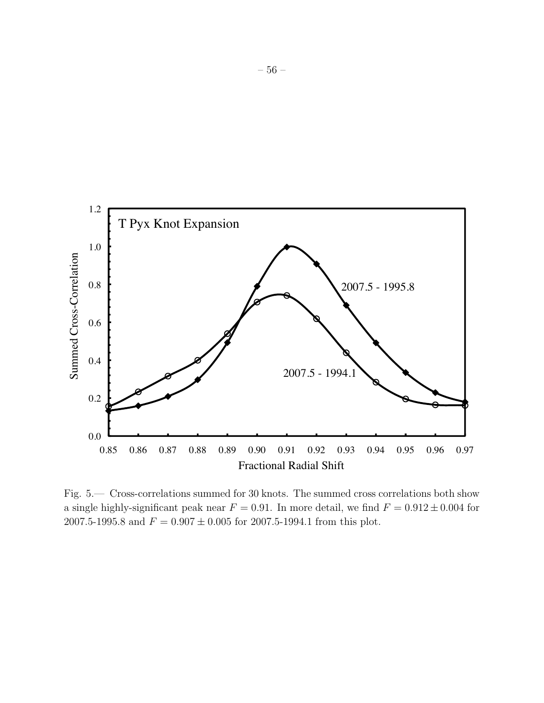

Fig. 5.— Cross-correlations summed for 30 knots. The summed cross correlations both show a single highly-significant peak near  $F = 0.91$ . In more detail, we find  $F = 0.912 \pm 0.004$  for 2007.5-1995.8 and  $F = 0.907 \pm 0.005$  for 2007.5-1994.1 from this plot.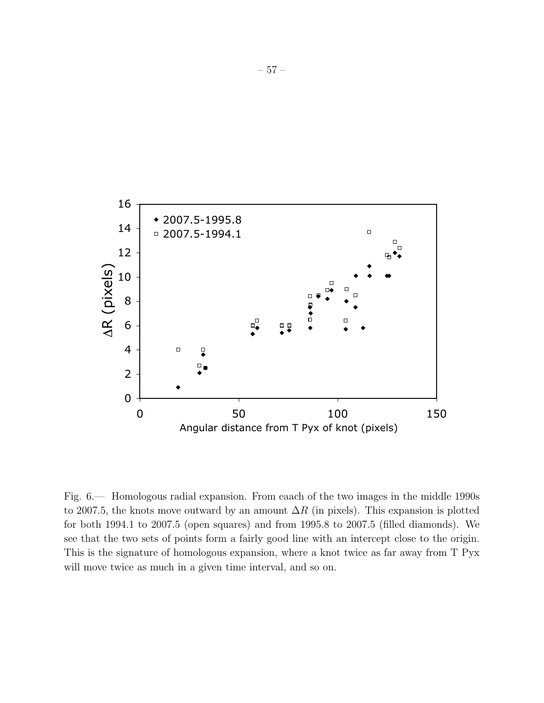

Fig. 6.— Homologous radial expansion. From eaach of the two images in the middle 1990s to 2007.5, the knots move outward by an amount  $\Delta R$  (in pixels). This expansion is plotted for both 1994.1 to 2007.5 (open squares) and from 1995.8 to 2007.5 (filled diamonds). We see that the two sets of points form a fairly good line with an intercept close to the origin. This is the signature of homologous expansion, where a knot twice as far away from T Pyx will move twice as much in a given time interval, and so on.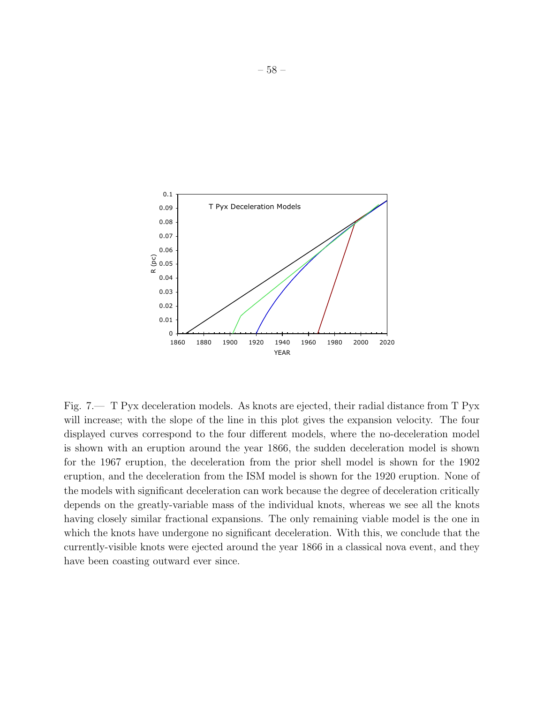

Fig. 7.— T Pyx deceleration models. As knots are ejected, their radial distance from T Pyx will increase; with the slope of the line in this plot gives the expansion velocity. The four displayed curves correspond to the four different models, where the no-deceleration model is shown with an eruption around the year 1866, the sudden deceleration model is shown for the 1967 eruption, the deceleration from the prior shell model is shown for the 1902 eruption, and the deceleration from the ISM model is shown for the 1920 eruption. None of the models with significant deceleration can work because the degree of deceleration critically depends on the greatly-variable mass of the individual knots, whereas we see all the knots having closely similar fractional expansions. The only remaining viable model is the one in which the knots have undergone no significant deceleration. With this, we conclude that the currently-visible knots were ejected around the year 1866 in a classical nova event, and they have been coasting outward ever since.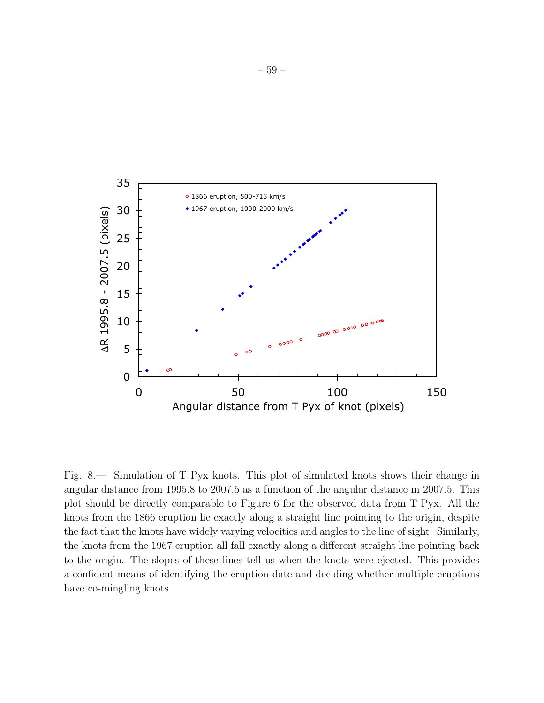

Fig. 8.— Simulation of T Pyx knots. This plot of simulated knots shows their change in angular distance from 1995.8 to 2007.5 as a function of the angular distance in 2007.5. This plot should be directly comparable to Figure 6 for the observed data from T Pyx. All the knots from the 1866 eruption lie exactly along a straight line pointing to the origin, despite the fact that the knots have widely varying velocities and angles to the line of sight. Similarly, the knots from the 1967 eruption all fall exactly along a different straight line pointing back to the origin. The slopes of these lines tell us when the knots were ejected. This provides a confident means of identifying the eruption date and deciding whether multiple eruptions have co-mingling knots.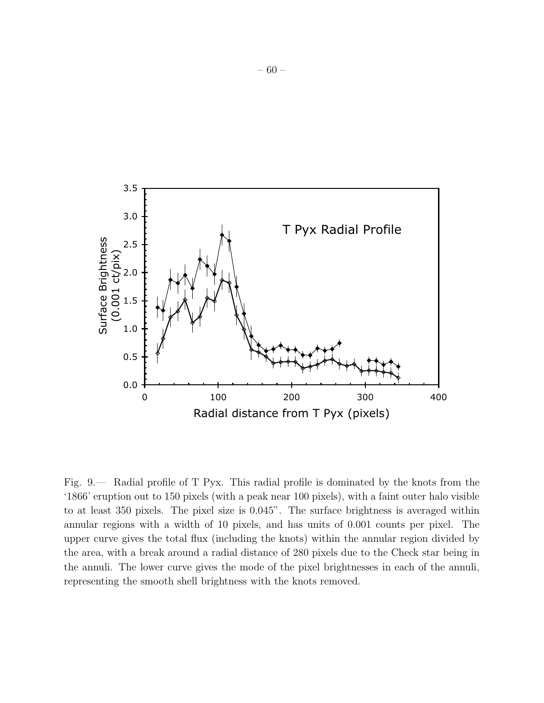

Fig. 9.— Radial profile of T Pyx. This radial profile is dominated by the knots from the '1866' eruption out to 150 pixels (with a peak near 100 pixels), with a faint outer halo visible to at least 350 pixels. The pixel size is 0.045". The surface brightness is averaged within annular regions with a width of 10 pixels, and has units of 0.001 counts per pixel. The upper curve gives the total flux (including the knots) within the annular region divided by the area, with a break around a radial distance of 280 pixels due to the Check star being in the annuli. The lower curve gives the mode of the pixel brightnesses in each of the annuli, representing the smooth shell brightness with the knots removed.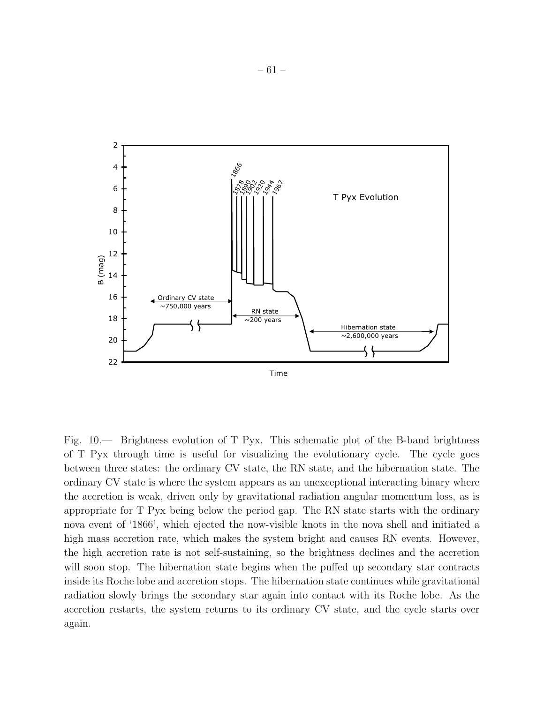

Fig. 10.— Brightness evolution of T Pyx. This schematic plot of the B-band brightness of T Pyx through time is useful for visualizing the evolutionary cycle. The cycle goes between three states: the ordinary CV state, the RN state, and the hibernation state. The ordinary CV state is where the system appears as an unexceptional interacting binary where the accretion is weak, driven only by gravitational radiation angular momentum loss, as is appropriate for T Pyx being below the period gap. The RN state starts with the ordinary nova event of '1866', which ejected the now-visible knots in the nova shell and initiated a high mass accretion rate, which makes the system bright and causes RN events. However, the high accretion rate is not self-sustaining, so the brightness declines and the accretion will soon stop. The hibernation state begins when the puffed up secondary star contracts inside its Roche lobe and accretion stops. The hibernation state continues while gravitational radiation slowly brings the secondary star again into contact with its Roche lobe. As the accretion restarts, the system returns to its ordinary CV state, and the cycle starts over again.